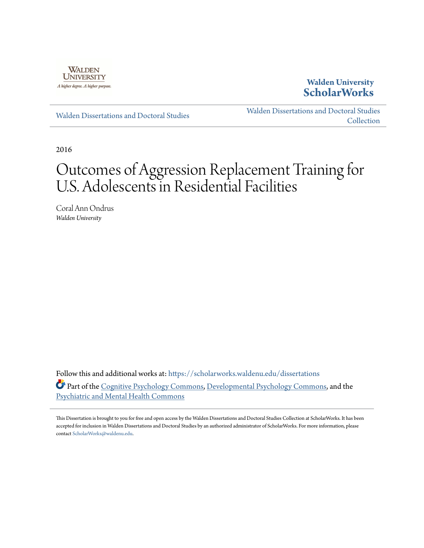

**Walden University [ScholarWorks](https://scholarworks.waldenu.edu?utm_source=scholarworks.waldenu.edu%2Fdissertations%2F2372&utm_medium=PDF&utm_campaign=PDFCoverPages)**

[Walden Dissertations and Doctoral Studies](https://scholarworks.waldenu.edu/dissertations?utm_source=scholarworks.waldenu.edu%2Fdissertations%2F2372&utm_medium=PDF&utm_campaign=PDFCoverPages)

[Walden Dissertations and Doctoral Studies](https://scholarworks.waldenu.edu/dissanddoc?utm_source=scholarworks.waldenu.edu%2Fdissertations%2F2372&utm_medium=PDF&utm_campaign=PDFCoverPages) [Collection](https://scholarworks.waldenu.edu/dissanddoc?utm_source=scholarworks.waldenu.edu%2Fdissertations%2F2372&utm_medium=PDF&utm_campaign=PDFCoverPages)

2016

# Outcomes of Aggression Replacement Training for U.S. Adolescents in Residential Facilities

Coral Ann Ondrus *Walden University*

Follow this and additional works at: [https://scholarworks.waldenu.edu/dissertations](https://scholarworks.waldenu.edu/dissertations?utm_source=scholarworks.waldenu.edu%2Fdissertations%2F2372&utm_medium=PDF&utm_campaign=PDFCoverPages) Part of the [Cognitive Psychology Commons,](http://network.bepress.com/hgg/discipline/408?utm_source=scholarworks.waldenu.edu%2Fdissertations%2F2372&utm_medium=PDF&utm_campaign=PDFCoverPages) [Developmental Psychology Commons,](http://network.bepress.com/hgg/discipline/410?utm_source=scholarworks.waldenu.edu%2Fdissertations%2F2372&utm_medium=PDF&utm_campaign=PDFCoverPages) and the [Psychiatric and Mental Health Commons](http://network.bepress.com/hgg/discipline/711?utm_source=scholarworks.waldenu.edu%2Fdissertations%2F2372&utm_medium=PDF&utm_campaign=PDFCoverPages)

This Dissertation is brought to you for free and open access by the Walden Dissertations and Doctoral Studies Collection at ScholarWorks. It has been accepted for inclusion in Walden Dissertations and Doctoral Studies by an authorized administrator of ScholarWorks. For more information, please contact [ScholarWorks@waldenu.edu](mailto:ScholarWorks@waldenu.edu).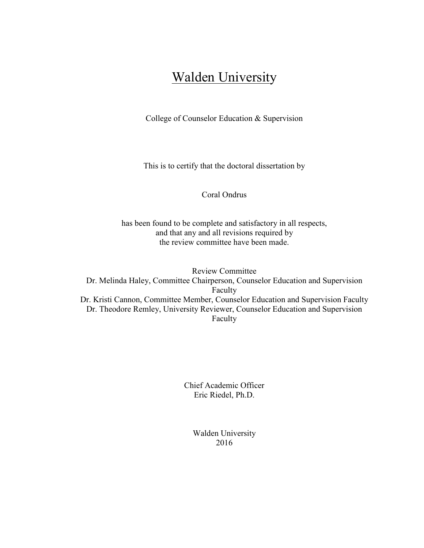## **Walden University**

College of Counselor Education & Supervision

This is to certify that the doctoral dissertation by

Coral Ondrus

has been found to be complete and satisfactory in all respects, and that any and all revisions required by the review committee have been made.

Review Committee Dr. Melinda Haley, Committee Chairperson, Counselor Education and Supervision Faculty Dr. Kristi Cannon, Committee Member, Counselor Education and Supervision Faculty Dr. Theodore Remley, University Reviewer, Counselor Education and Supervision Faculty

> Chief Academic Officer Eric Riedel, Ph.D.

> > Walden University 2016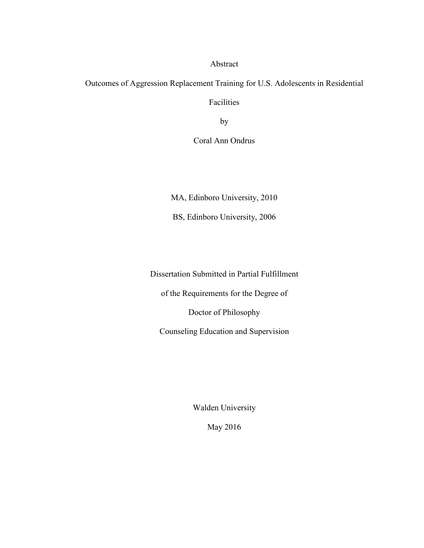Abstract

Outcomes of Aggression Replacement Training for U.S. Adolescents in Residential Facilities

by

Coral Ann Ondrus

MA, Edinboro University, 2010

BS, Edinboro University, 2006

Dissertation Submitted in Partial Fulfillment

of the Requirements for the Degree of

Doctor of Philosophy

Counseling Education and Supervision

Walden University

May 2016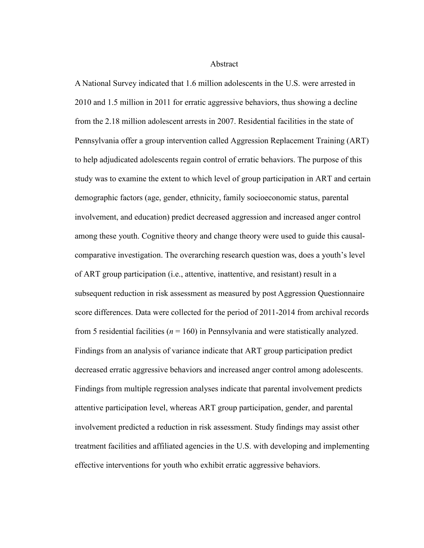**Abstract** 

A National Survey indicated that 1.6 million adolescents in the U.S. were arrested in 2010 and 1.5 million in 2011 for erratic aggressive behaviors, thus showing a decline from the 2.18 million adolescent arrests in 2007. Residential facilities in the state of Pennsylvania offer a group intervention called Aggression Replacement Training (ART) to help adjudicated adolescents regain control of erratic behaviors. The purpose of this study was to examine the extent to which level of group participation in ART and certain demographic factors (age, gender, ethnicity, family socioeconomic status, parental involvement, and education) predict decreased aggression and increased anger control among these youth. Cognitive theory and change theory were used to guide this causalcomparative investigation. The overarching research question was, does a youth's level of ART group participation (i.e., attentive, inattentive, and resistant) result in a subsequent reduction in risk assessment as measured by post Aggression Questionnaire score differences. Data were collected for the period of 2011-2014 from archival records from 5 residential facilities (*n* = 160) in Pennsylvania and were statistically analyzed. Findings from an analysis of variance indicate that ART group participation predict decreased erratic aggressive behaviors and increased anger control among adolescents. Findings from multiple regression analyses indicate that parental involvement predicts attentive participation level, whereas ART group participation, gender, and parental involvement predicted a reduction in risk assessment. Study findings may assist other treatment facilities and affiliated agencies in the U.S. with developing and implementing effective interventions for youth who exhibit erratic aggressive behaviors.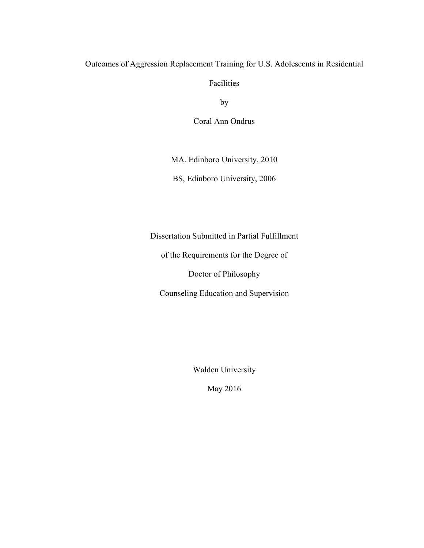### Outcomes of Aggression Replacement Training for U.S. Adolescents in Residential

Facilities

by

Coral Ann Ondrus

MA, Edinboro University, 2010

BS, Edinboro University, 2006

Dissertation Submitted in Partial Fulfillment

of the Requirements for the Degree of

Doctor of Philosophy

Counseling Education and Supervision

Walden University

May 2016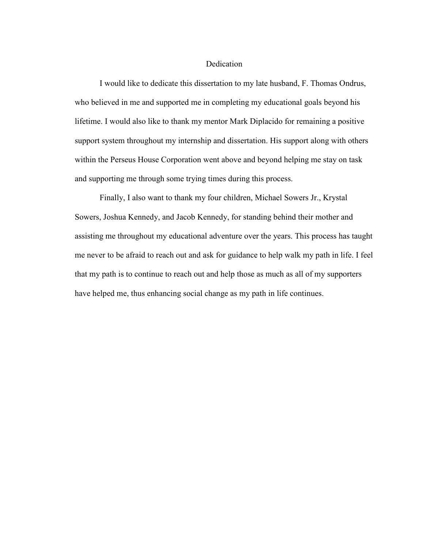#### Dedication

I would like to dedicate this dissertation to my late husband, F. Thomas Ondrus, who believed in me and supported me in completing my educational goals beyond his lifetime. I would also like to thank my mentor Mark Diplacido for remaining a positive support system throughout my internship and dissertation. His support along with others within the Perseus House Corporation went above and beyond helping me stay on task and supporting me through some trying times during this process.

Finally, I also want to thank my four children, Michael Sowers Jr., Krystal Sowers, Joshua Kennedy, and Jacob Kennedy, for standing behind their mother and assisting me throughout my educational adventure over the years. This process has taught me never to be afraid to reach out and ask for guidance to help walk my path in life. I feel that my path is to continue to reach out and help those as much as all of my supporters have helped me, thus enhancing social change as my path in life continues.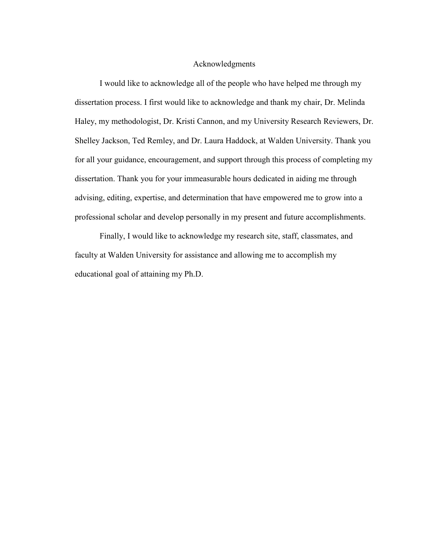#### Acknowledgments

I would like to acknowledge all of the people who have helped me through my dissertation process. I first would like to acknowledge and thank my chair, Dr. Melinda Haley, my methodologist, Dr. Kristi Cannon, and my University Research Reviewers, Dr. Shelley Jackson, Ted Remley, and Dr. Laura Haddock, at Walden University. Thank you for all your guidance, encouragement, and support through this process of completing my dissertation. Thank you for your immeasurable hours dedicated in aiding me through advising, editing, expertise, and determination that have empowered me to grow into a professional scholar and develop personally in my present and future accomplishments.

Finally, I would like to acknowledge my research site, staff, classmates, and faculty at Walden University for assistance and allowing me to accomplish my educational goal of attaining my Ph.D.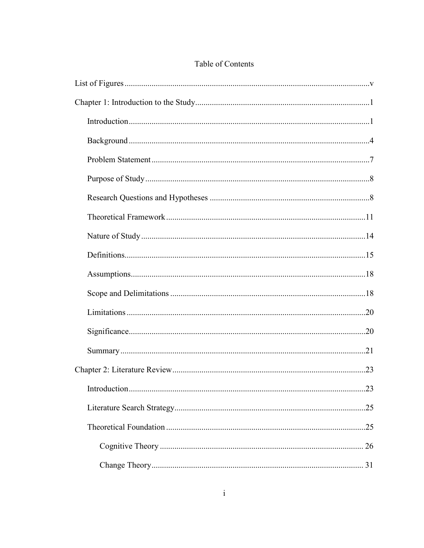## Table of Contents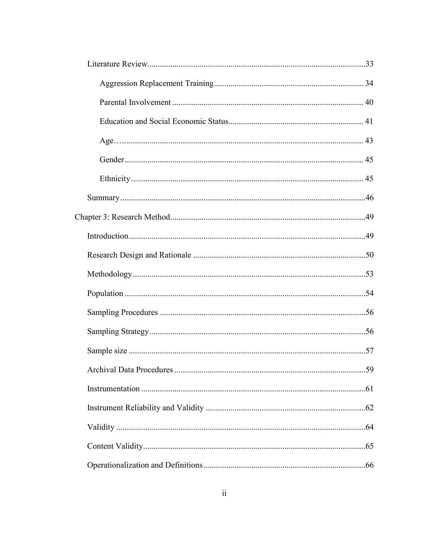| 59 |
|----|
|    |
|    |
|    |
|    |
|    |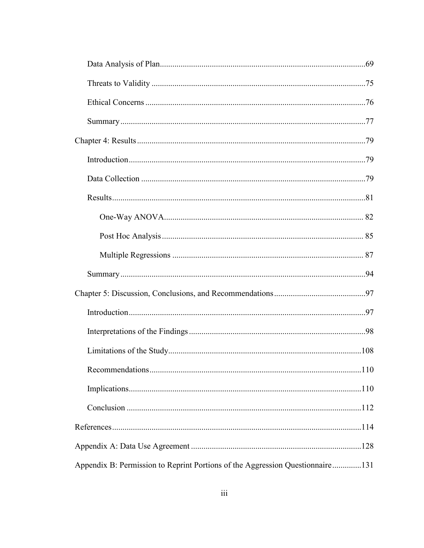| Appendix B: Permission to Reprint Portions of the Aggression Questionnaire131 |  |
|-------------------------------------------------------------------------------|--|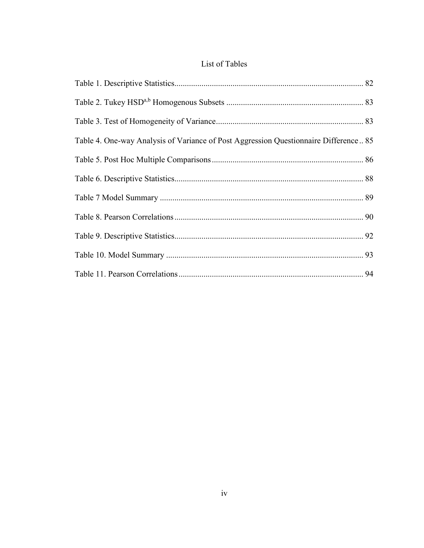## List of Tables

| Table 4. One-way Analysis of Variance of Post Aggression Questionnaire Difference 85 |  |
|--------------------------------------------------------------------------------------|--|
|                                                                                      |  |
|                                                                                      |  |
|                                                                                      |  |
|                                                                                      |  |
|                                                                                      |  |
|                                                                                      |  |
|                                                                                      |  |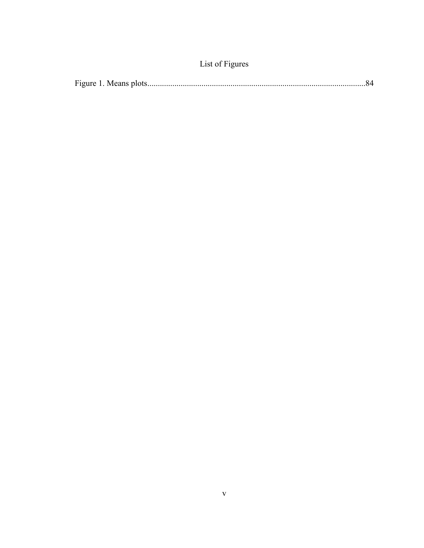| List of Figures |  |
|-----------------|--|
|                 |  |

|--|--|--|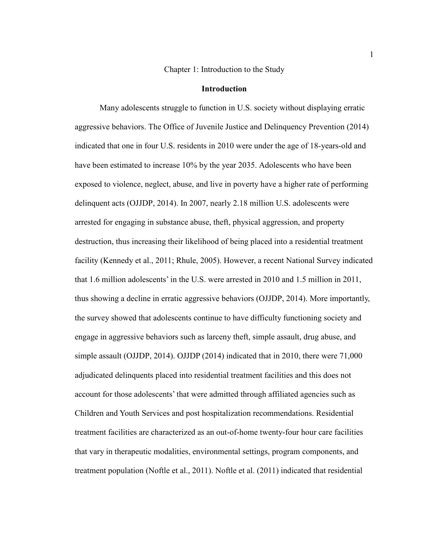#### Chapter 1: Introduction to the Study

#### **Introduction**

Many adolescents struggle to function in U.S. society without displaying erratic aggressive behaviors. The Office of Juvenile Justice and Delinquency Prevention (2014) indicated that one in four U.S. residents in 2010 were under the age of 18-years-old and have been estimated to increase 10% by the year 2035. Adolescents who have been exposed to violence, neglect, abuse, and live in poverty have a higher rate of performing delinquent acts (OJJDP, 2014). In 2007, nearly 2.18 million U.S. adolescents were arrested for engaging in substance abuse, theft, physical aggression, and property destruction, thus increasing their likelihood of being placed into a residential treatment facility (Kennedy et al., 2011; Rhule, 2005). However, a recent National Survey indicated that 1.6 million adolescents' in the U.S. were arrested in 2010 and 1.5 million in 2011, thus showing a decline in erratic aggressive behaviors (OJJDP, 2014). More importantly, the survey showed that adolescents continue to have difficulty functioning society and engage in aggressive behaviors such as larceny theft, simple assault, drug abuse, and simple assault (OJJDP, 2014). OJJDP (2014) indicated that in 2010, there were 71,000 adjudicated delinquents placed into residential treatment facilities and this does not account for those adolescents' that were admitted through affiliated agencies such as Children and Youth Services and post hospitalization recommendations. Residential treatment facilities are characterized as an out-of-home twenty-four hour care facilities that vary in therapeutic modalities, environmental settings, program components, and treatment population (Noftle et al., 2011). Noftle et al. (2011) indicated that residential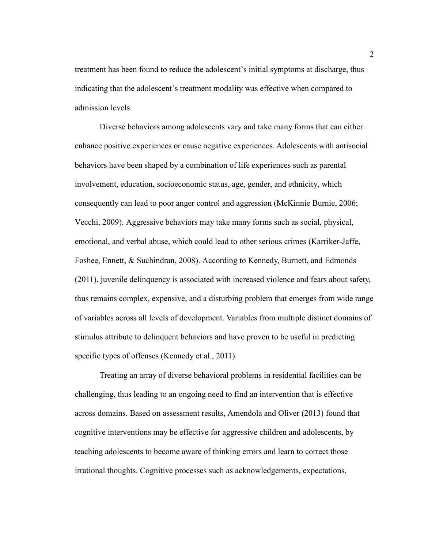treatment has been found to reduce the adolescent's initial symptoms at discharge, thus indicating that the adolescent's treatment modality was effective when compared to admission levels.

Diverse behaviors among adolescents vary and take many forms that can either enhance positive experiences or cause negative experiences. Adolescents with antisocial behaviors have been shaped by a combination of life experiences such as parental involvement, education, socioeconomic status, age, gender, and ethnicity, which consequently can lead to poor anger control and aggression (McKinnie Burnie, 2006; Vecchi, 2009). Aggressive behaviors may take many forms such as social, physical, emotional, and verbal abuse, which could lead to other serious crimes (Karriker-Jaffe, Foshee, Ennett, & Suchindran, 2008). According to Kennedy, Burnett, and Edmonds (2011), juvenile delinquency is associated with increased violence and fears about safety, thus remains complex, expensive, and a disturbing problem that emerges from wide range of variables across all levels of development. Variables from multiple distinct domains of stimulus attribute to delinquent behaviors and have proven to be useful in predicting specific types of offenses (Kennedy et al., 2011).

Treating an array of diverse behavioral problems in residential facilities can be challenging, thus leading to an ongoing need to find an intervention that is effective across domains. Based on assessment results, Amendola and Oliver (2013) found that cognitive interventions may be effective for aggressive children and adolescents, by teaching adolescents to become aware of thinking errors and learn to correct those irrational thoughts. Cognitive processes such as acknowledgements, expectations,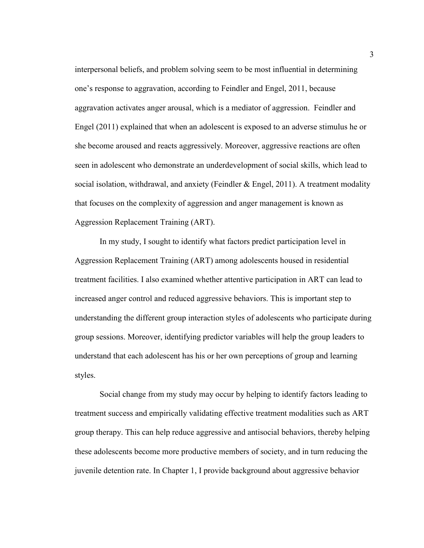interpersonal beliefs, and problem solving seem to be most influential in determining one's response to aggravation, according to Feindler and Engel, 2011, because aggravation activates anger arousal, which is a mediator of aggression. Feindler and Engel (2011) explained that when an adolescent is exposed to an adverse stimulus he or she become aroused and reacts aggressively. Moreover, aggressive reactions are often seen in adolescent who demonstrate an underdevelopment of social skills, which lead to social isolation, withdrawal, and anxiety (Feindler  $\&$  Engel, 2011). A treatment modality that focuses on the complexity of aggression and anger management is known as Aggression Replacement Training (ART).

In my study, I sought to identify what factors predict participation level in Aggression Replacement Training (ART) among adolescents housed in residential treatment facilities. I also examined whether attentive participation in ART can lead to increased anger control and reduced aggressive behaviors. This is important step to understanding the different group interaction styles of adolescents who participate during group sessions. Moreover, identifying predictor variables will help the group leaders to understand that each adolescent has his or her own perceptions of group and learning styles.

Social change from my study may occur by helping to identify factors leading to treatment success and empirically validating effective treatment modalities such as ART group therapy. This can help reduce aggressive and antisocial behaviors, thereby helping these adolescents become more productive members of society, and in turn reducing the juvenile detention rate. In Chapter 1, I provide background about aggressive behavior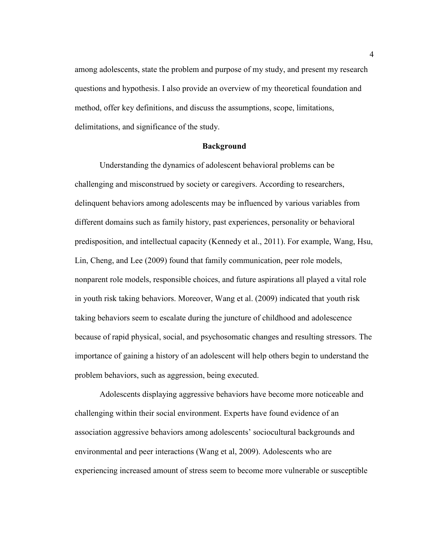among adolescents, state the problem and purpose of my study, and present my research questions and hypothesis. I also provide an overview of my theoretical foundation and method, offer key definitions, and discuss the assumptions, scope, limitations, delimitations, and significance of the study.

#### **Background**

Understanding the dynamics of adolescent behavioral problems can be challenging and misconstrued by society or caregivers. According to researchers, delinquent behaviors among adolescents may be influenced by various variables from different domains such as family history, past experiences, personality or behavioral predisposition, and intellectual capacity (Kennedy et al., 2011). For example, Wang, Hsu, Lin, Cheng, and Lee (2009) found that family communication, peer role models, nonparent role models, responsible choices, and future aspirations all played a vital role in youth risk taking behaviors. Moreover, Wang et al. (2009) indicated that youth risk taking behaviors seem to escalate during the juncture of childhood and adolescence because of rapid physical, social, and psychosomatic changes and resulting stressors. The importance of gaining a history of an adolescent will help others begin to understand the problem behaviors, such as aggression, being executed.

Adolescents displaying aggressive behaviors have become more noticeable and challenging within their social environment. Experts have found evidence of an association aggressive behaviors among adolescents' sociocultural backgrounds and environmental and peer interactions (Wang et al, 2009). Adolescents who are experiencing increased amount of stress seem to become more vulnerable or susceptible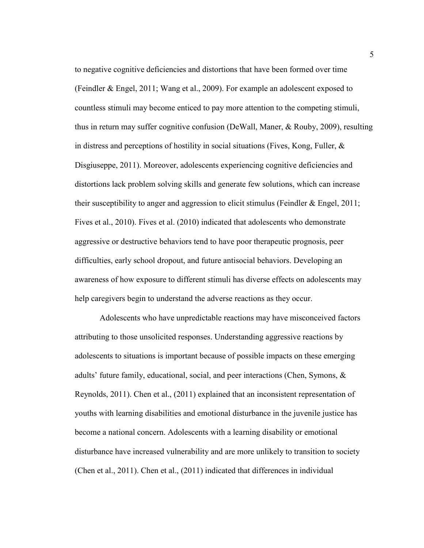to negative cognitive deficiencies and distortions that have been formed over time (Feindler & Engel, 2011; Wang et al., 2009). For example an adolescent exposed to countless stimuli may become enticed to pay more attention to the competing stimuli, thus in return may suffer cognitive confusion (DeWall, Maner, & Rouby, 2009), resulting in distress and perceptions of hostility in social situations (Fives, Kong, Fuller,  $\&$ Disgiuseppe, 2011). Moreover, adolescents experiencing cognitive deficiencies and distortions lack problem solving skills and generate few solutions, which can increase their susceptibility to anger and aggression to elicit stimulus (Feindler  $\&$  Engel, 2011; Fives et al., 2010). Fives et al. (2010) indicated that adolescents who demonstrate aggressive or destructive behaviors tend to have poor therapeutic prognosis, peer difficulties, early school dropout, and future antisocial behaviors. Developing an awareness of how exposure to different stimuli has diverse effects on adolescents may help caregivers begin to understand the adverse reactions as they occur.

Adolescents who have unpredictable reactions may have misconceived factors attributing to those unsolicited responses. Understanding aggressive reactions by adolescents to situations is important because of possible impacts on these emerging adults' future family, educational, social, and peer interactions (Chen, Symons, & Reynolds, 2011). Chen et al., (2011) explained that an inconsistent representation of youths with learning disabilities and emotional disturbance in the juvenile justice has become a national concern. Adolescents with a learning disability or emotional disturbance have increased vulnerability and are more unlikely to transition to society (Chen et al., 2011). Chen et al., (2011) indicated that differences in individual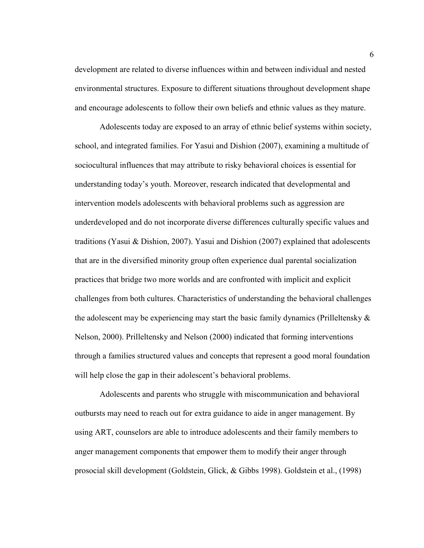development are related to diverse influences within and between individual and nested environmental structures. Exposure to different situations throughout development shape and encourage adolescents to follow their own beliefs and ethnic values as they mature.

Adolescents today are exposed to an array of ethnic belief systems within society, school, and integrated families. For Yasui and Dishion (2007), examining a multitude of sociocultural influences that may attribute to risky behavioral choices is essential for understanding today's youth. Moreover, research indicated that developmental and intervention models adolescents with behavioral problems such as aggression are underdeveloped and do not incorporate diverse differences culturally specific values and traditions (Yasui & Dishion, 2007). Yasui and Dishion (2007) explained that adolescents that are in the diversified minority group often experience dual parental socialization practices that bridge two more worlds and are confronted with implicit and explicit challenges from both cultures. Characteristics of understanding the behavioral challenges the adolescent may be experiencing may start the basic family dynamics (Prilleltensky  $\&$ Nelson, 2000). Prilleltensky and Nelson (2000) indicated that forming interventions through a families structured values and concepts that represent a good moral foundation will help close the gap in their adolescent's behavioral problems.

Adolescents and parents who struggle with miscommunication and behavioral outbursts may need to reach out for extra guidance to aide in anger management. By using ART, counselors are able to introduce adolescents and their family members to anger management components that empower them to modify their anger through prosocial skill development (Goldstein, Glick, & Gibbs 1998). Goldstein et al., (1998)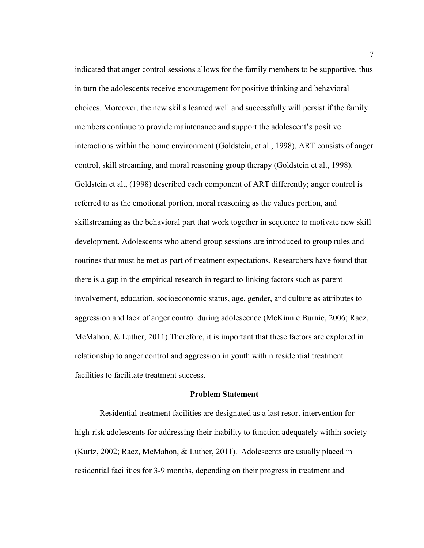indicated that anger control sessions allows for the family members to be supportive, thus in turn the adolescents receive encouragement for positive thinking and behavioral choices. Moreover, the new skills learned well and successfully will persist if the family members continue to provide maintenance and support the adolescent's positive interactions within the home environment (Goldstein, et al., 1998). ART consists of anger control, skill streaming, and moral reasoning group therapy (Goldstein et al., 1998). Goldstein et al., (1998) described each component of ART differently; anger control is referred to as the emotional portion, moral reasoning as the values portion, and skillstreaming as the behavioral part that work together in sequence to motivate new skill development. Adolescents who attend group sessions are introduced to group rules and routines that must be met as part of treatment expectations. Researchers have found that there is a gap in the empirical research in regard to linking factors such as parent involvement, education, socioeconomic status, age, gender, and culture as attributes to aggression and lack of anger control during adolescence (McKinnie Burnie, 2006; Racz, McMahon, & Luther, 2011).Therefore, it is important that these factors are explored in relationship to anger control and aggression in youth within residential treatment facilities to facilitate treatment success.

#### **Problem Statement**

Residential treatment facilities are designated as a last resort intervention for high-risk adolescents for addressing their inability to function adequately within society (Kurtz, 2002; Racz, McMahon, & Luther, 2011). Adolescents are usually placed in residential facilities for 3-9 months, depending on their progress in treatment and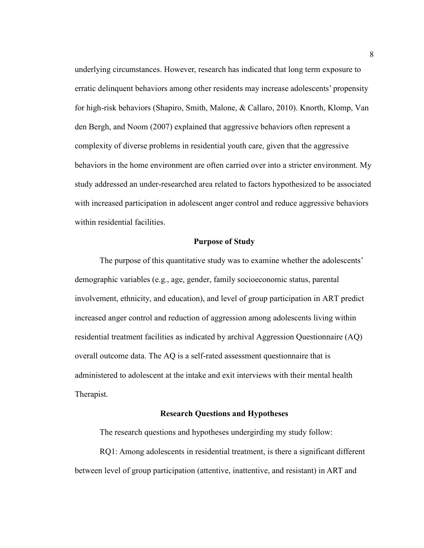underlying circumstances. However, research has indicated that long term exposure to erratic delinquent behaviors among other residents may increase adolescents' propensity for high-risk behaviors (Shapiro, Smith, Malone, & Callaro, 2010). Knorth, Klomp, Van den Bergh, and Noom (2007) explained that aggressive behaviors often represent a complexity of diverse problems in residential youth care, given that the aggressive behaviors in the home environment are often carried over into a stricter environment. My study addressed an under-researched area related to factors hypothesized to be associated with increased participation in adolescent anger control and reduce aggressive behaviors within residential facilities.

#### **Purpose of Study**

The purpose of this quantitative study was to examine whether the adolescents' demographic variables (e.g., age, gender, family socioeconomic status, parental involvement, ethnicity, and education), and level of group participation in ART predict increased anger control and reduction of aggression among adolescents living within residential treatment facilities as indicated by archival Aggression Questionnaire (AQ) overall outcome data. The AQ is a self-rated assessment questionnaire that is administered to adolescent at the intake and exit interviews with their mental health Therapist.

#### **Research Questions and Hypotheses**

The research questions and hypotheses undergirding my study follow:

RQ1: Among adolescents in residential treatment, is there a significant different between level of group participation (attentive, inattentive, and resistant) in ART and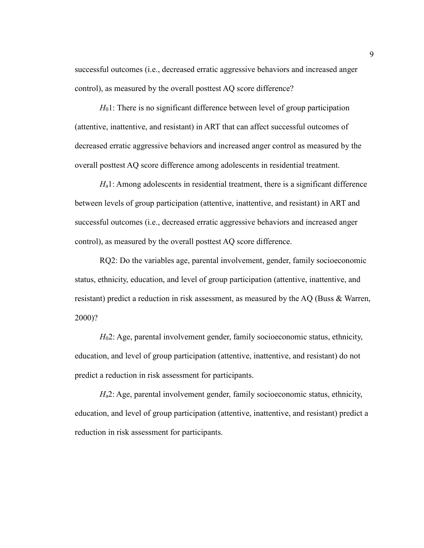successful outcomes (i.e., decreased erratic aggressive behaviors and increased anger control), as measured by the overall posttest AQ score difference?

*H*<sub>0</sub>1: There is no significant difference between level of group participation (attentive, inattentive, and resistant) in ART that can affect successful outcomes of decreased erratic aggressive behaviors and increased anger control as measured by the overall posttest AQ score difference among adolescents in residential treatment.

*H*<sub>a</sub>1: Among adolescents in residential treatment, there is a significant difference between levels of group participation (attentive, inattentive, and resistant) in ART and successful outcomes (i.e., decreased erratic aggressive behaviors and increased anger control), as measured by the overall posttest AQ score difference.

RQ2: Do the variables age, parental involvement, gender, family socioeconomic status, ethnicity, education, and level of group participation (attentive, inattentive, and resistant) predict a reduction in risk assessment, as measured by the AQ (Buss & Warren, 2000)?

*H*<sub>0</sub>2: Age, parental involvement gender, family socioeconomic status, ethnicity, education, and level of group participation (attentive, inattentive, and resistant) do not predict a reduction in risk assessment for participants.

*H*<sub>a</sub>2: Age, parental involvement gender, family socioeconomic status, ethnicity, education, and level of group participation (attentive, inattentive, and resistant) predict a reduction in risk assessment for participants.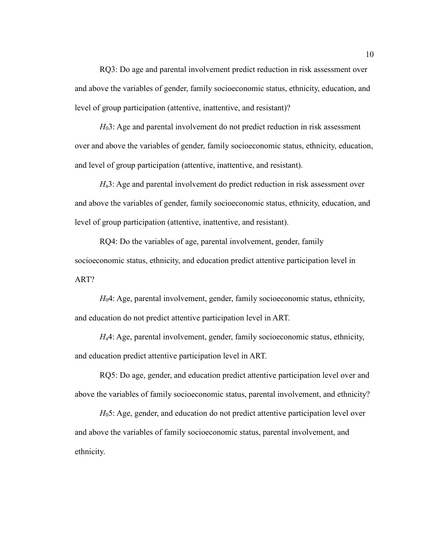RQ3: Do age and parental involvement predict reduction in risk assessment over and above the variables of gender, family socioeconomic status, ethnicity, education, and level of group participation (attentive, inattentive, and resistant)?

*H*<sub>0</sub>3: Age and parental involvement do not predict reduction in risk assessment over and above the variables of gender, family socioeconomic status, ethnicity, education, and level of group participation (attentive, inattentive, and resistant).

*H*<sub>a</sub>3: Age and parental involvement do predict reduction in risk assessment over and above the variables of gender, family socioeconomic status, ethnicity, education, and level of group participation (attentive, inattentive, and resistant).

RQ4: Do the variables of age, parental involvement, gender, family socioeconomic status, ethnicity, and education predict attentive participation level in ART?

*H*04: Age, parental involvement, gender, family socioeconomic status, ethnicity, and education do not predict attentive participation level in ART.

*H*<sub>a</sub>4: Age, parental involvement, gender, family socioeconomic status, ethnicity, and education predict attentive participation level in ART.

RQ5: Do age, gender, and education predict attentive participation level over and above the variables of family socioeconomic status, parental involvement, and ethnicity?

*H*05: Age, gender, and education do not predict attentive participation level over and above the variables of family socioeconomic status, parental involvement, and ethnicity.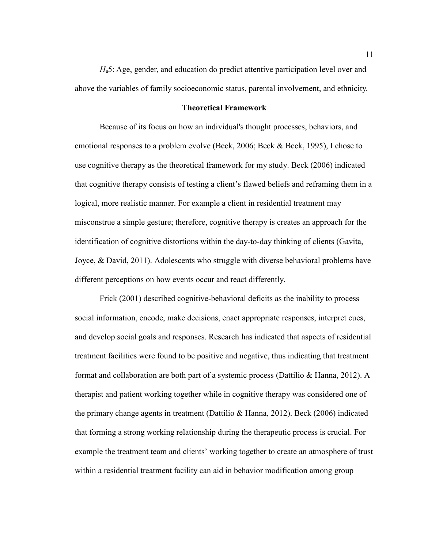*H*a5: Age, gender, and education do predict attentive participation level over and above the variables of family socioeconomic status, parental involvement, and ethnicity.

#### **Theoretical Framework**

Because of its focus on how an individual's thought processes, behaviors, and emotional responses to a problem evolve (Beck, 2006; Beck & Beck, 1995), I chose to use cognitive therapy as the theoretical framework for my study. Beck (2006) indicated that cognitive therapy consists of testing a client's flawed beliefs and reframing them in a logical, more realistic manner. For example a client in residential treatment may misconstrue a simple gesture; therefore, cognitive therapy is creates an approach for the identification of cognitive distortions within the day-to-day thinking of clients (Gavita, Joyce, & David, 2011). Adolescents who struggle with diverse behavioral problems have different perceptions on how events occur and react differently.

Frick (2001) described cognitive-behavioral deficits as the inability to process social information, encode, make decisions, enact appropriate responses, interpret cues, and develop social goals and responses. Research has indicated that aspects of residential treatment facilities were found to be positive and negative, thus indicating that treatment format and collaboration are both part of a systemic process (Dattilio & Hanna, 2012). A therapist and patient working together while in cognitive therapy was considered one of the primary change agents in treatment (Dattilio & Hanna, 2012). Beck (2006) indicated that forming a strong working relationship during the therapeutic process is crucial. For example the treatment team and clients' working together to create an atmosphere of trust within a residential treatment facility can aid in behavior modification among group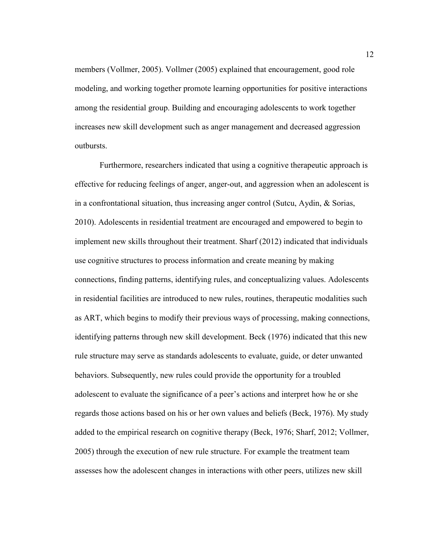members (Vollmer, 2005). Vollmer (2005) explained that encouragement, good role modeling, and working together promote learning opportunities for positive interactions among the residential group. Building and encouraging adolescents to work together increases new skill development such as anger management and decreased aggression outbursts.

Furthermore, researchers indicated that using a cognitive therapeutic approach is effective for reducing feelings of anger, anger-out, and aggression when an adolescent is in a confrontational situation, thus increasing anger control (Sutcu, Aydin, & Sorias, 2010). Adolescents in residential treatment are encouraged and empowered to begin to implement new skills throughout their treatment. Sharf (2012) indicated that individuals use cognitive structures to process information and create meaning by making connections, finding patterns, identifying rules, and conceptualizing values. Adolescents in residential facilities are introduced to new rules, routines, therapeutic modalities such as ART, which begins to modify their previous ways of processing, making connections, identifying patterns through new skill development. Beck (1976) indicated that this new rule structure may serve as standards adolescents to evaluate, guide, or deter unwanted behaviors. Subsequently, new rules could provide the opportunity for a troubled adolescent to evaluate the significance of a peer's actions and interpret how he or she regards those actions based on his or her own values and beliefs (Beck, 1976). My study added to the empirical research on cognitive therapy (Beck, 1976; Sharf, 2012; Vollmer, 2005) through the execution of new rule structure. For example the treatment team assesses how the adolescent changes in interactions with other peers, utilizes new skill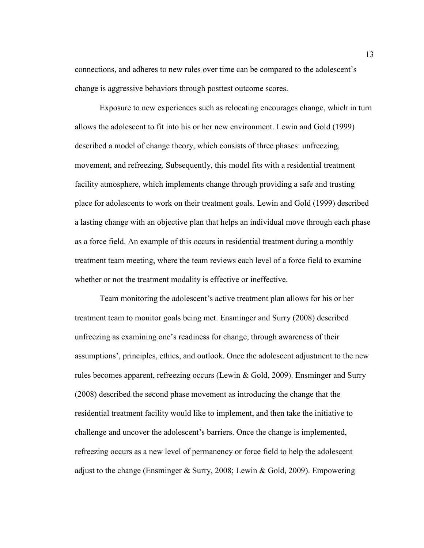connections, and adheres to new rules over time can be compared to the adolescent's change is aggressive behaviors through posttest outcome scores.

Exposure to new experiences such as relocating encourages change, which in turn allows the adolescent to fit into his or her new environment. Lewin and Gold (1999) described a model of change theory, which consists of three phases: unfreezing, movement, and refreezing. Subsequently, this model fits with a residential treatment facility atmosphere, which implements change through providing a safe and trusting place for adolescents to work on their treatment goals. Lewin and Gold (1999) described a lasting change with an objective plan that helps an individual move through each phase as a force field. An example of this occurs in residential treatment during a monthly treatment team meeting, where the team reviews each level of a force field to examine whether or not the treatment modality is effective or ineffective.

Team monitoring the adolescent's active treatment plan allows for his or her treatment team to monitor goals being met. Ensminger and Surry (2008) described unfreezing as examining one's readiness for change, through awareness of their assumptions', principles, ethics, and outlook. Once the adolescent adjustment to the new rules becomes apparent, refreezing occurs (Lewin & Gold, 2009). Ensminger and Surry (2008) described the second phase movement as introducing the change that the residential treatment facility would like to implement, and then take the initiative to challenge and uncover the adolescent's barriers. Once the change is implemented, refreezing occurs as a new level of permanency or force field to help the adolescent adjust to the change (Ensminger & Surry, 2008; Lewin & Gold, 2009). Empowering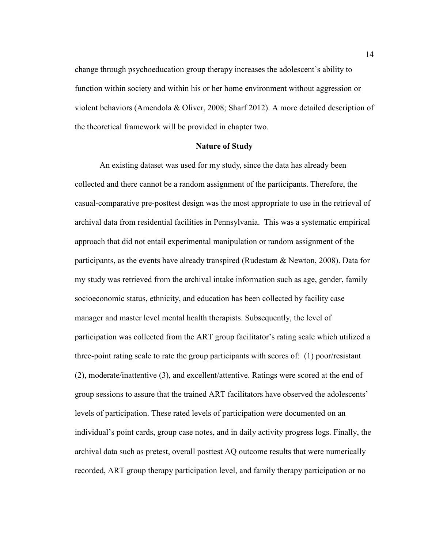change through psychoeducation group therapy increases the adolescent's ability to function within society and within his or her home environment without aggression or violent behaviors (Amendola & Oliver, 2008; Sharf 2012). A more detailed description of the theoretical framework will be provided in chapter two.

#### **Nature of Study**

An existing dataset was used for my study, since the data has already been collected and there cannot be a random assignment of the participants. Therefore, the casual-comparative pre-posttest design was the most appropriate to use in the retrieval of archival data from residential facilities in Pennsylvania. This was a systematic empirical approach that did not entail experimental manipulation or random assignment of the participants, as the events have already transpired (Rudestam & Newton, 2008). Data for my study was retrieved from the archival intake information such as age, gender, family socioeconomic status, ethnicity, and education has been collected by facility case manager and master level mental health therapists. Subsequently, the level of participation was collected from the ART group facilitator's rating scale which utilized a three-point rating scale to rate the group participants with scores of: (1) poor/resistant (2), moderate/inattentive (3), and excellent/attentive. Ratings were scored at the end of group sessions to assure that the trained ART facilitators have observed the adolescents' levels of participation. These rated levels of participation were documented on an individual's point cards, group case notes, and in daily activity progress logs. Finally, the archival data such as pretest, overall posttest AQ outcome results that were numerically recorded, ART group therapy participation level, and family therapy participation or no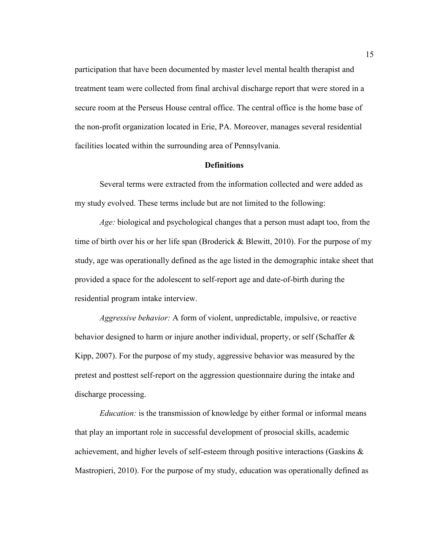participation that have been documented by master level mental health therapist and treatment team were collected from final archival discharge report that were stored in a secure room at the Perseus House central office. The central office is the home base of the non-profit organization located in Erie, PA. Moreover, manages several residential facilities located within the surrounding area of Pennsylvania.

#### **Definitions**

Several terms were extracted from the information collected and were added as my study evolved. These terms include but are not limited to the following:

*Age:* biological and psychological changes that a person must adapt too, from the time of birth over his or her life span (Broderick & Blewitt, 2010). For the purpose of my study, age was operationally defined as the age listed in the demographic intake sheet that provided a space for the adolescent to self-report age and date-of-birth during the residential program intake interview.

*Aggressive behavior:* A form of violent, unpredictable, impulsive, or reactive behavior designed to harm or injure another individual, property, or self (Schaffer & Kipp, 2007). For the purpose of my study, aggressive behavior was measured by the pretest and posttest self-report on the aggression questionnaire during the intake and discharge processing.

*Education:* is the transmission of knowledge by either formal or informal means that play an important role in successful development of prosocial skills, academic achievement, and higher levels of self-esteem through positive interactions (Gaskins & Mastropieri, 2010). For the purpose of my study, education was operationally defined as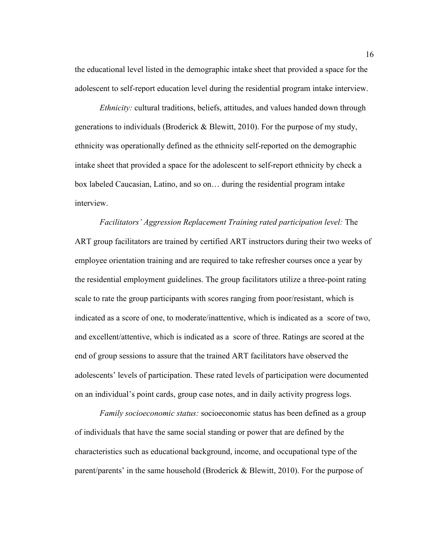the educational level listed in the demographic intake sheet that provided a space for the adolescent to self-report education level during the residential program intake interview.

*Ethnicity:* cultural traditions, beliefs, attitudes, and values handed down through generations to individuals (Broderick & Blewitt, 2010). For the purpose of my study, ethnicity was operationally defined as the ethnicity self-reported on the demographic intake sheet that provided a space for the adolescent to self-report ethnicity by check a box labeled Caucasian, Latino, and so on… during the residential program intake interview.

*Facilitators' Aggression Replacement Training rated participation level:* The ART group facilitators are trained by certified ART instructors during their two weeks of employee orientation training and are required to take refresher courses once a year by the residential employment guidelines. The group facilitators utilize a three-point rating scale to rate the group participants with scores ranging from poor/resistant, which is indicated as a score of one, to moderate/inattentive, which is indicated as a score of two, and excellent/attentive, which is indicated as a score of three. Ratings are scored at the end of group sessions to assure that the trained ART facilitators have observed the adolescents' levels of participation. These rated levels of participation were documented on an individual's point cards, group case notes, and in daily activity progress logs.

*Family socioeconomic status:* socioeconomic status has been defined as a group of individuals that have the same social standing or power that are defined by the characteristics such as educational background, income, and occupational type of the parent/parents' in the same household (Broderick & Blewitt, 2010). For the purpose of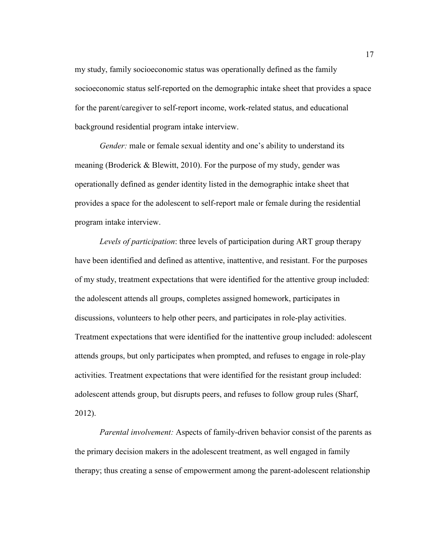my study, family socioeconomic status was operationally defined as the family socioeconomic status self-reported on the demographic intake sheet that provides a space for the parent/caregiver to self-report income, work-related status, and educational background residential program intake interview.

*Gender:* male or female sexual identity and one's ability to understand its meaning (Broderick & Blewitt, 2010). For the purpose of my study, gender was operationally defined as gender identity listed in the demographic intake sheet that provides a space for the adolescent to self-report male or female during the residential program intake interview.

*Levels of participation*: three levels of participation during ART group therapy have been identified and defined as attentive, inattentive, and resistant. For the purposes of my study, treatment expectations that were identified for the attentive group included: the adolescent attends all groups, completes assigned homework, participates in discussions, volunteers to help other peers, and participates in role-play activities. Treatment expectations that were identified for the inattentive group included: adolescent attends groups, but only participates when prompted, and refuses to engage in role-play activities. Treatment expectations that were identified for the resistant group included: adolescent attends group, but disrupts peers, and refuses to follow group rules (Sharf, 2012).

*Parental involvement:* Aspects of family-driven behavior consist of the parents as the primary decision makers in the adolescent treatment, as well engaged in family therapy; thus creating a sense of empowerment among the parent-adolescent relationship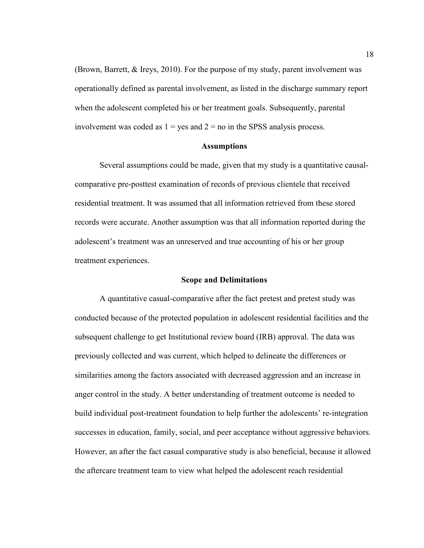(Brown, Barrett, & Ireys, 2010). For the purpose of my study, parent involvement was operationally defined as parental involvement, as listed in the discharge summary report when the adolescent completed his or her treatment goals. Subsequently, parental involvement was coded as  $1 = yes$  and  $2 = no$  in the SPSS analysis process.

#### **Assumptions**

Several assumptions could be made, given that my study is a quantitative causalcomparative pre-posttest examination of records of previous clientele that received residential treatment. It was assumed that all information retrieved from these stored records were accurate. Another assumption was that all information reported during the adolescent's treatment was an unreserved and true accounting of his or her group treatment experiences.

#### **Scope and Delimitations**

A quantitative casual-comparative after the fact pretest and pretest study was conducted because of the protected population in adolescent residential facilities and the subsequent challenge to get Institutional review board (IRB) approval. The data was previously collected and was current, which helped to delineate the differences or similarities among the factors associated with decreased aggression and an increase in anger control in the study. A better understanding of treatment outcome is needed to build individual post-treatment foundation to help further the adolescents' re-integration successes in education, family, social, and peer acceptance without aggressive behaviors. However, an after the fact casual comparative study is also beneficial, because it allowed the aftercare treatment team to view what helped the adolescent reach residential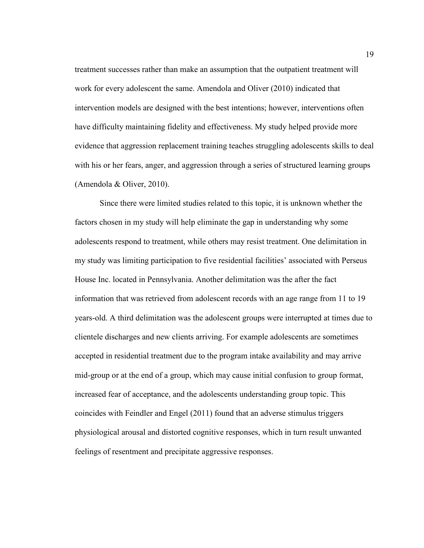treatment successes rather than make an assumption that the outpatient treatment will work for every adolescent the same. Amendola and Oliver (2010) indicated that intervention models are designed with the best intentions; however, interventions often have difficulty maintaining fidelity and effectiveness. My study helped provide more evidence that aggression replacement training teaches struggling adolescents skills to deal with his or her fears, anger, and aggression through a series of structured learning groups (Amendola & Oliver, 2010).

Since there were limited studies related to this topic, it is unknown whether the factors chosen in my study will help eliminate the gap in understanding why some adolescents respond to treatment, while others may resist treatment. One delimitation in my study was limiting participation to five residential facilities' associated with Perseus House Inc. located in Pennsylvania. Another delimitation was the after the fact information that was retrieved from adolescent records with an age range from 11 to 19 years-old. A third delimitation was the adolescent groups were interrupted at times due to clientele discharges and new clients arriving. For example adolescents are sometimes accepted in residential treatment due to the program intake availability and may arrive mid-group or at the end of a group, which may cause initial confusion to group format, increased fear of acceptance, and the adolescents understanding group topic. This coincides with Feindler and Engel (2011) found that an adverse stimulus triggers physiological arousal and distorted cognitive responses, which in turn result unwanted feelings of resentment and precipitate aggressive responses.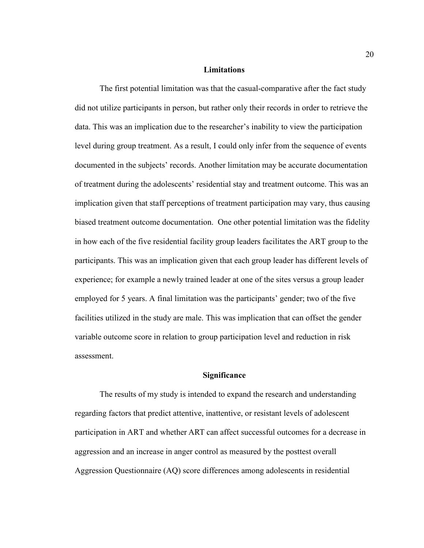#### **Limitations**

The first potential limitation was that the casual-comparative after the fact study did not utilize participants in person, but rather only their records in order to retrieve the data. This was an implication due to the researcher's inability to view the participation level during group treatment. As a result, I could only infer from the sequence of events documented in the subjects' records. Another limitation may be accurate documentation of treatment during the adolescents' residential stay and treatment outcome. This was an implication given that staff perceptions of treatment participation may vary, thus causing biased treatment outcome documentation. One other potential limitation was the fidelity in how each of the five residential facility group leaders facilitates the ART group to the participants. This was an implication given that each group leader has different levels of experience; for example a newly trained leader at one of the sites versus a group leader employed for 5 years. A final limitation was the participants' gender; two of the five facilities utilized in the study are male. This was implication that can offset the gender variable outcome score in relation to group participation level and reduction in risk assessment.

#### **Significance**

The results of my study is intended to expand the research and understanding regarding factors that predict attentive, inattentive, or resistant levels of adolescent participation in ART and whether ART can affect successful outcomes for a decrease in aggression and an increase in anger control as measured by the posttest overall Aggression Questionnaire (AQ) score differences among adolescents in residential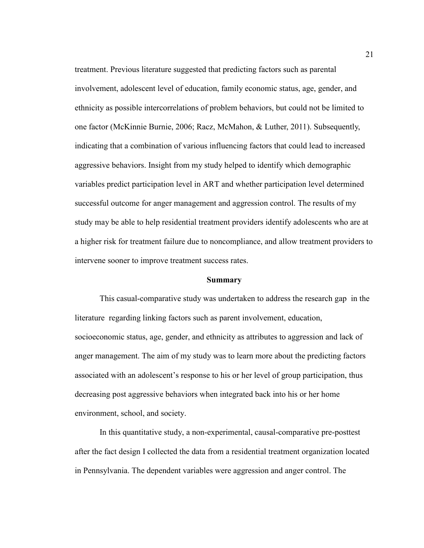treatment. Previous literature suggested that predicting factors such as parental involvement, adolescent level of education, family economic status, age, gender, and ethnicity as possible intercorrelations of problem behaviors, but could not be limited to one factor (McKinnie Burnie, 2006; Racz, McMahon, & Luther, 2011). Subsequently, indicating that a combination of various influencing factors that could lead to increased aggressive behaviors. Insight from my study helped to identify which demographic variables predict participation level in ART and whether participation level determined successful outcome for anger management and aggression control. The results of my study may be able to help residential treatment providers identify adolescents who are at a higher risk for treatment failure due to noncompliance, and allow treatment providers to intervene sooner to improve treatment success rates.

#### **Summary**

This casual-comparative study was undertaken to address the research gap in the literature regarding linking factors such as parent involvement, education, socioeconomic status, age, gender, and ethnicity as attributes to aggression and lack of anger management. The aim of my study was to learn more about the predicting factors associated with an adolescent's response to his or her level of group participation, thus decreasing post aggressive behaviors when integrated back into his or her home environment, school, and society.

In this quantitative study, a non-experimental, causal-comparative pre-posttest after the fact design I collected the data from a residential treatment organization located in Pennsylvania. The dependent variables were aggression and anger control. The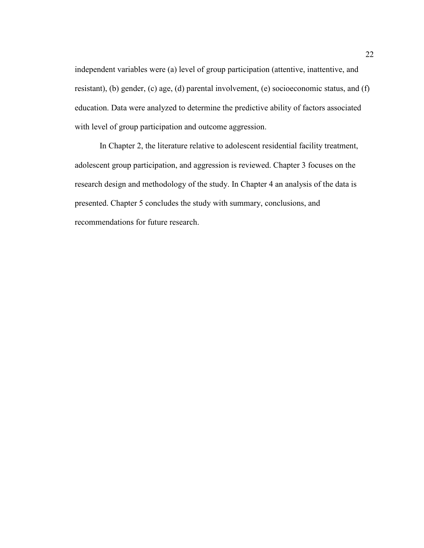independent variables were (a) level of group participation (attentive, inattentive, and resistant), (b) gender, (c) age, (d) parental involvement, (e) socioeconomic status, and (f) education. Data were analyzed to determine the predictive ability of factors associated with level of group participation and outcome aggression.

In Chapter 2, the literature relative to adolescent residential facility treatment, adolescent group participation, and aggression is reviewed. Chapter 3 focuses on the research design and methodology of the study. In Chapter 4 an analysis of the data is presented. Chapter 5 concludes the study with summary, conclusions, and recommendations for future research.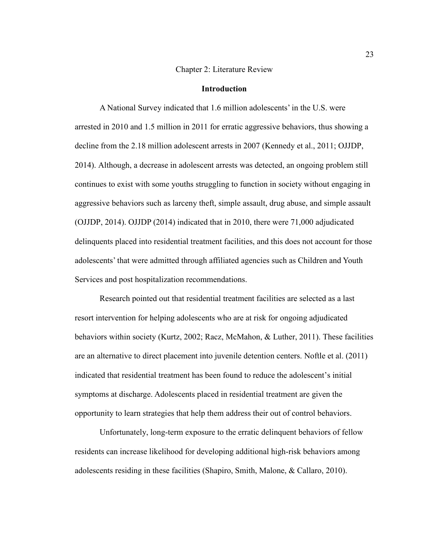#### Chapter 2: Literature Review

#### **Introduction**

A National Survey indicated that 1.6 million adolescents' in the U.S. were arrested in 2010 and 1.5 million in 2011 for erratic aggressive behaviors, thus showing a decline from the 2.18 million adolescent arrests in 2007 (Kennedy et al., 2011; OJJDP, 2014). Although, a decrease in adolescent arrests was detected, an ongoing problem still continues to exist with some youths struggling to function in society without engaging in aggressive behaviors such as larceny theft, simple assault, drug abuse, and simple assault (OJJDP, 2014). OJJDP (2014) indicated that in 2010, there were 71,000 adjudicated delinquents placed into residential treatment facilities, and this does not account for those adolescents' that were admitted through affiliated agencies such as Children and Youth Services and post hospitalization recommendations.

Research pointed out that residential treatment facilities are selected as a last resort intervention for helping adolescents who are at risk for ongoing adjudicated behaviors within society (Kurtz, 2002; Racz, McMahon, & Luther, 2011). These facilities are an alternative to direct placement into juvenile detention centers. Noftle et al. (2011) indicated that residential treatment has been found to reduce the adolescent's initial symptoms at discharge. Adolescents placed in residential treatment are given the opportunity to learn strategies that help them address their out of control behaviors.

Unfortunately, long-term exposure to the erratic delinquent behaviors of fellow residents can increase likelihood for developing additional high-risk behaviors among adolescents residing in these facilities (Shapiro, Smith, Malone, & Callaro, 2010).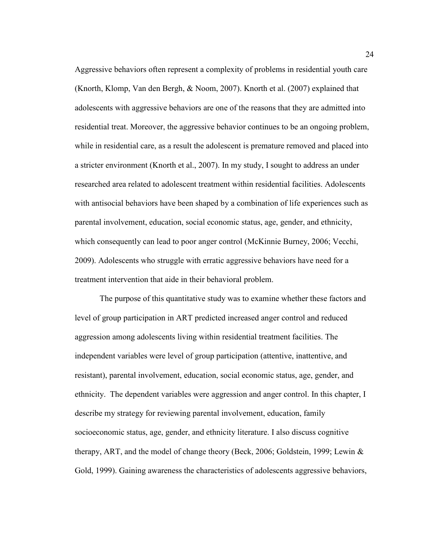Aggressive behaviors often represent a complexity of problems in residential youth care (Knorth, Klomp, Van den Bergh, & Noom, 2007). Knorth et al. (2007) explained that adolescents with aggressive behaviors are one of the reasons that they are admitted into residential treat. Moreover, the aggressive behavior continues to be an ongoing problem, while in residential care, as a result the adolescent is premature removed and placed into a stricter environment (Knorth et al., 2007). In my study, I sought to address an under researched area related to adolescent treatment within residential facilities. Adolescents with antisocial behaviors have been shaped by a combination of life experiences such as parental involvement, education, social economic status, age, gender, and ethnicity, which consequently can lead to poor anger control (McKinnie Burney, 2006; Vecchi, 2009). Adolescents who struggle with erratic aggressive behaviors have need for a treatment intervention that aide in their behavioral problem.

The purpose of this quantitative study was to examine whether these factors and level of group participation in ART predicted increased anger control and reduced aggression among adolescents living within residential treatment facilities. The independent variables were level of group participation (attentive, inattentive, and resistant), parental involvement, education, social economic status, age, gender, and ethnicity. The dependent variables were aggression and anger control. In this chapter, I describe my strategy for reviewing parental involvement, education, family socioeconomic status, age, gender, and ethnicity literature. I also discuss cognitive therapy, ART, and the model of change theory (Beck, 2006; Goldstein, 1999; Lewin & Gold, 1999). Gaining awareness the characteristics of adolescents aggressive behaviors,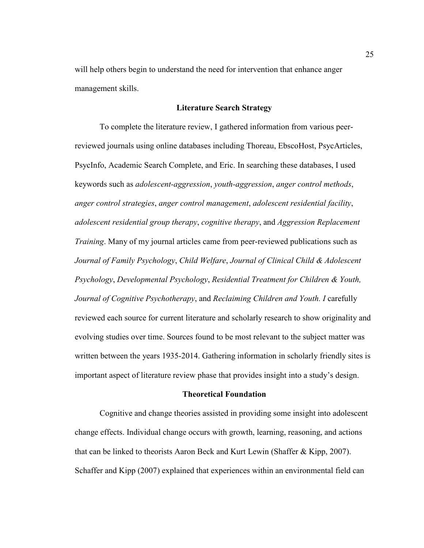will help others begin to understand the need for intervention that enhance anger management skills.

# **Literature Search Strategy**

To complete the literature review, I gathered information from various peerreviewed journals using online databases including Thoreau, EbscoHost, PsycArticles, PsycInfo, Academic Search Complete, and Eric. In searching these databases, I used keywords such as *adolescent-aggression*, *youth-aggression*, *anger control methods*, *anger control strategies*, *anger control management*, *adolescent residential facility*, *adolescent residential group therapy*, *cognitive therapy*, and *Aggression Replacement Training*. Many of my journal articles came from peer-reviewed publications such as *Journal of Family Psychology*, *Child Welfare*, *Journal of Clinical Child & Adolescent Psychology*, *Developmental Psychology*, *Residential Treatment for Children & Youth, Journal of Cognitive Psychotherapy*, and *Reclaiming Children and Youth. I* carefully reviewed each source for current literature and scholarly research to show originality and evolving studies over time. Sources found to be most relevant to the subject matter was written between the years 1935-2014. Gathering information in scholarly friendly sites is important aspect of literature review phase that provides insight into a study's design.

# **Theoretical Foundation**

Cognitive and change theories assisted in providing some insight into adolescent change effects. Individual change occurs with growth, learning, reasoning, and actions that can be linked to theorists Aaron Beck and Kurt Lewin (Shaffer & Kipp, 2007). Schaffer and Kipp (2007) explained that experiences within an environmental field can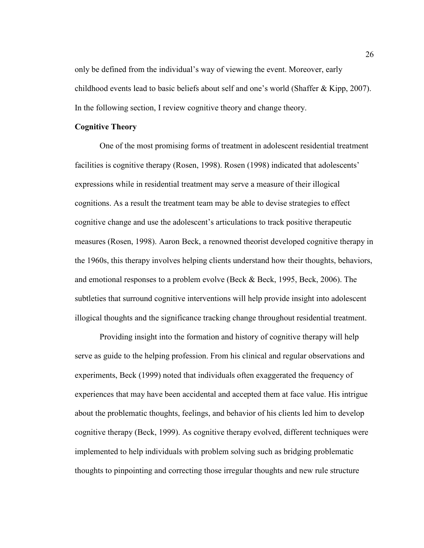only be defined from the individual's way of viewing the event. Moreover, early childhood events lead to basic beliefs about self and one's world (Shaffer & Kipp, 2007). In the following section, I review cognitive theory and change theory.

# **Cognitive Theory**

One of the most promising forms of treatment in adolescent residential treatment facilities is cognitive therapy (Rosen, 1998). Rosen (1998) indicated that adolescents' expressions while in residential treatment may serve a measure of their illogical cognitions. As a result the treatment team may be able to devise strategies to effect cognitive change and use the adolescent's articulations to track positive therapeutic measures (Rosen, 1998). Aaron Beck, a renowned theorist developed cognitive therapy in the 1960s, this therapy involves helping clients understand how their thoughts, behaviors, and emotional responses to a problem evolve (Beck & Beck, 1995, Beck, 2006). The subtleties that surround cognitive interventions will help provide insight into adolescent illogical thoughts and the significance tracking change throughout residential treatment.

Providing insight into the formation and history of cognitive therapy will help serve as guide to the helping profession. From his clinical and regular observations and experiments, Beck (1999) noted that individuals often exaggerated the frequency of experiences that may have been accidental and accepted them at face value. His intrigue about the problematic thoughts, feelings, and behavior of his clients led him to develop cognitive therapy (Beck, 1999). As cognitive therapy evolved, different techniques were implemented to help individuals with problem solving such as bridging problematic thoughts to pinpointing and correcting those irregular thoughts and new rule structure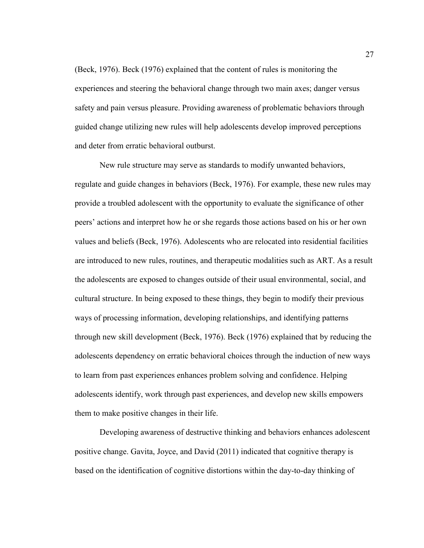(Beck, 1976). Beck (1976) explained that the content of rules is monitoring the experiences and steering the behavioral change through two main axes; danger versus safety and pain versus pleasure. Providing awareness of problematic behaviors through guided change utilizing new rules will help adolescents develop improved perceptions and deter from erratic behavioral outburst.

New rule structure may serve as standards to modify unwanted behaviors, regulate and guide changes in behaviors (Beck, 1976). For example, these new rules may provide a troubled adolescent with the opportunity to evaluate the significance of other peers' actions and interpret how he or she regards those actions based on his or her own values and beliefs (Beck, 1976). Adolescents who are relocated into residential facilities are introduced to new rules, routines, and therapeutic modalities such as ART. As a result the adolescents are exposed to changes outside of their usual environmental, social, and cultural structure. In being exposed to these things, they begin to modify their previous ways of processing information, developing relationships, and identifying patterns through new skill development (Beck, 1976). Beck (1976) explained that by reducing the adolescents dependency on erratic behavioral choices through the induction of new ways to learn from past experiences enhances problem solving and confidence. Helping adolescents identify, work through past experiences, and develop new skills empowers them to make positive changes in their life.

Developing awareness of destructive thinking and behaviors enhances adolescent positive change. Gavita, Joyce, and David (2011) indicated that cognitive therapy is based on the identification of cognitive distortions within the day-to-day thinking of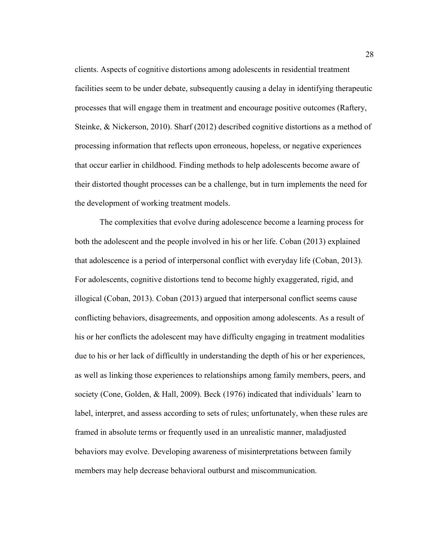clients. Aspects of cognitive distortions among adolescents in residential treatment facilities seem to be under debate, subsequently causing a delay in identifying therapeutic processes that will engage them in treatment and encourage positive outcomes (Raftery, Steinke, & Nickerson, 2010). Sharf (2012) described cognitive distortions as a method of processing information that reflects upon erroneous, hopeless, or negative experiences that occur earlier in childhood. Finding methods to help adolescents become aware of their distorted thought processes can be a challenge, but in turn implements the need for the development of working treatment models.

The complexities that evolve during adolescence become a learning process for both the adolescent and the people involved in his or her life. Coban (2013) explained that adolescence is a period of interpersonal conflict with everyday life (Coban, 2013). For adolescents, cognitive distortions tend to become highly exaggerated, rigid, and illogical (Coban, 2013). Coban (2013) argued that interpersonal conflict seems cause conflicting behaviors, disagreements, and opposition among adolescents. As a result of his or her conflicts the adolescent may have difficulty engaging in treatment modalities due to his or her lack of difficultly in understanding the depth of his or her experiences, as well as linking those experiences to relationships among family members, peers, and society (Cone, Golden, & Hall, 2009). Beck (1976) indicated that individuals' learn to label, interpret, and assess according to sets of rules; unfortunately, when these rules are framed in absolute terms or frequently used in an unrealistic manner, maladjusted behaviors may evolve. Developing awareness of misinterpretations between family members may help decrease behavioral outburst and miscommunication.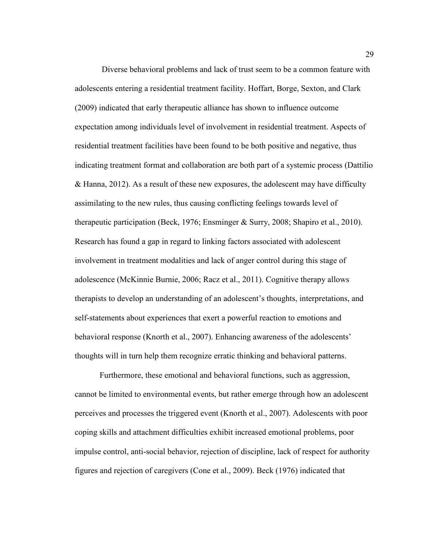Diverse behavioral problems and lack of trust seem to be a common feature with adolescents entering a residential treatment facility. Hoffart, Borge, Sexton, and Clark (2009) indicated that early therapeutic alliance has shown to influence outcome expectation among individuals level of involvement in residential treatment. Aspects of residential treatment facilities have been found to be both positive and negative, thus indicating treatment format and collaboration are both part of a systemic process (Dattilio & Hanna, 2012). As a result of these new exposures, the adolescent may have difficulty assimilating to the new rules, thus causing conflicting feelings towards level of therapeutic participation (Beck, 1976; Ensminger & Surry, 2008; Shapiro et al., 2010). Research has found a gap in regard to linking factors associated with adolescent involvement in treatment modalities and lack of anger control during this stage of adolescence (McKinnie Burnie, 2006; Racz et al., 2011). Cognitive therapy allows therapists to develop an understanding of an adolescent's thoughts, interpretations, and self-statements about experiences that exert a powerful reaction to emotions and behavioral response (Knorth et al., 2007). Enhancing awareness of the adolescents' thoughts will in turn help them recognize erratic thinking and behavioral patterns.

Furthermore, these emotional and behavioral functions, such as aggression, cannot be limited to environmental events, but rather emerge through how an adolescent perceives and processes the triggered event (Knorth et al., 2007). Adolescents with poor coping skills and attachment difficulties exhibit increased emotional problems, poor impulse control, anti-social behavior, rejection of discipline, lack of respect for authority figures and rejection of caregivers (Cone et al., 2009). Beck (1976) indicated that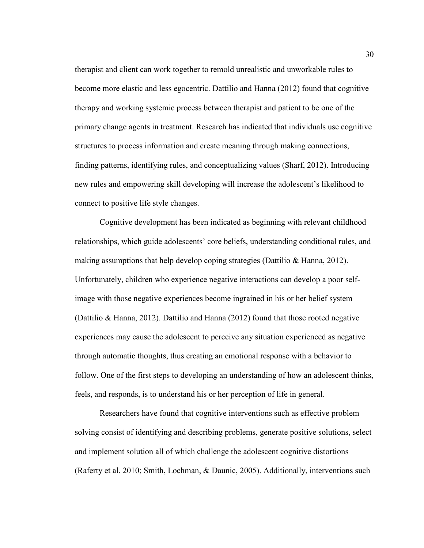therapist and client can work together to remold unrealistic and unworkable rules to become more elastic and less egocentric. Dattilio and Hanna (2012) found that cognitive therapy and working systemic process between therapist and patient to be one of the primary change agents in treatment. Research has indicated that individuals use cognitive structures to process information and create meaning through making connections, finding patterns, identifying rules, and conceptualizing values (Sharf, 2012). Introducing new rules and empowering skill developing will increase the adolescent's likelihood to connect to positive life style changes.

 Cognitive development has been indicated as beginning with relevant childhood relationships, which guide adolescents' core beliefs, understanding conditional rules, and making assumptions that help develop coping strategies (Dattilio & Hanna, 2012). Unfortunately, children who experience negative interactions can develop a poor selfimage with those negative experiences become ingrained in his or her belief system (Dattilio & Hanna, 2012). Dattilio and Hanna (2012) found that those rooted negative experiences may cause the adolescent to perceive any situation experienced as negative through automatic thoughts, thus creating an emotional response with a behavior to follow. One of the first steps to developing an understanding of how an adolescent thinks, feels, and responds, is to understand his or her perception of life in general.

Researchers have found that cognitive interventions such as effective problem solving consist of identifying and describing problems, generate positive solutions, select and implement solution all of which challenge the adolescent cognitive distortions (Raferty et al. 2010; Smith, Lochman, & Daunic, 2005). Additionally, interventions such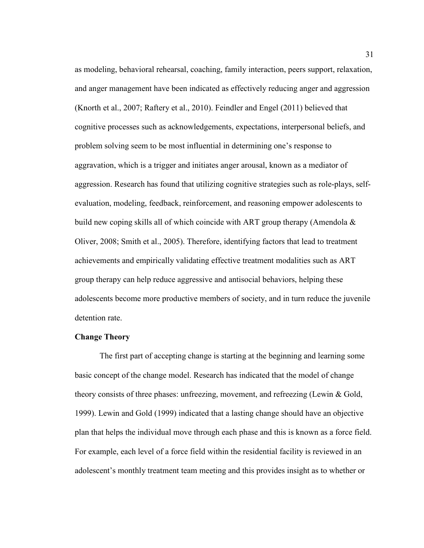as modeling, behavioral rehearsal, coaching, family interaction, peers support, relaxation, and anger management have been indicated as effectively reducing anger and aggression (Knorth et al., 2007; Raftery et al., 2010). Feindler and Engel (2011) believed that cognitive processes such as acknowledgements, expectations, interpersonal beliefs, and problem solving seem to be most influential in determining one's response to aggravation, which is a trigger and initiates anger arousal, known as a mediator of aggression. Research has found that utilizing cognitive strategies such as role-plays, selfevaluation, modeling, feedback, reinforcement, and reasoning empower adolescents to build new coping skills all of which coincide with ART group therapy (Amendola & Oliver, 2008; Smith et al., 2005). Therefore, identifying factors that lead to treatment achievements and empirically validating effective treatment modalities such as ART group therapy can help reduce aggressive and antisocial behaviors, helping these adolescents become more productive members of society, and in turn reduce the juvenile detention rate.

### **Change Theory**

The first part of accepting change is starting at the beginning and learning some basic concept of the change model. Research has indicated that the model of change theory consists of three phases: unfreezing, movement, and refreezing (Lewin & Gold, 1999). Lewin and Gold (1999) indicated that a lasting change should have an objective plan that helps the individual move through each phase and this is known as a force field. For example, each level of a force field within the residential facility is reviewed in an adolescent's monthly treatment team meeting and this provides insight as to whether or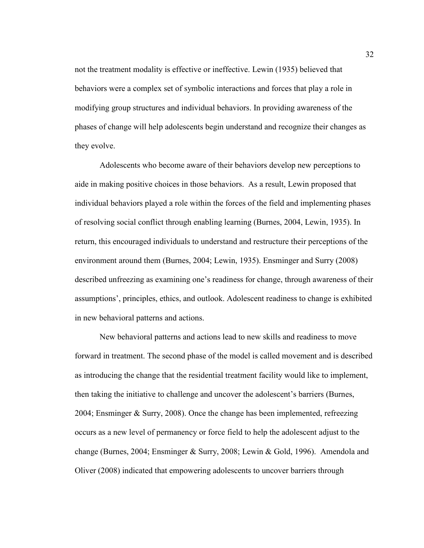not the treatment modality is effective or ineffective. Lewin (1935) believed that behaviors were a complex set of symbolic interactions and forces that play a role in modifying group structures and individual behaviors. In providing awareness of the phases of change will help adolescents begin understand and recognize their changes as they evolve.

Adolescents who become aware of their behaviors develop new perceptions to aide in making positive choices in those behaviors. As a result, Lewin proposed that individual behaviors played a role within the forces of the field and implementing phases of resolving social conflict through enabling learning (Burnes, 2004, Lewin, 1935). In return, this encouraged individuals to understand and restructure their perceptions of the environment around them (Burnes, 2004; Lewin, 1935). Ensminger and Surry (2008) described unfreezing as examining one's readiness for change, through awareness of their assumptions', principles, ethics, and outlook. Adolescent readiness to change is exhibited in new behavioral patterns and actions.

New behavioral patterns and actions lead to new skills and readiness to move forward in treatment. The second phase of the model is called movement and is described as introducing the change that the residential treatment facility would like to implement, then taking the initiative to challenge and uncover the adolescent's barriers (Burnes, 2004; Ensminger & Surry, 2008). Once the change has been implemented, refreezing occurs as a new level of permanency or force field to help the adolescent adjust to the change (Burnes, 2004; Ensminger & Surry, 2008; Lewin & Gold, 1996). Amendola and Oliver (2008) indicated that empowering adolescents to uncover barriers through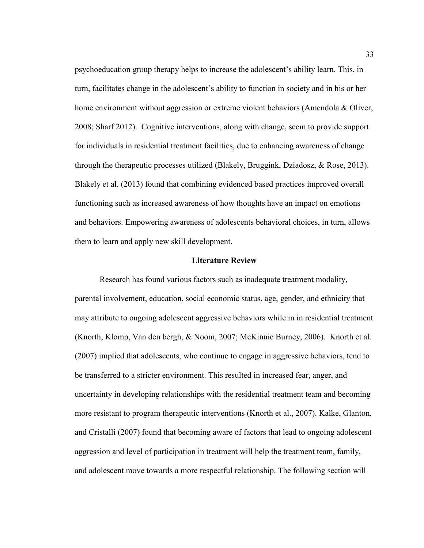psychoeducation group therapy helps to increase the adolescent's ability learn. This, in turn, facilitates change in the adolescent's ability to function in society and in his or her home environment without aggression or extreme violent behaviors (Amendola & Oliver, 2008; Sharf 2012). Cognitive interventions, along with change, seem to provide support for individuals in residential treatment facilities, due to enhancing awareness of change through the therapeutic processes utilized (Blakely, Bruggink, Dziadosz, & Rose, 2013). Blakely et al. (2013) found that combining evidenced based practices improved overall functioning such as increased awareness of how thoughts have an impact on emotions and behaviors. Empowering awareness of adolescents behavioral choices, in turn, allows them to learn and apply new skill development.

### **Literature Review**

Research has found various factors such as inadequate treatment modality, parental involvement, education, social economic status, age, gender, and ethnicity that may attribute to ongoing adolescent aggressive behaviors while in in residential treatment (Knorth, Klomp, Van den bergh, & Noom, 2007; McKinnie Burney, 2006). Knorth et al. (2007) implied that adolescents, who continue to engage in aggressive behaviors, tend to be transferred to a stricter environment. This resulted in increased fear, anger, and uncertainty in developing relationships with the residential treatment team and becoming more resistant to program therapeutic interventions (Knorth et al., 2007). Kalke, Glanton, and Cristalli (2007) found that becoming aware of factors that lead to ongoing adolescent aggression and level of participation in treatment will help the treatment team, family, and adolescent move towards a more respectful relationship. The following section will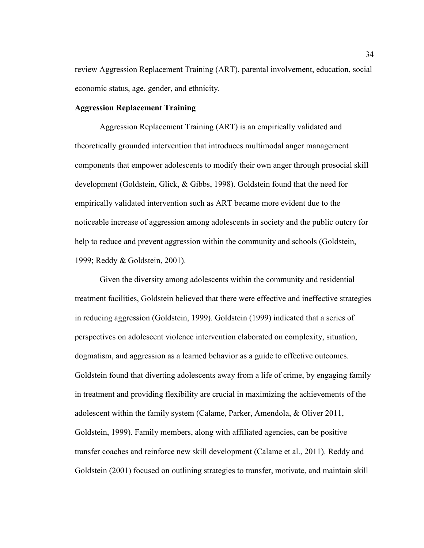review Aggression Replacement Training (ART), parental involvement, education, social economic status, age, gender, and ethnicity.

# **Aggression Replacement Training**

Aggression Replacement Training (ART) is an empirically validated and theoretically grounded intervention that introduces multimodal anger management components that empower adolescents to modify their own anger through prosocial skill development (Goldstein, Glick, & Gibbs, 1998). Goldstein found that the need for empirically validated intervention such as ART became more evident due to the noticeable increase of aggression among adolescents in society and the public outcry for help to reduce and prevent aggression within the community and schools (Goldstein, 1999; Reddy & Goldstein, 2001).

Given the diversity among adolescents within the community and residential treatment facilities, Goldstein believed that there were effective and ineffective strategies in reducing aggression (Goldstein, 1999). Goldstein (1999) indicated that a series of perspectives on adolescent violence intervention elaborated on complexity, situation, dogmatism, and aggression as a learned behavior as a guide to effective outcomes. Goldstein found that diverting adolescents away from a life of crime, by engaging family in treatment and providing flexibility are crucial in maximizing the achievements of the adolescent within the family system (Calame, Parker, Amendola, & Oliver 2011, Goldstein, 1999). Family members, along with affiliated agencies, can be positive transfer coaches and reinforce new skill development (Calame et al., 2011). Reddy and Goldstein (2001) focused on outlining strategies to transfer, motivate, and maintain skill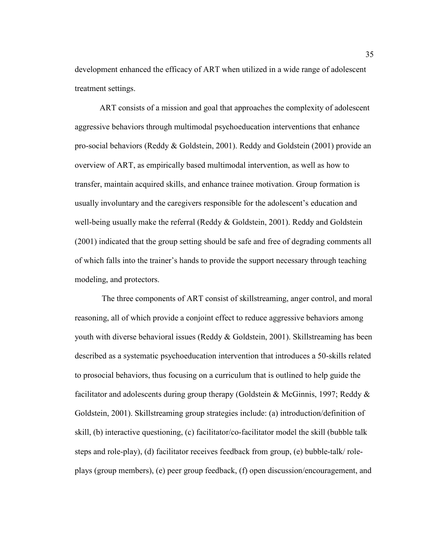development enhanced the efficacy of ART when utilized in a wide range of adolescent treatment settings.

ART consists of a mission and goal that approaches the complexity of adolescent aggressive behaviors through multimodal psychoeducation interventions that enhance pro-social behaviors (Reddy & Goldstein, 2001). Reddy and Goldstein (2001) provide an overview of ART, as empirically based multimodal intervention, as well as how to transfer, maintain acquired skills, and enhance trainee motivation. Group formation is usually involuntary and the caregivers responsible for the adolescent's education and well-being usually make the referral (Reddy  $\&$  Goldstein, 2001). Reddy and Goldstein (2001) indicated that the group setting should be safe and free of degrading comments all of which falls into the trainer's hands to provide the support necessary through teaching modeling, and protectors.

 The three components of ART consist of skillstreaming, anger control, and moral reasoning, all of which provide a conjoint effect to reduce aggressive behaviors among youth with diverse behavioral issues (Reddy & Goldstein, 2001). Skillstreaming has been described as a systematic psychoeducation intervention that introduces a 50-skills related to prosocial behaviors, thus focusing on a curriculum that is outlined to help guide the facilitator and adolescents during group therapy (Goldstein & McGinnis, 1997; Reddy & Goldstein, 2001). Skillstreaming group strategies include: (a) introduction/definition of skill, (b) interactive questioning, (c) facilitator/co-facilitator model the skill (bubble talk steps and role-play), (d) facilitator receives feedback from group, (e) bubble-talk/ roleplays (group members), (e) peer group feedback, (f) open discussion/encouragement, and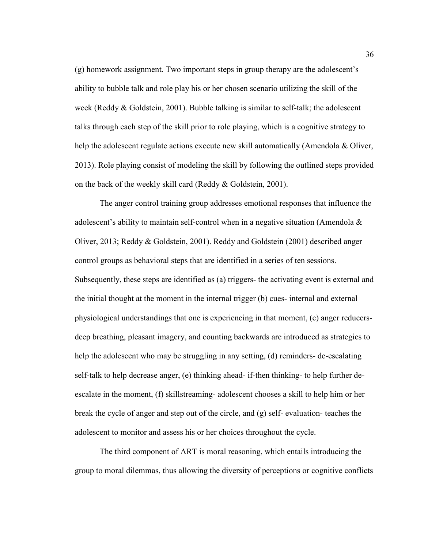(g) homework assignment. Two important steps in group therapy are the adolescent's ability to bubble talk and role play his or her chosen scenario utilizing the skill of the week (Reddy & Goldstein, 2001). Bubble talking is similar to self-talk; the adolescent talks through each step of the skill prior to role playing, which is a cognitive strategy to help the adolescent regulate actions execute new skill automatically (Amendola  $\&$  Oliver, 2013). Role playing consist of modeling the skill by following the outlined steps provided on the back of the weekly skill card (Reddy & Goldstein, 2001).

The anger control training group addresses emotional responses that influence the adolescent's ability to maintain self-control when in a negative situation (Amendola  $\&$ Oliver, 2013; Reddy & Goldstein, 2001). Reddy and Goldstein (2001) described anger control groups as behavioral steps that are identified in a series of ten sessions. Subsequently, these steps are identified as (a) triggers- the activating event is external and the initial thought at the moment in the internal trigger (b) cues- internal and external physiological understandings that one is experiencing in that moment, (c) anger reducersdeep breathing, pleasant imagery, and counting backwards are introduced as strategies to help the adolescent who may be struggling in any setting, (d) reminders- de-escalating self-talk to help decrease anger, (e) thinking ahead- if-then thinking- to help further deescalate in the moment, (f) skillstreaming- adolescent chooses a skill to help him or her break the cycle of anger and step out of the circle, and (g) self- evaluation- teaches the adolescent to monitor and assess his or her choices throughout the cycle.

The third component of ART is moral reasoning, which entails introducing the group to moral dilemmas, thus allowing the diversity of perceptions or cognitive conflicts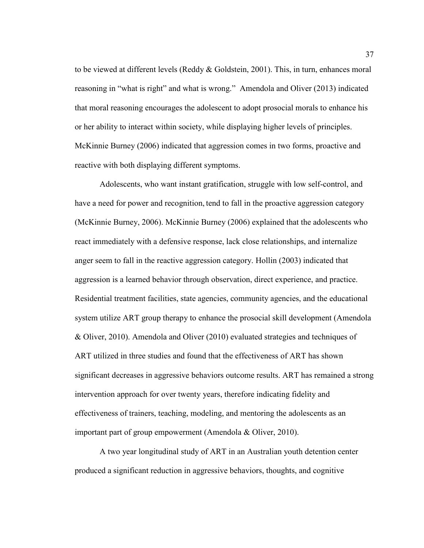to be viewed at different levels (Reddy & Goldstein, 2001). This, in turn, enhances moral reasoning in "what is right" and what is wrong." Amendola and Oliver (2013) indicated that moral reasoning encourages the adolescent to adopt prosocial morals to enhance his or her ability to interact within society, while displaying higher levels of principles. McKinnie Burney (2006) indicated that aggression comes in two forms, proactive and reactive with both displaying different symptoms.

Adolescents, who want instant gratification, struggle with low self-control, and have a need for power and recognition, tend to fall in the proactive aggression category (McKinnie Burney, 2006). McKinnie Burney (2006) explained that the adolescents who react immediately with a defensive response, lack close relationships, and internalize anger seem to fall in the reactive aggression category. Hollin (2003) indicated that aggression is a learned behavior through observation, direct experience, and practice. Residential treatment facilities, state agencies, community agencies, and the educational system utilize ART group therapy to enhance the prosocial skill development (Amendola & Oliver, 2010). Amendola and Oliver (2010) evaluated strategies and techniques of ART utilized in three studies and found that the effectiveness of ART has shown significant decreases in aggressive behaviors outcome results. ART has remained a strong intervention approach for over twenty years, therefore indicating fidelity and effectiveness of trainers, teaching, modeling, and mentoring the adolescents as an important part of group empowerment (Amendola & Oliver, 2010).

A two year longitudinal study of ART in an Australian youth detention center produced a significant reduction in aggressive behaviors, thoughts, and cognitive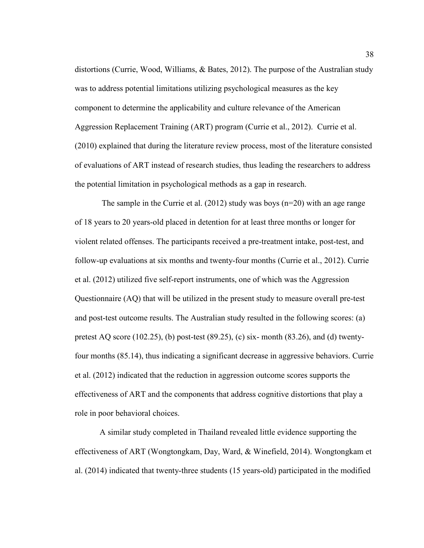distortions (Currie, Wood, Williams, & Bates, 2012). The purpose of the Australian study was to address potential limitations utilizing psychological measures as the key component to determine the applicability and culture relevance of the American Aggression Replacement Training (ART) program (Currie et al., 2012). Currie et al. (2010) explained that during the literature review process, most of the literature consisted of evaluations of ART instead of research studies, thus leading the researchers to address the potential limitation in psychological methods as a gap in research.

The sample in the Currie et al. (2012) study was boys ( $n=20$ ) with an age range of 18 years to 20 years-old placed in detention for at least three months or longer for violent related offenses. The participants received a pre-treatment intake, post-test, and follow-up evaluations at six months and twenty-four months (Currie et al., 2012). Currie et al. (2012) utilized five self-report instruments, one of which was the Aggression Questionnaire (AQ) that will be utilized in the present study to measure overall pre-test and post-test outcome results. The Australian study resulted in the following scores: (a) pretest AQ score (102.25), (b) post-test (89.25), (c) six- month (83.26), and (d) twentyfour months (85.14), thus indicating a significant decrease in aggressive behaviors. Currie et al. (2012) indicated that the reduction in aggression outcome scores supports the effectiveness of ART and the components that address cognitive distortions that play a role in poor behavioral choices.

A similar study completed in Thailand revealed little evidence supporting the effectiveness of ART (Wongtongkam, Day, Ward, & Winefield, 2014). Wongtongkam et al. (2014) indicated that twenty-three students (15 years-old) participated in the modified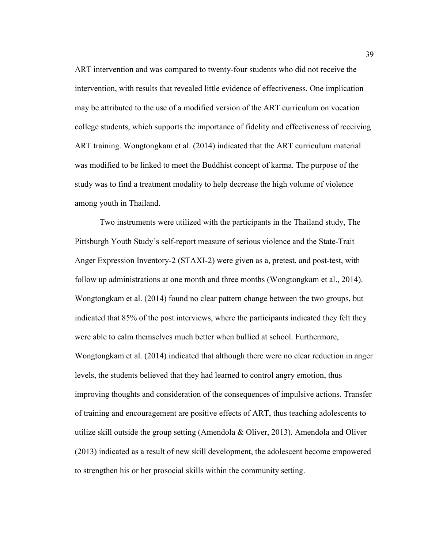ART intervention and was compared to twenty-four students who did not receive the intervention, with results that revealed little evidence of effectiveness. One implication may be attributed to the use of a modified version of the ART curriculum on vocation college students, which supports the importance of fidelity and effectiveness of receiving ART training. Wongtongkam et al. (2014) indicated that the ART curriculum material was modified to be linked to meet the Buddhist concept of karma. The purpose of the study was to find a treatment modality to help decrease the high volume of violence among youth in Thailand.

Two instruments were utilized with the participants in the Thailand study, The Pittsburgh Youth Study's self-report measure of serious violence and the State-Trait Anger Expression Inventory-2 (STAXI-2) were given as a, pretest, and post-test, with follow up administrations at one month and three months (Wongtongkam et al., 2014). Wongtongkam et al. (2014) found no clear pattern change between the two groups, but indicated that 85% of the post interviews, where the participants indicated they felt they were able to calm themselves much better when bullied at school. Furthermore, Wongtongkam et al. (2014) indicated that although there were no clear reduction in anger levels, the students believed that they had learned to control angry emotion, thus improving thoughts and consideration of the consequences of impulsive actions. Transfer of training and encouragement are positive effects of ART, thus teaching adolescents to utilize skill outside the group setting (Amendola & Oliver, 2013). Amendola and Oliver (2013) indicated as a result of new skill development, the adolescent become empowered to strengthen his or her prosocial skills within the community setting.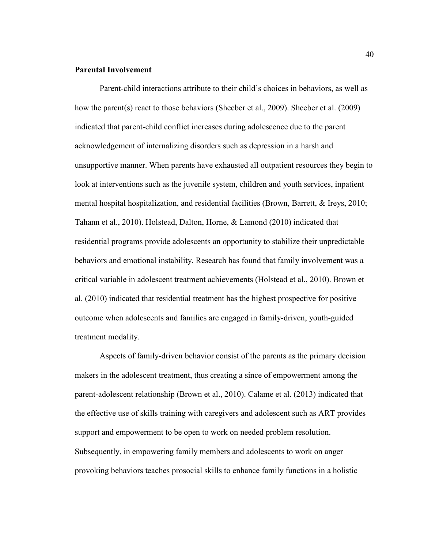# **Parental Involvement**

Parent-child interactions attribute to their child's choices in behaviors, as well as how the parent(s) react to those behaviors (Sheeber et al., 2009). Sheeber et al. (2009) indicated that parent-child conflict increases during adolescence due to the parent acknowledgement of internalizing disorders such as depression in a harsh and unsupportive manner. When parents have exhausted all outpatient resources they begin to look at interventions such as the juvenile system, children and youth services, inpatient mental hospital hospitalization, and residential facilities (Brown, Barrett, & Ireys, 2010; Tahann et al., 2010). Holstead, Dalton, Horne, & Lamond (2010) indicated that residential programs provide adolescents an opportunity to stabilize their unpredictable behaviors and emotional instability. Research has found that family involvement was a critical variable in adolescent treatment achievements (Holstead et al., 2010). Brown et al. (2010) indicated that residential treatment has the highest prospective for positive outcome when adolescents and families are engaged in family-driven, youth-guided treatment modality.

Aspects of family-driven behavior consist of the parents as the primary decision makers in the adolescent treatment, thus creating a since of empowerment among the parent-adolescent relationship (Brown et al., 2010). Calame et al. (2013) indicated that the effective use of skills training with caregivers and adolescent such as ART provides support and empowerment to be open to work on needed problem resolution. Subsequently, in empowering family members and adolescents to work on anger provoking behaviors teaches prosocial skills to enhance family functions in a holistic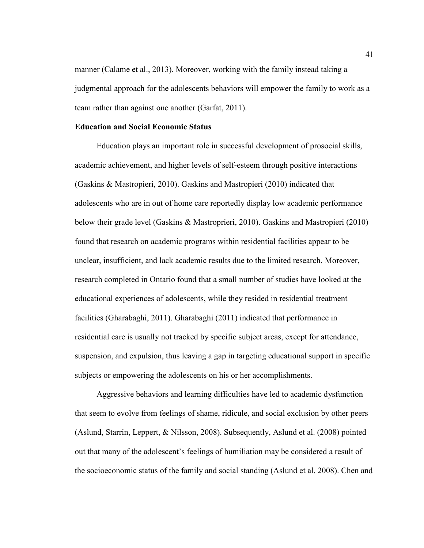manner (Calame et al., 2013). Moreover, working with the family instead taking a judgmental approach for the adolescents behaviors will empower the family to work as a team rather than against one another (Garfat, 2011).

# **Education and Social Economic Status**

 Education plays an important role in successful development of prosocial skills, academic achievement, and higher levels of self-esteem through positive interactions (Gaskins & Mastropieri, 2010). Gaskins and Mastropieri (2010) indicated that adolescents who are in out of home care reportedly display low academic performance below their grade level (Gaskins & Mastroprieri, 2010). Gaskins and Mastropieri (2010) found that research on academic programs within residential facilities appear to be unclear, insufficient, and lack academic results due to the limited research. Moreover, research completed in Ontario found that a small number of studies have looked at the educational experiences of adolescents, while they resided in residential treatment facilities (Gharabaghi, 2011). Gharabaghi (2011) indicated that performance in residential care is usually not tracked by specific subject areas, except for attendance, suspension, and expulsion, thus leaving a gap in targeting educational support in specific subjects or empowering the adolescents on his or her accomplishments.

 Aggressive behaviors and learning difficulties have led to academic dysfunction that seem to evolve from feelings of shame, ridicule, and social exclusion by other peers (Aslund, Starrin, Leppert, & Nilsson, 2008). Subsequently, Aslund et al. (2008) pointed out that many of the adolescent's feelings of humiliation may be considered a result of the socioeconomic status of the family and social standing (Aslund et al. 2008). Chen and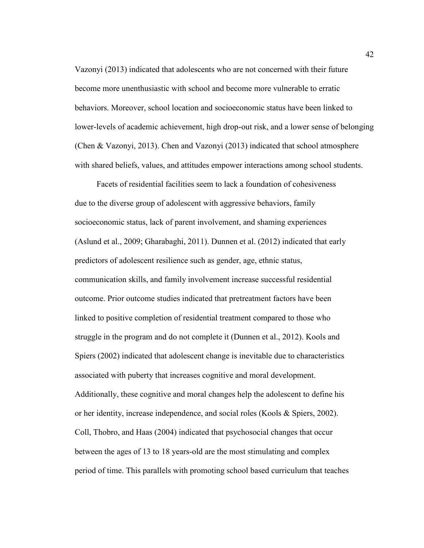Vazonyi (2013) indicated that adolescents who are not concerned with their future become more unenthusiastic with school and become more vulnerable to erratic behaviors. Moreover, school location and socioeconomic status have been linked to lower-levels of academic achievement, high drop-out risk, and a lower sense of belonging (Chen & Vazonyi, 2013). Chen and Vazonyi (2013) indicated that school atmosphere with shared beliefs, values, and attitudes empower interactions among school students.

 Facets of residential facilities seem to lack a foundation of cohesiveness due to the diverse group of adolescent with aggressive behaviors, family socioeconomic status, lack of parent involvement, and shaming experiences (Aslund et al., 2009; Gharabaghi, 2011). Dunnen et al. (2012) indicated that early predictors of adolescent resilience such as gender, age, ethnic status, communication skills, and family involvement increase successful residential outcome. Prior outcome studies indicated that pretreatment factors have been linked to positive completion of residential treatment compared to those who struggle in the program and do not complete it (Dunnen et al., 2012). Kools and Spiers (2002) indicated that adolescent change is inevitable due to characteristics associated with puberty that increases cognitive and moral development. Additionally, these cognitive and moral changes help the adolescent to define his or her identity, increase independence, and social roles (Kools & Spiers, 2002). Coll, Thobro, and Haas (2004) indicated that psychosocial changes that occur between the ages of 13 to 18 years-old are the most stimulating and complex period of time. This parallels with promoting school based curriculum that teaches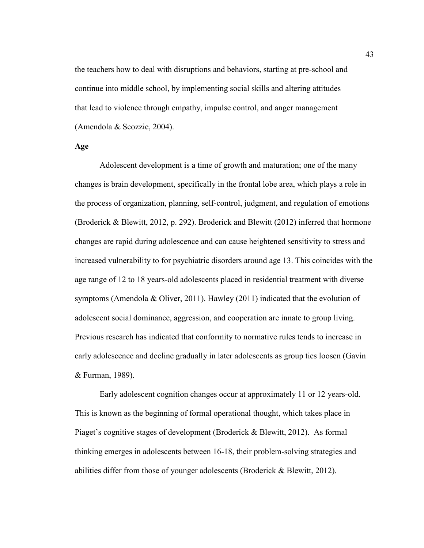the teachers how to deal with disruptions and behaviors, starting at pre-school and continue into middle school, by implementing social skills and altering attitudes that lead to violence through empathy, impulse control, and anger management (Amendola & Scozzie, 2004).

# **Age**

Adolescent development is a time of growth and maturation; one of the many changes is brain development, specifically in the frontal lobe area, which plays a role in the process of organization, planning, self-control, judgment, and regulation of emotions (Broderick & Blewitt, 2012, p. 292). Broderick and Blewitt (2012) inferred that hormone changes are rapid during adolescence and can cause heightened sensitivity to stress and increased vulnerability to for psychiatric disorders around age 13. This coincides with the age range of 12 to 18 years-old adolescents placed in residential treatment with diverse symptoms (Amendola & Oliver, 2011). Hawley (2011) indicated that the evolution of adolescent social dominance, aggression, and cooperation are innate to group living. Previous research has indicated that conformity to normative rules tends to increase in early adolescence and decline gradually in later adolescents as group ties loosen (Gavin & Furman, 1989).

 Early adolescent cognition changes occur at approximately 11 or 12 years-old. This is known as the beginning of formal operational thought, which takes place in Piaget's cognitive stages of development (Broderick & Blewitt, 2012). As formal thinking emerges in adolescents between 16-18, their problem-solving strategies and abilities differ from those of younger adolescents (Broderick & Blewitt, 2012).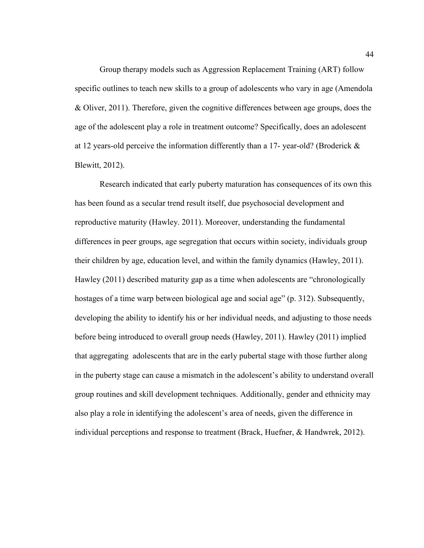Group therapy models such as Aggression Replacement Training (ART) follow specific outlines to teach new skills to a group of adolescents who vary in age (Amendola & Oliver, 2011). Therefore, given the cognitive differences between age groups, does the age of the adolescent play a role in treatment outcome? Specifically, does an adolescent at 12 years-old perceive the information differently than a 17- year-old? (Broderick & Blewitt, 2012).

Research indicated that early puberty maturation has consequences of its own this has been found as a secular trend result itself, due psychosocial development and reproductive maturity (Hawley. 2011). Moreover, understanding the fundamental differences in peer groups, age segregation that occurs within society, individuals group their children by age, education level, and within the family dynamics (Hawley, 2011). Hawley (2011) described maturity gap as a time when adolescents are "chronologically hostages of a time warp between biological age and social age" (p. 312). Subsequently, developing the ability to identify his or her individual needs, and adjusting to those needs before being introduced to overall group needs (Hawley, 2011). Hawley (2011) implied that aggregating adolescents that are in the early pubertal stage with those further along in the puberty stage can cause a mismatch in the adolescent's ability to understand overall group routines and skill development techniques. Additionally, gender and ethnicity may also play a role in identifying the adolescent's area of needs, given the difference in individual perceptions and response to treatment (Brack, Huefner, & Handwrek, 2012).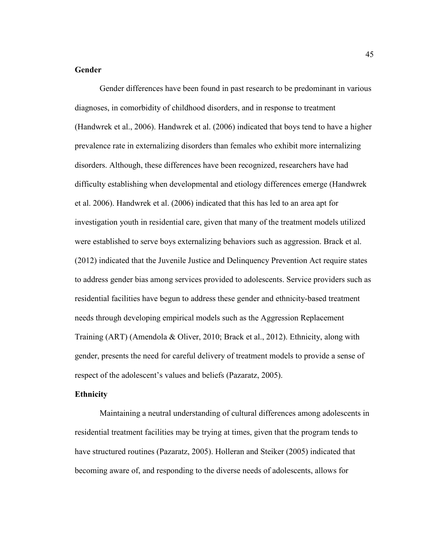# **Gender**

Gender differences have been found in past research to be predominant in various diagnoses, in comorbidity of childhood disorders, and in response to treatment (Handwrek et al., 2006). Handwrek et al. (2006) indicated that boys tend to have a higher prevalence rate in externalizing disorders than females who exhibit more internalizing disorders. Although, these differences have been recognized, researchers have had difficulty establishing when developmental and etiology differences emerge (Handwrek et al. 2006). Handwrek et al. (2006) indicated that this has led to an area apt for investigation youth in residential care, given that many of the treatment models utilized were established to serve boys externalizing behaviors such as aggression. Brack et al. (2012) indicated that the Juvenile Justice and Delinquency Prevention Act require states to address gender bias among services provided to adolescents. Service providers such as residential facilities have begun to address these gender and ethnicity-based treatment needs through developing empirical models such as the Aggression Replacement Training (ART) (Amendola & Oliver, 2010; Brack et al., 2012). Ethnicity, along with gender, presents the need for careful delivery of treatment models to provide a sense of respect of the adolescent's values and beliefs (Pazaratz, 2005).

### **Ethnicity**

Maintaining a neutral understanding of cultural differences among adolescents in residential treatment facilities may be trying at times, given that the program tends to have structured routines (Pazaratz, 2005). Holleran and Steiker (2005) indicated that becoming aware of, and responding to the diverse needs of adolescents, allows for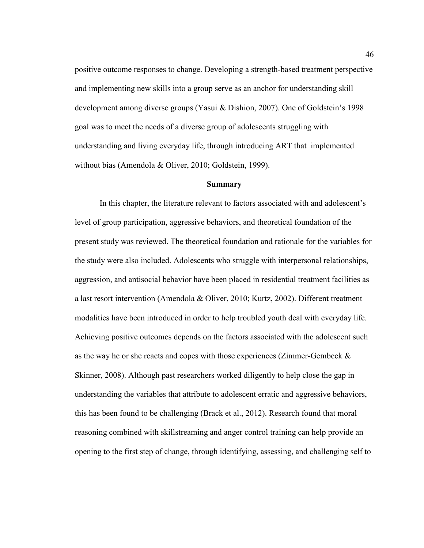positive outcome responses to change. Developing a strength-based treatment perspective and implementing new skills into a group serve as an anchor for understanding skill development among diverse groups (Yasui & Dishion, 2007). One of Goldstein's 1998 goal was to meet the needs of a diverse group of adolescents struggling with understanding and living everyday life, through introducing ART that implemented without bias (Amendola & Oliver, 2010; Goldstein, 1999).

#### **Summary**

In this chapter, the literature relevant to factors associated with and adolescent's level of group participation, aggressive behaviors, and theoretical foundation of the present study was reviewed. The theoretical foundation and rationale for the variables for the study were also included. Adolescents who struggle with interpersonal relationships, aggression, and antisocial behavior have been placed in residential treatment facilities as a last resort intervention (Amendola & Oliver, 2010; Kurtz, 2002). Different treatment modalities have been introduced in order to help troubled youth deal with everyday life. Achieving positive outcomes depends on the factors associated with the adolescent such as the way he or she reacts and copes with those experiences (Zimmer-Gembeck & Skinner, 2008). Although past researchers worked diligently to help close the gap in understanding the variables that attribute to adolescent erratic and aggressive behaviors, this has been found to be challenging (Brack et al., 2012). Research found that moral reasoning combined with skillstreaming and anger control training can help provide an opening to the first step of change, through identifying, assessing, and challenging self to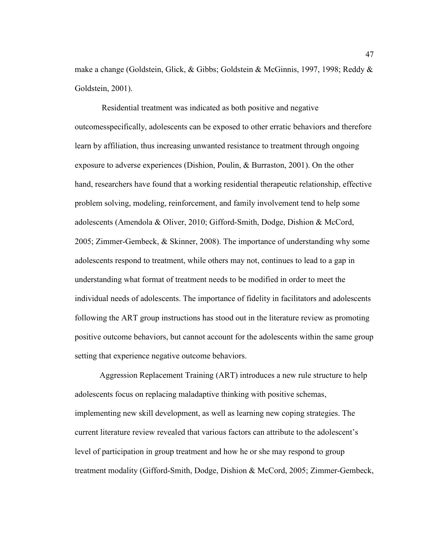make a change (Goldstein, Glick, & Gibbs; Goldstein & McGinnis, 1997, 1998; Reddy & Goldstein, 2001).

 Residential treatment was indicated as both positive and negative outcomesspecifically, adolescents can be exposed to other erratic behaviors and therefore learn by affiliation, thus increasing unwanted resistance to treatment through ongoing exposure to adverse experiences (Dishion, Poulin, & Burraston, 2001). On the other hand, researchers have found that a working residential therapeutic relationship, effective problem solving, modeling, reinforcement, and family involvement tend to help some adolescents (Amendola & Oliver, 2010; Gifford-Smith, Dodge, Dishion & McCord, 2005; Zimmer-Gembeck, & Skinner, 2008). The importance of understanding why some adolescents respond to treatment, while others may not, continues to lead to a gap in understanding what format of treatment needs to be modified in order to meet the individual needs of adolescents. The importance of fidelity in facilitators and adolescents following the ART group instructions has stood out in the literature review as promoting positive outcome behaviors, but cannot account for the adolescents within the same group setting that experience negative outcome behaviors.

Aggression Replacement Training (ART) introduces a new rule structure to help adolescents focus on replacing maladaptive thinking with positive schemas, implementing new skill development, as well as learning new coping strategies. The current literature review revealed that various factors can attribute to the adolescent's level of participation in group treatment and how he or she may respond to group treatment modality (Gifford-Smith, Dodge, Dishion & McCord, 2005; Zimmer-Gembeck,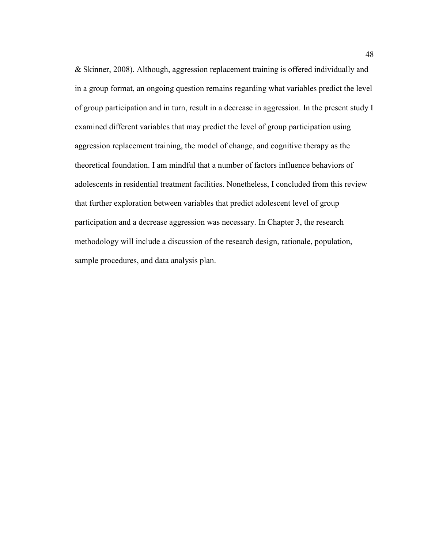& Skinner, 2008). Although, aggression replacement training is offered individually and in a group format, an ongoing question remains regarding what variables predict the level of group participation and in turn, result in a decrease in aggression. In the present study I examined different variables that may predict the level of group participation using aggression replacement training, the model of change, and cognitive therapy as the theoretical foundation. I am mindful that a number of factors influence behaviors of adolescents in residential treatment facilities. Nonetheless, I concluded from this review that further exploration between variables that predict adolescent level of group participation and a decrease aggression was necessary. In Chapter 3, the research methodology will include a discussion of the research design, rationale, population, sample procedures, and data analysis plan.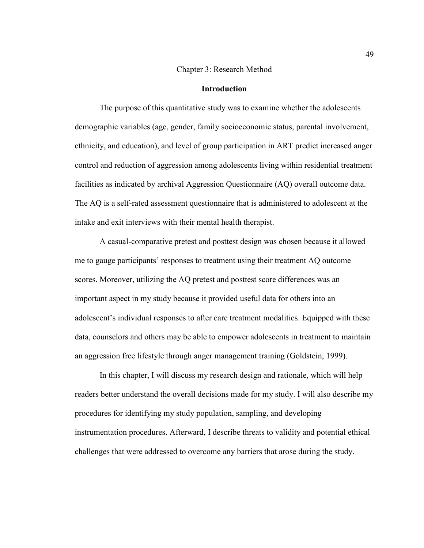### Chapter 3: Research Method

# **Introduction**

The purpose of this quantitative study was to examine whether the adolescents demographic variables (age, gender, family socioeconomic status, parental involvement, ethnicity, and education), and level of group participation in ART predict increased anger control and reduction of aggression among adolescents living within residential treatment facilities as indicated by archival Aggression Questionnaire (AQ) overall outcome data. The AQ is a self-rated assessment questionnaire that is administered to adolescent at the intake and exit interviews with their mental health therapist.

 A casual-comparative pretest and posttest design was chosen because it allowed me to gauge participants' responses to treatment using their treatment AQ outcome scores. Moreover, utilizing the AQ pretest and posttest score differences was an important aspect in my study because it provided useful data for others into an adolescent's individual responses to after care treatment modalities. Equipped with these data, counselors and others may be able to empower adolescents in treatment to maintain an aggression free lifestyle through anger management training (Goldstein, 1999).

In this chapter, I will discuss my research design and rationale, which will help readers better understand the overall decisions made for my study. I will also describe my procedures for identifying my study population, sampling, and developing instrumentation procedures. Afterward, I describe threats to validity and potential ethical challenges that were addressed to overcome any barriers that arose during the study.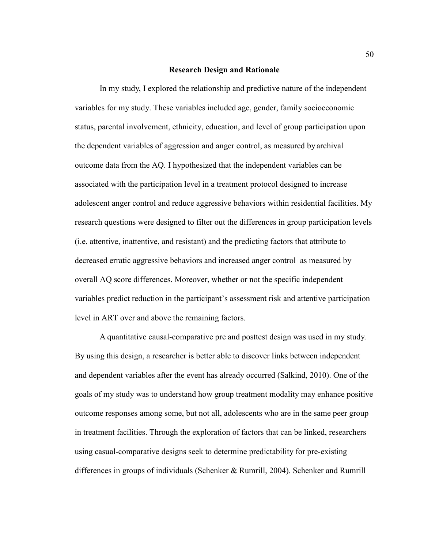### **Research Design and Rationale**

In my study, I explored the relationship and predictive nature of the independent variables for my study. These variables included age, gender, family socioeconomic status, parental involvement, ethnicity, education, and level of group participation upon the dependent variables of aggression and anger control, as measured by archival outcome data from the AQ. I hypothesized that the independent variables can be associated with the participation level in a treatment protocol designed to increase adolescent anger control and reduce aggressive behaviors within residential facilities. My research questions were designed to filter out the differences in group participation levels (i.e. attentive, inattentive, and resistant) and the predicting factors that attribute to decreased erratic aggressive behaviors and increased anger control as measured by overall AQ score differences. Moreover, whether or not the specific independent variables predict reduction in the participant's assessment risk and attentive participation level in ART over and above the remaining factors.

A quantitative causal-comparative pre and posttest design was used in my study. By using this design, a researcher is better able to discover links between independent and dependent variables after the event has already occurred (Salkind, 2010). One of the goals of my study was to understand how group treatment modality may enhance positive outcome responses among some, but not all, adolescents who are in the same peer group in treatment facilities. Through the exploration of factors that can be linked, researchers using casual-comparative designs seek to determine predictability for pre-existing differences in groups of individuals (Schenker & Rumrill, 2004). Schenker and Rumrill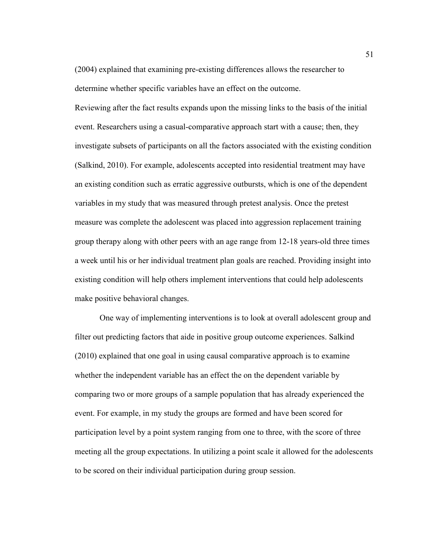(2004) explained that examining pre-existing differences allows the researcher to determine whether specific variables have an effect on the outcome.

Reviewing after the fact results expands upon the missing links to the basis of the initial event. Researchers using a casual-comparative approach start with a cause; then, they investigate subsets of participants on all the factors associated with the existing condition (Salkind, 2010). For example, adolescents accepted into residential treatment may have an existing condition such as erratic aggressive outbursts, which is one of the dependent variables in my study that was measured through pretest analysis. Once the pretest measure was complete the adolescent was placed into aggression replacement training group therapy along with other peers with an age range from 12-18 years-old three times a week until his or her individual treatment plan goals are reached. Providing insight into existing condition will help others implement interventions that could help adolescents make positive behavioral changes.

One way of implementing interventions is to look at overall adolescent group and filter out predicting factors that aide in positive group outcome experiences. Salkind (2010) explained that one goal in using causal comparative approach is to examine whether the independent variable has an effect the on the dependent variable by comparing two or more groups of a sample population that has already experienced the event. For example, in my study the groups are formed and have been scored for participation level by a point system ranging from one to three, with the score of three meeting all the group expectations. In utilizing a point scale it allowed for the adolescents to be scored on their individual participation during group session.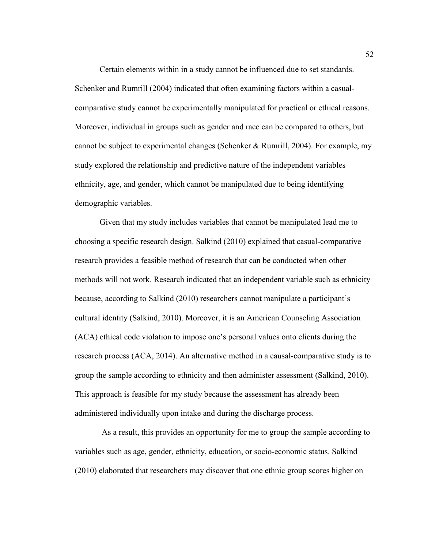Certain elements within in a study cannot be influenced due to set standards. Schenker and Rumrill (2004) indicated that often examining factors within a casualcomparative study cannot be experimentally manipulated for practical or ethical reasons. Moreover, individual in groups such as gender and race can be compared to others, but cannot be subject to experimental changes (Schenker & Rumrill, 2004). For example, my study explored the relationship and predictive nature of the independent variables ethnicity, age, and gender, which cannot be manipulated due to being identifying demographic variables.

Given that my study includes variables that cannot be manipulated lead me to choosing a specific research design. Salkind (2010) explained that casual-comparative research provides a feasible method of research that can be conducted when other methods will not work. Research indicated that an independent variable such as ethnicity because, according to Salkind (2010) researchers cannot manipulate a participant's cultural identity (Salkind, 2010). Moreover, it is an American Counseling Association (ACA) ethical code violation to impose one's personal values onto clients during the research process (ACA, 2014). An alternative method in a causal-comparative study is to group the sample according to ethnicity and then administer assessment (Salkind, 2010). This approach is feasible for my study because the assessment has already been administered individually upon intake and during the discharge process.

 As a result, this provides an opportunity for me to group the sample according to variables such as age, gender, ethnicity, education, or socio-economic status. Salkind (2010) elaborated that researchers may discover that one ethnic group scores higher on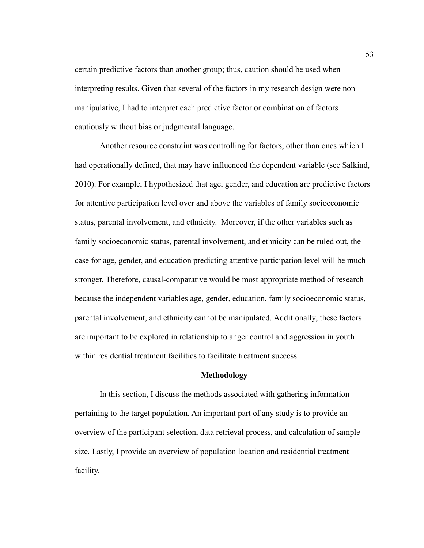certain predictive factors than another group; thus, caution should be used when interpreting results. Given that several of the factors in my research design were non manipulative, I had to interpret each predictive factor or combination of factors cautiously without bias or judgmental language.

 Another resource constraint was controlling for factors, other than ones which I had operationally defined, that may have influenced the dependent variable (see Salkind, 2010). For example, I hypothesized that age, gender, and education are predictive factors for attentive participation level over and above the variables of family socioeconomic status, parental involvement, and ethnicity. Moreover, if the other variables such as family socioeconomic status, parental involvement, and ethnicity can be ruled out, the case for age, gender, and education predicting attentive participation level will be much stronger. Therefore, causal-comparative would be most appropriate method of research because the independent variables age, gender, education, family socioeconomic status, parental involvement, and ethnicity cannot be manipulated. Additionally, these factors are important to be explored in relationship to anger control and aggression in youth within residential treatment facilities to facilitate treatment success.

#### **Methodology**

In this section, I discuss the methods associated with gathering information pertaining to the target population. An important part of any study is to provide an overview of the participant selection, data retrieval process, and calculation of sample size. Lastly, I provide an overview of population location and residential treatment facility.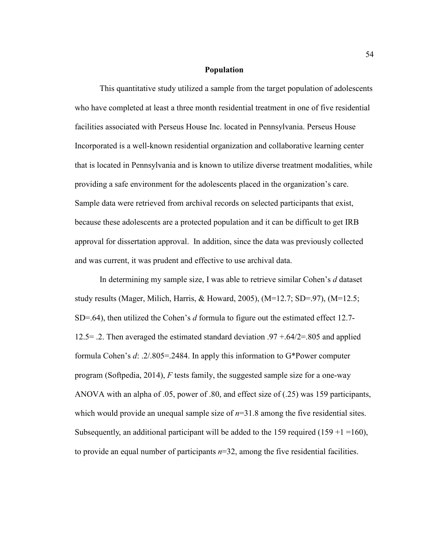### **Population**

This quantitative study utilized a sample from the target population of adolescents who have completed at least a three month residential treatment in one of five residential facilities associated with Perseus House Inc. located in Pennsylvania. Perseus House Incorporated is a well-known residential organization and collaborative learning center that is located in Pennsylvania and is known to utilize diverse treatment modalities, while providing a safe environment for the adolescents placed in the organization's care. Sample data were retrieved from archival records on selected participants that exist, because these adolescents are a protected population and it can be difficult to get IRB approval for dissertation approval. In addition, since the data was previously collected and was current, it was prudent and effective to use archival data.

In determining my sample size, I was able to retrieve similar Cohen's *d* dataset study results (Mager, Milich, Harris, & Howard, 2005),  $(M=12.7; SD=97)$ ,  $(M=12.5;$ SD=.64), then utilized the Cohen's *d* formula to figure out the estimated effect 12.7- 12.5= .2. Then averaged the estimated standard deviation .97 +.64/2=.805 and applied formula Cohen's *d*: .2/.805=.2484. In apply this information to G\*Power computer program (Softpedia, 2014), *F* tests family, the suggested sample size for a one-way ANOVA with an alpha of .05, power of .80, and effect size of (.25) was 159 participants, which would provide an unequal sample size of  $n=31.8$  among the five residential sites. Subsequently, an additional participant will be added to the 159 required (159 +1 = 160), to provide an equal number of participants *n*=32, among the five residential facilities.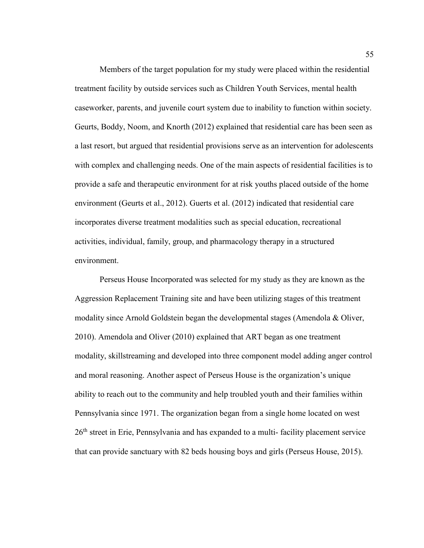Members of the target population for my study were placed within the residential treatment facility by outside services such as Children Youth Services, mental health caseworker, parents, and juvenile court system due to inability to function within society. Geurts, Boddy, Noom, and Knorth (2012) explained that residential care has been seen as a last resort, but argued that residential provisions serve as an intervention for adolescents with complex and challenging needs. One of the main aspects of residential facilities is to provide a safe and therapeutic environment for at risk youths placed outside of the home environment (Geurts et al., 2012). Guerts et al. (2012) indicated that residential care incorporates diverse treatment modalities such as special education, recreational activities, individual, family, group, and pharmacology therapy in a structured environment.

Perseus House Incorporated was selected for my study as they are known as the Aggression Replacement Training site and have been utilizing stages of this treatment modality since Arnold Goldstein began the developmental stages (Amendola  $\&$  Oliver, 2010). Amendola and Oliver (2010) explained that ART began as one treatment modality, skillstreaming and developed into three component model adding anger control and moral reasoning. Another aspect of Perseus House is the organization's unique ability to reach out to the community and help troubled youth and their families within Pennsylvania since 1971. The organization began from a single home located on west 26<sup>th</sup> street in Erie, Pennsylvania and has expanded to a multi-facility placement service that can provide sanctuary with 82 beds housing boys and girls (Perseus House, 2015).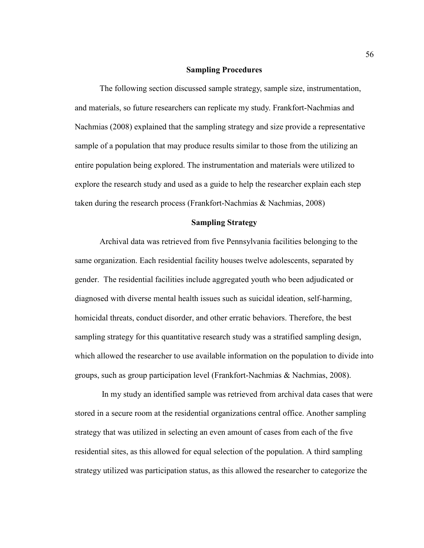### **Sampling Procedures**

The following section discussed sample strategy, sample size, instrumentation, and materials, so future researchers can replicate my study. Frankfort-Nachmias and Nachmias (2008) explained that the sampling strategy and size provide a representative sample of a population that may produce results similar to those from the utilizing an entire population being explored. The instrumentation and materials were utilized to explore the research study and used as a guide to help the researcher explain each step taken during the research process (Frankfort-Nachmias & Nachmias, 2008)

# **Sampling Strategy**

Archival data was retrieved from five Pennsylvania facilities belonging to the same organization. Each residential facility houses twelve adolescents, separated by gender. The residential facilities include aggregated youth who been adjudicated or diagnosed with diverse mental health issues such as suicidal ideation, self-harming, homicidal threats, conduct disorder, and other erratic behaviors. Therefore, the best sampling strategy for this quantitative research study was a stratified sampling design, which allowed the researcher to use available information on the population to divide into groups, such as group participation level (Frankfort-Nachmias & Nachmias, 2008).

 In my study an identified sample was retrieved from archival data cases that were stored in a secure room at the residential organizations central office. Another sampling strategy that was utilized in selecting an even amount of cases from each of the five residential sites, as this allowed for equal selection of the population. A third sampling strategy utilized was participation status, as this allowed the researcher to categorize the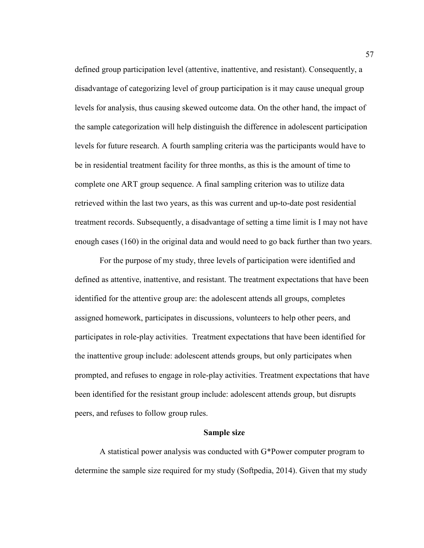defined group participation level (attentive, inattentive, and resistant). Consequently, a disadvantage of categorizing level of group participation is it may cause unequal group levels for analysis, thus causing skewed outcome data. On the other hand, the impact of the sample categorization will help distinguish the difference in adolescent participation levels for future research. A fourth sampling criteria was the participants would have to be in residential treatment facility for three months, as this is the amount of time to complete one ART group sequence. A final sampling criterion was to utilize data retrieved within the last two years, as this was current and up-to-date post residential treatment records. Subsequently, a disadvantage of setting a time limit is I may not have enough cases (160) in the original data and would need to go back further than two years.

For the purpose of my study, three levels of participation were identified and defined as attentive, inattentive, and resistant. The treatment expectations that have been identified for the attentive group are: the adolescent attends all groups, completes assigned homework, participates in discussions, volunteers to help other peers, and participates in role-play activities. Treatment expectations that have been identified for the inattentive group include: adolescent attends groups, but only participates when prompted, and refuses to engage in role-play activities. Treatment expectations that have been identified for the resistant group include: adolescent attends group, but disrupts peers, and refuses to follow group rules.

#### **Sample size**

A statistical power analysis was conducted with G\*Power computer program to determine the sample size required for my study (Softpedia, 2014). Given that my study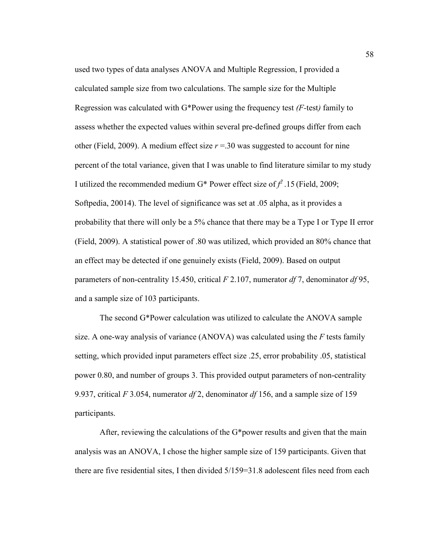used two types of data analyses ANOVA and Multiple Regression, I provided a calculated sample size from two calculations. The sample size for the Multiple Regression was calculated with G\*Power using the frequency test *(F-*test*)* family to assess whether the expected values within several pre-defined groups differ from each other (Field, 2009). A medium effect size  $r = 30$  was suggested to account for nine percent of the total variance, given that I was unable to find literature similar to my study I utilized the recommended medium G<sup>\*</sup> Power effect size of  $f^2$ . 15 (Field, 2009; Softpedia, 20014). The level of significance was set at .05 alpha, as it provides a probability that there will only be a 5% chance that there may be a Type I or Type II error (Field, 2009). A statistical power of .80 was utilized, which provided an 80% chance that an effect may be detected if one genuinely exists (Field, 2009). Based on output parameters of non-centrality 15.450, critical *F* 2.107, numerator *df* 7, denominator *df* 95, and a sample size of 103 participants.

The second G\*Power calculation was utilized to calculate the ANOVA sample size. A one-way analysis of variance (ANOVA) was calculated using the *F* tests family setting, which provided input parameters effect size .25, error probability .05, statistical power 0.80, and number of groups 3. This provided output parameters of non-centrality 9.937, critical *F* 3.054, numerator *df* 2, denominator *df* 156, and a sample size of 159 participants.

After, reviewing the calculations of the G\*power results and given that the main analysis was an ANOVA, I chose the higher sample size of 159 participants. Given that there are five residential sites, I then divided 5/159=31.8 adolescent files need from each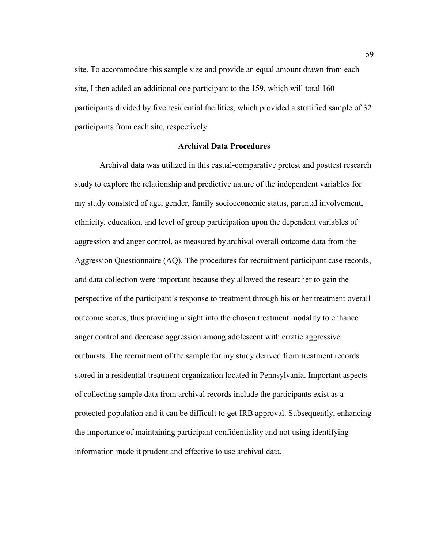site. To accommodate this sample size and provide an equal amount drawn from each site, I then added an additional one participant to the 159, which will total 160 participants divided by five residential facilities, which provided a stratified sample of 32 participants from each site, respectively.

## **Archival Data Procedures**

 Archival data was utilized in this casual-comparative pretest and posttest research study to explore the relationship and predictive nature of the independent variables for my study consisted of age, gender, family socioeconomic status, parental involvement, ethnicity, education, and level of group participation upon the dependent variables of aggression and anger control, as measured by archival overall outcome data from the Aggression Questionnaire (AQ). The procedures for recruitment participant case records, and data collection were important because they allowed the researcher to gain the perspective of the participant's response to treatment through his or her treatment overall outcome scores, thus providing insight into the chosen treatment modality to enhance anger control and decrease aggression among adolescent with erratic aggressive outbursts. The recruitment of the sample for my study derived from treatment records stored in a residential treatment organization located in Pennsylvania. Important aspects of collecting sample data from archival records include the participants exist as a protected population and it can be difficult to get IRB approval. Subsequently, enhancing the importance of maintaining participant confidentiality and not using identifying information made it prudent and effective to use archival data.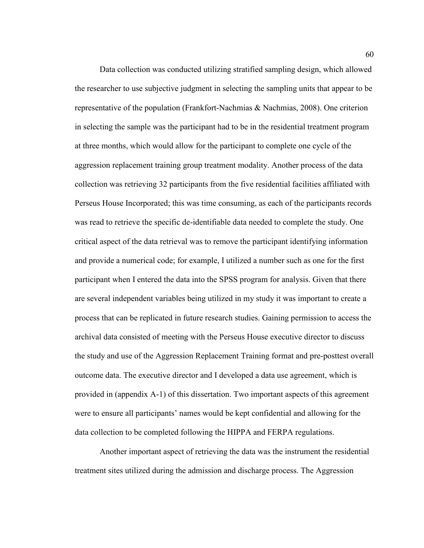Data collection was conducted utilizing stratified sampling design, which allowed the researcher to use subjective judgment in selecting the sampling units that appear to be representative of the population (Frankfort-Nachmias & Nachmias, 2008). One criterion in selecting the sample was the participant had to be in the residential treatment program at three months, which would allow for the participant to complete one cycle of the aggression replacement training group treatment modality. Another process of the data collection was retrieving 32 participants from the five residential facilities affiliated with Perseus House Incorporated; this was time consuming, as each of the participants records was read to retrieve the specific de-identifiable data needed to complete the study. One critical aspect of the data retrieval was to remove the participant identifying information and provide a numerical code; for example, I utilized a number such as one for the first participant when I entered the data into the SPSS program for analysis. Given that there are several independent variables being utilized in my study it was important to create a process that can be replicated in future research studies. Gaining permission to access the archival data consisted of meeting with the Perseus House executive director to discuss the study and use of the Aggression Replacement Training format and pre-posttest overall outcome data. The executive director and I developed a data use agreement, which is provided in (appendix A-1) of this dissertation. Two important aspects of this agreement were to ensure all participants' names would be kept confidential and allowing for the data collection to be completed following the HIPPA and FERPA regulations.

 Another important aspect of retrieving the data was the instrument the residential treatment sites utilized during the admission and discharge process. The Aggression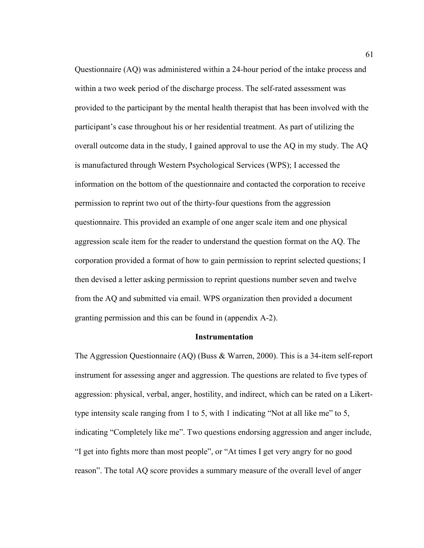Questionnaire (AQ) was administered within a 24-hour period of the intake process and within a two week period of the discharge process. The self-rated assessment was provided to the participant by the mental health therapist that has been involved with the participant's case throughout his or her residential treatment. As part of utilizing the overall outcome data in the study, I gained approval to use the AQ in my study. The AQ is manufactured through Western Psychological Services (WPS); I accessed the information on the bottom of the questionnaire and contacted the corporation to receive permission to reprint two out of the thirty-four questions from the aggression questionnaire. This provided an example of one anger scale item and one physical aggression scale item for the reader to understand the question format on the AQ. The corporation provided a format of how to gain permission to reprint selected questions; I then devised a letter asking permission to reprint questions number seven and twelve from the AQ and submitted via email. WPS organization then provided a document granting permission and this can be found in (appendix A-2).

#### **Instrumentation**

The Aggression Questionnaire (AQ) (Buss & Warren, 2000). This is a 34-item self-report instrument for assessing anger and aggression. The questions are related to five types of aggression: physical, verbal, anger, hostility, and indirect, which can be rated on a Likerttype intensity scale ranging from 1 to 5, with 1 indicating "Not at all like me" to 5, indicating "Completely like me". Two questions endorsing aggression and anger include, "I get into fights more than most people", or "At times I get very angry for no good reason". The total AQ score provides a summary measure of the overall level of anger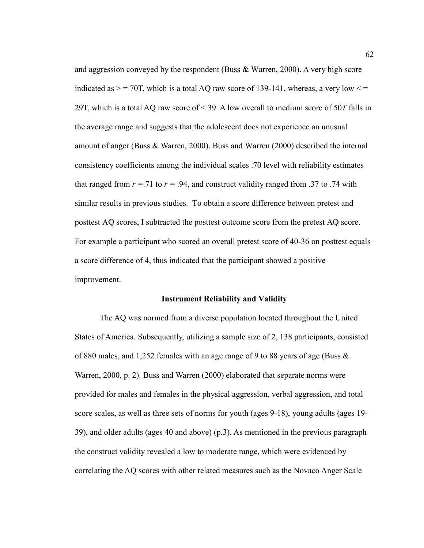and aggression conveyed by the respondent (Buss & Warren, 2000). A very high score indicated as  $>$  = 70T, which is a total AQ raw score of 139-141, whereas, a very low  $\le$  = 29T, which is a total AQ raw score of < 39. A low overall to medium score of 50*T* falls in the average range and suggests that the adolescent does not experience an unusual amount of anger (Buss & Warren, 2000). Buss and Warren (2000) described the internal consistency coefficients among the individual scales .70 level with reliability estimates that ranged from  $r = .71$  to  $r = .94$ , and construct validity ranged from .37 to .74 with similar results in previous studies. To obtain a score difference between pretest and posttest AQ scores, I subtracted the posttest outcome score from the pretest AQ score. For example a participant who scored an overall pretest score of 40-36 on posttest equals a score difference of 4, thus indicated that the participant showed a positive improvement.

#### **Instrument Reliability and Validity**

The AQ was normed from a diverse population located throughout the United States of America. Subsequently, utilizing a sample size of 2, 138 participants, consisted of 880 males, and 1,252 females with an age range of 9 to 88 years of age (Buss  $\&$ Warren, 2000, p. 2). Buss and Warren (2000) elaborated that separate norms were provided for males and females in the physical aggression, verbal aggression, and total score scales, as well as three sets of norms for youth (ages 9-18), young adults (ages 19- 39), and older adults (ages 40 and above) (p.3). As mentioned in the previous paragraph the construct validity revealed a low to moderate range, which were evidenced by correlating the AQ scores with other related measures such as the Novaco Anger Scale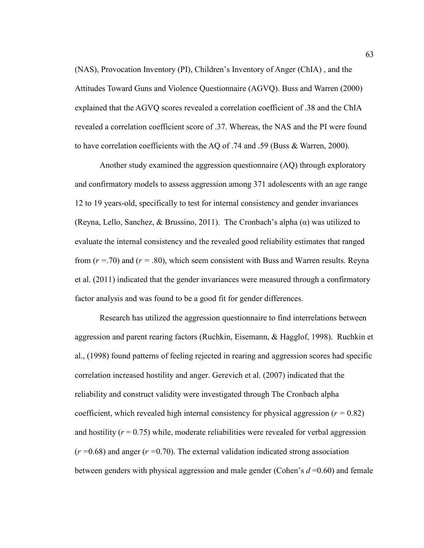(NAS), Provocation Inventory (PI), Children's Inventory of Anger (ChIA) , and the Attitudes Toward Guns and Violence Questionnaire (AGVQ). Buss and Warren (2000) explained that the AGVQ scores revealed a correlation coefficient of .38 and the ChIA revealed a correlation coefficient score of .37. Whereas, the NAS and the PI were found to have correlation coefficients with the AQ of .74 and .59 (Buss & Warren, 2000).

Another study examined the aggression questionnaire (AQ) through exploratory and confirmatory models to assess aggression among 371 adolescents with an age range 12 to 19 years-old, specifically to test for internal consistency and gender invariances (Reyna, Lello, Sanchez, & Brussino, 2011). The Cronbach's alpha  $(\alpha)$  was utilized to evaluate the internal consistency and the revealed good reliability estimates that ranged from (*r =*.70) and (*r =* .80), which seem consistent with Buss and Warren results. Reyna et al. (2011) indicated that the gender invariances were measured through a confirmatory factor analysis and was found to be a good fit for gender differences.

Research has utilized the aggression questionnaire to find interrelations between aggression and parent rearing factors (Ruchkin, Eisemann, & Hagglof, 1998). Ruchkin et al., (1998) found patterns of feeling rejected in rearing and aggression scores had specific correlation increased hostility and anger. Gerevich et al. (2007) indicated that the reliability and construct validity were investigated through The Cronbach alpha coefficient, which revealed high internal consistency for physical aggression  $(r = 0.82)$ and hostility  $(r = 0.75)$  while, moderate reliabilities were revealed for verbal aggression (*r =*0.68) and anger (*r =*0.70). The external validation indicated strong association between genders with physical aggression and male gender (Cohen's *d* =0.60) and female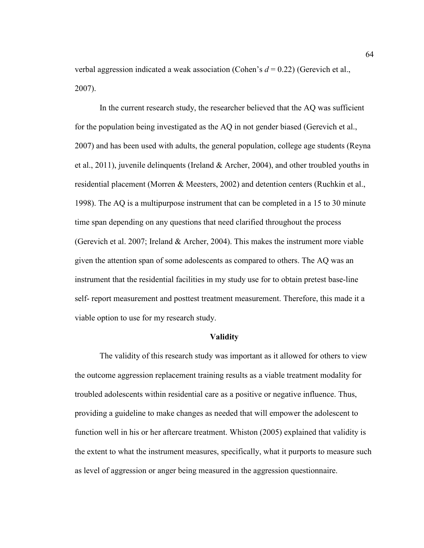verbal aggression indicated a weak association (Cohen's *d* = 0.22) (Gerevich et al., 2007).

In the current research study, the researcher believed that the AQ was sufficient for the population being investigated as the AQ in not gender biased (Gerevich et al., 2007) and has been used with adults, the general population, college age students (Reyna et al., 2011), juvenile delinquents (Ireland & Archer, 2004), and other troubled youths in residential placement (Morren & Meesters, 2002) and detention centers (Ruchkin et al., 1998). The AQ is a multipurpose instrument that can be completed in a 15 to 30 minute time span depending on any questions that need clarified throughout the process (Gerevich et al. 2007; Ireland & Archer, 2004). This makes the instrument more viable given the attention span of some adolescents as compared to others. The AQ was an instrument that the residential facilities in my study use for to obtain pretest base-line self- report measurement and posttest treatment measurement. Therefore, this made it a viable option to use for my research study.

#### **Validity**

The validity of this research study was important as it allowed for others to view the outcome aggression replacement training results as a viable treatment modality for troubled adolescents within residential care as a positive or negative influence. Thus, providing a guideline to make changes as needed that will empower the adolescent to function well in his or her aftercare treatment. Whiston (2005) explained that validity is the extent to what the instrument measures, specifically, what it purports to measure such as level of aggression or anger being measured in the aggression questionnaire.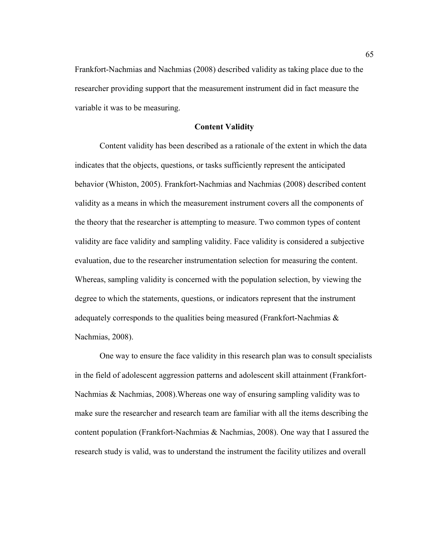Frankfort-Nachmias and Nachmias (2008) described validity as taking place due to the researcher providing support that the measurement instrument did in fact measure the variable it was to be measuring.

## **Content Validity**

Content validity has been described as a rationale of the extent in which the data indicates that the objects, questions, or tasks sufficiently represent the anticipated behavior (Whiston, 2005). Frankfort-Nachmias and Nachmias (2008) described content validity as a means in which the measurement instrument covers all the components of the theory that the researcher is attempting to measure. Two common types of content validity are face validity and sampling validity. Face validity is considered a subjective evaluation, due to the researcher instrumentation selection for measuring the content. Whereas, sampling validity is concerned with the population selection, by viewing the degree to which the statements, questions, or indicators represent that the instrument adequately corresponds to the qualities being measured (Frankfort-Nachmias  $\&$ Nachmias, 2008).

One way to ensure the face validity in this research plan was to consult specialists in the field of adolescent aggression patterns and adolescent skill attainment (Frankfort-Nachmias & Nachmias, 2008).Whereas one way of ensuring sampling validity was to make sure the researcher and research team are familiar with all the items describing the content population (Frankfort-Nachmias & Nachmias, 2008). One way that I assured the research study is valid, was to understand the instrument the facility utilizes and overall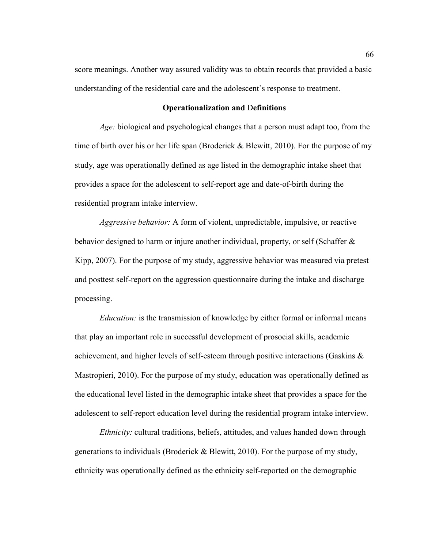score meanings. Another way assured validity was to obtain records that provided a basic understanding of the residential care and the adolescent's response to treatment.

### **Operationalization and** D**efinitions**

*Age:* biological and psychological changes that a person must adapt too, from the time of birth over his or her life span (Broderick & Blewitt, 2010). For the purpose of my study, age was operationally defined as age listed in the demographic intake sheet that provides a space for the adolescent to self-report age and date-of-birth during the residential program intake interview.

*Aggressive behavior:* A form of violent, unpredictable, impulsive, or reactive behavior designed to harm or injure another individual, property, or self (Schaffer & Kipp, 2007). For the purpose of my study, aggressive behavior was measured via pretest and posttest self-report on the aggression questionnaire during the intake and discharge processing.

*Education:* is the transmission of knowledge by either formal or informal means that play an important role in successful development of prosocial skills, academic achievement, and higher levels of self-esteem through positive interactions (Gaskins & Mastropieri, 2010). For the purpose of my study, education was operationally defined as the educational level listed in the demographic intake sheet that provides a space for the adolescent to self-report education level during the residential program intake interview.

*Ethnicity:* cultural traditions, beliefs, attitudes, and values handed down through generations to individuals (Broderick & Blewitt, 2010). For the purpose of my study, ethnicity was operationally defined as the ethnicity self-reported on the demographic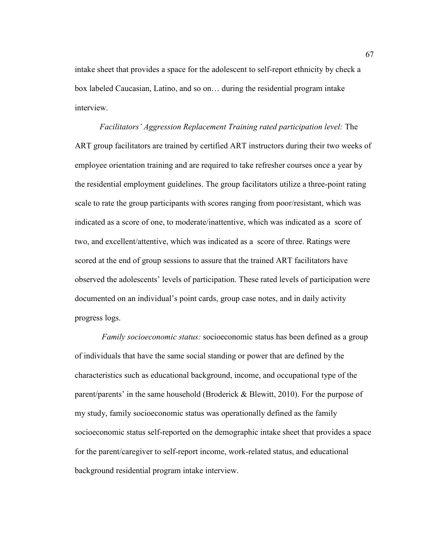intake sheet that provides a space for the adolescent to self-report ethnicity by check a box labeled Caucasian, Latino, and so on… during the residential program intake interview.

*Facilitators' Aggression Replacement Training rated participation level:* The ART group facilitators are trained by certified ART instructors during their two weeks of employee orientation training and are required to take refresher courses once a year by the residential employment guidelines. The group facilitators utilize a three-point rating scale to rate the group participants with scores ranging from poor/resistant, which was indicated as a score of one, to moderate/inattentive, which was indicated as a score of two, and excellent/attentive, which was indicated as a score of three. Ratings were scored at the end of group sessions to assure that the trained ART facilitators have observed the adolescents' levels of participation. These rated levels of participation were documented on an individual's point cards, group case notes, and in daily activity progress logs.

*Family socioeconomic status:* socioeconomic status has been defined as a group of individuals that have the same social standing or power that are defined by the characteristics such as educational background, income, and occupational type of the parent/parents' in the same household (Broderick & Blewitt, 2010). For the purpose of my study, family socioeconomic status was operationally defined as the family socioeconomic status self-reported on the demographic intake sheet that provides a space for the parent/caregiver to self-report income, work-related status, and educational background residential program intake interview.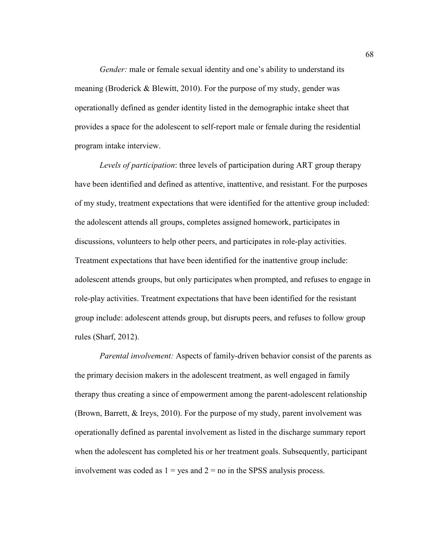*Gender:* male or female sexual identity and one's ability to understand its meaning (Broderick & Blewitt, 2010). For the purpose of my study, gender was operationally defined as gender identity listed in the demographic intake sheet that provides a space for the adolescent to self-report male or female during the residential program intake interview.

*Levels of participation*: three levels of participation during ART group therapy have been identified and defined as attentive, inattentive, and resistant. For the purposes of my study, treatment expectations that were identified for the attentive group included: the adolescent attends all groups, completes assigned homework, participates in discussions, volunteers to help other peers, and participates in role-play activities. Treatment expectations that have been identified for the inattentive group include: adolescent attends groups, but only participates when prompted, and refuses to engage in role-play activities. Treatment expectations that have been identified for the resistant group include: adolescent attends group, but disrupts peers, and refuses to follow group rules (Sharf, 2012).

*Parental involvement:* Aspects of family-driven behavior consist of the parents as the primary decision makers in the adolescent treatment, as well engaged in family therapy thus creating a since of empowerment among the parent-adolescent relationship (Brown, Barrett, & Ireys, 2010). For the purpose of my study, parent involvement was operationally defined as parental involvement as listed in the discharge summary report when the adolescent has completed his or her treatment goals. Subsequently, participant involvement was coded as  $1 = yes$  and  $2 = no$  in the SPSS analysis process.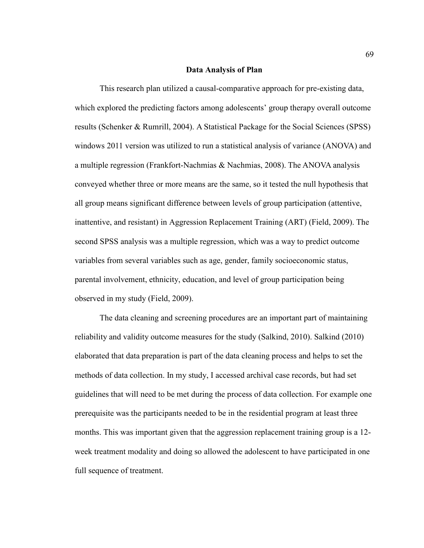#### **Data Analysis of Plan**

This research plan utilized a causal-comparative approach for pre-existing data, which explored the predicting factors among adolescents' group therapy overall outcome results (Schenker & Rumrill, 2004). A Statistical Package for the Social Sciences (SPSS) windows 2011 version was utilized to run a statistical analysis of variance (ANOVA) and a multiple regression (Frankfort-Nachmias & Nachmias, 2008). The ANOVA analysis conveyed whether three or more means are the same, so it tested the null hypothesis that all group means significant difference between levels of group participation (attentive, inattentive, and resistant) in Aggression Replacement Training (ART) (Field, 2009). The second SPSS analysis was a multiple regression, which was a way to predict outcome variables from several variables such as age, gender, family socioeconomic status, parental involvement, ethnicity, education, and level of group participation being observed in my study (Field, 2009).

The data cleaning and screening procedures are an important part of maintaining reliability and validity outcome measures for the study (Salkind, 2010). Salkind (2010) elaborated that data preparation is part of the data cleaning process and helps to set the methods of data collection. In my study, I accessed archival case records, but had set guidelines that will need to be met during the process of data collection. For example one prerequisite was the participants needed to be in the residential program at least three months. This was important given that the aggression replacement training group is a 12 week treatment modality and doing so allowed the adolescent to have participated in one full sequence of treatment.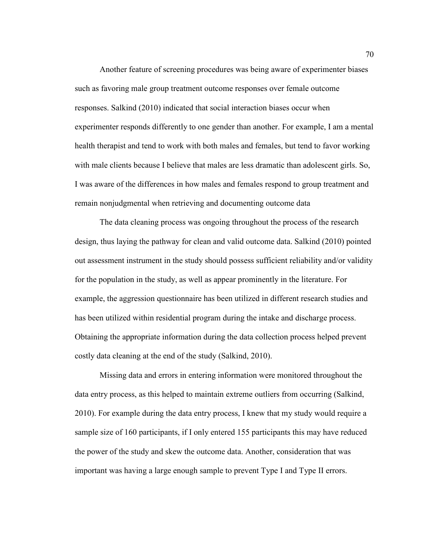Another feature of screening procedures was being aware of experimenter biases such as favoring male group treatment outcome responses over female outcome responses. Salkind (2010) indicated that social interaction biases occur when experimenter responds differently to one gender than another. For example, I am a mental health therapist and tend to work with both males and females, but tend to favor working with male clients because I believe that males are less dramatic than adolescent girls. So, I was aware of the differences in how males and females respond to group treatment and remain nonjudgmental when retrieving and documenting outcome data

The data cleaning process was ongoing throughout the process of the research design, thus laying the pathway for clean and valid outcome data. Salkind (2010) pointed out assessment instrument in the study should possess sufficient reliability and/or validity for the population in the study, as well as appear prominently in the literature. For example, the aggression questionnaire has been utilized in different research studies and has been utilized within residential program during the intake and discharge process. Obtaining the appropriate information during the data collection process helped prevent costly data cleaning at the end of the study (Salkind, 2010).

Missing data and errors in entering information were monitored throughout the data entry process, as this helped to maintain extreme outliers from occurring (Salkind, 2010). For example during the data entry process, I knew that my study would require a sample size of 160 participants, if I only entered 155 participants this may have reduced the power of the study and skew the outcome data. Another, consideration that was important was having a large enough sample to prevent Type I and Type II errors.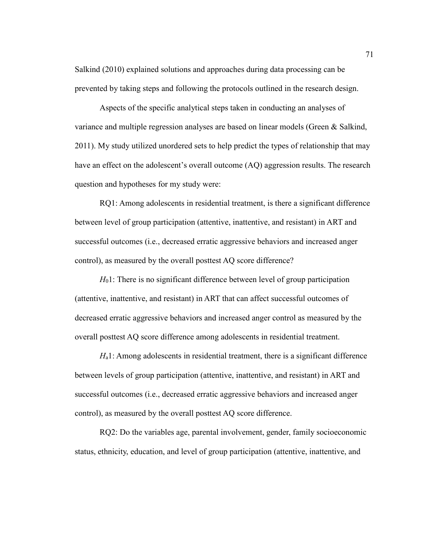Salkind (2010) explained solutions and approaches during data processing can be prevented by taking steps and following the protocols outlined in the research design.

Aspects of the specific analytical steps taken in conducting an analyses of variance and multiple regression analyses are based on linear models (Green & Salkind, 2011). My study utilized unordered sets to help predict the types of relationship that may have an effect on the adolescent's overall outcome (AQ) aggression results. The research question and hypotheses for my study were:

RQ1: Among adolescents in residential treatment, is there a significant difference between level of group participation (attentive, inattentive, and resistant) in ART and successful outcomes (i.e., decreased erratic aggressive behaviors and increased anger control), as measured by the overall posttest AQ score difference?

*H*<sub>0</sub>1: There is no significant difference between level of group participation (attentive, inattentive, and resistant) in ART that can affect successful outcomes of decreased erratic aggressive behaviors and increased anger control as measured by the overall posttest AQ score difference among adolescents in residential treatment.

*H*a1: Among adolescents in residential treatment, there is a significant difference between levels of group participation (attentive, inattentive, and resistant) in ART and successful outcomes (i.e., decreased erratic aggressive behaviors and increased anger control), as measured by the overall posttest AQ score difference.

RQ2: Do the variables age, parental involvement, gender, family socioeconomic status, ethnicity, education, and level of group participation (attentive, inattentive, and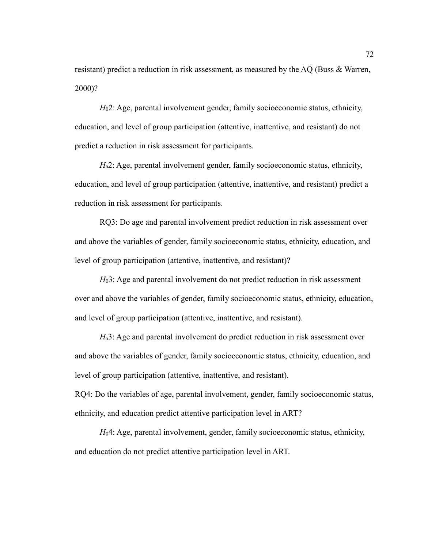resistant) predict a reduction in risk assessment, as measured by the AQ (Buss & Warren, 2000)?

*H*<sub>0</sub>2: Age, parental involvement gender, family socioeconomic status, ethnicity, education, and level of group participation (attentive, inattentive, and resistant) do not predict a reduction in risk assessment for participants.

*H*<sub>a</sub>2: Age, parental involvement gender, family socioeconomic status, ethnicity, education, and level of group participation (attentive, inattentive, and resistant) predict a reduction in risk assessment for participants.

RQ3: Do age and parental involvement predict reduction in risk assessment over and above the variables of gender, family socioeconomic status, ethnicity, education, and level of group participation (attentive, inattentive, and resistant)?

*H*<sub>0</sub>3: Age and parental involvement do not predict reduction in risk assessment over and above the variables of gender, family socioeconomic status, ethnicity, education, and level of group participation (attentive, inattentive, and resistant).

*H*<sub>a</sub>3: Age and parental involvement do predict reduction in risk assessment over and above the variables of gender, family socioeconomic status, ethnicity, education, and level of group participation (attentive, inattentive, and resistant).

RQ4: Do the variables of age, parental involvement, gender, family socioeconomic status, ethnicity, and education predict attentive participation level in ART?

*H*<sub>0</sub>4: Age, parental involvement, gender, family socioeconomic status, ethnicity, and education do not predict attentive participation level in ART.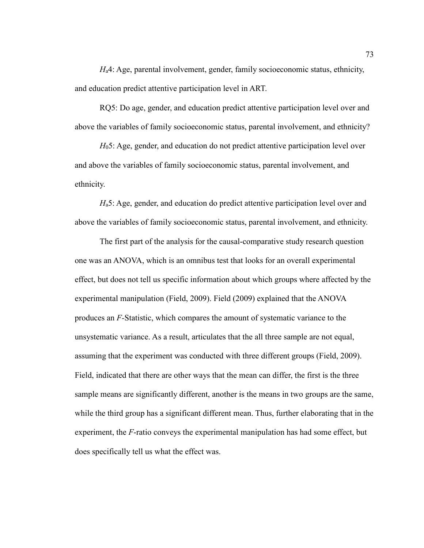*H*a4: Age, parental involvement, gender, family socioeconomic status, ethnicity, and education predict attentive participation level in ART.

RQ5: Do age, gender, and education predict attentive participation level over and above the variables of family socioeconomic status, parental involvement, and ethnicity?

*H*05: Age, gender, and education do not predict attentive participation level over and above the variables of family socioeconomic status, parental involvement, and ethnicity.

*H*a5: Age, gender, and education do predict attentive participation level over and above the variables of family socioeconomic status, parental involvement, and ethnicity.

The first part of the analysis for the causal-comparative study research question one was an ANOVA, which is an omnibus test that looks for an overall experimental effect, but does not tell us specific information about which groups where affected by the experimental manipulation (Field, 2009). Field (2009) explained that the ANOVA produces an *F-*Statistic, which compares the amount of systematic variance to the unsystematic variance. As a result, articulates that the all three sample are not equal, assuming that the experiment was conducted with three different groups (Field, 2009). Field, indicated that there are other ways that the mean can differ, the first is the three sample means are significantly different, another is the means in two groups are the same, while the third group has a significant different mean. Thus, further elaborating that in the experiment, the *F*-ratio conveys the experimental manipulation has had some effect, but does specifically tell us what the effect was.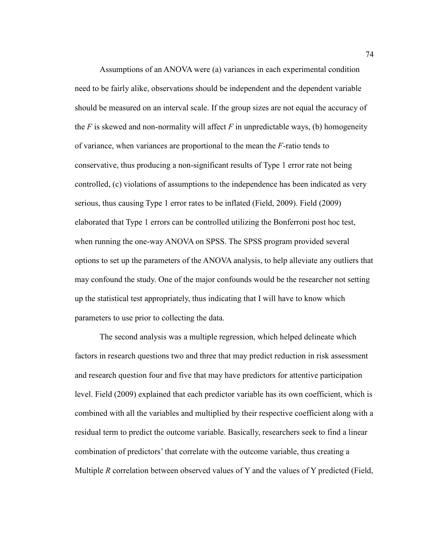Assumptions of an ANOVA were (a) variances in each experimental condition need to be fairly alike, observations should be independent and the dependent variable should be measured on an interval scale. If the group sizes are not equal the accuracy of the  $F$  is skewed and non-normality will affect  $F$  in unpredictable ways, (b) homogeneity of variance, when variances are proportional to the mean the *F*-ratio tends to conservative, thus producing a non-significant results of Type 1 error rate not being controlled, (c) violations of assumptions to the independence has been indicated as very serious, thus causing Type 1 error rates to be inflated (Field, 2009). Field (2009) elaborated that Type 1 errors can be controlled utilizing the Bonferroni post hoc test, when running the one-way ANOVA on SPSS. The SPSS program provided several options to set up the parameters of the ANOVA analysis, to help alleviate any outliers that may confound the study. One of the major confounds would be the researcher not setting up the statistical test appropriately, thus indicating that I will have to know which parameters to use prior to collecting the data.

The second analysis was a multiple regression, which helped delineate which factors in research questions two and three that may predict reduction in risk assessment and research question four and five that may have predictors for attentive participation level. Field (2009) explained that each predictor variable has its own coefficient, which is combined with all the variables and multiplied by their respective coefficient along with a residual term to predict the outcome variable. Basically, researchers seek to find a linear combination of predictors' that correlate with the outcome variable, thus creating a Multiple *R* correlation between observed values of Y and the values of Y predicted (Field,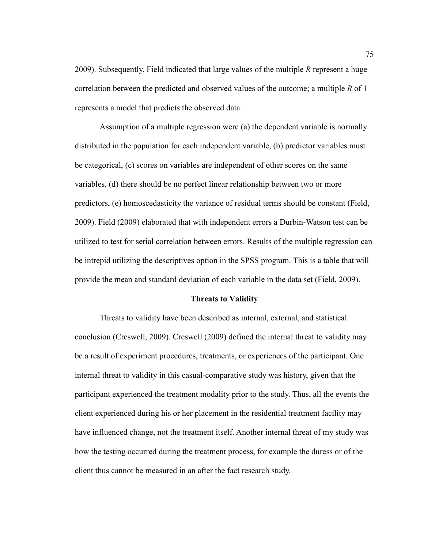2009). Subsequently, Field indicated that large values of the multiple *R* represent a huge correlation between the predicted and observed values of the outcome; a multiple *R* of 1 represents a model that predicts the observed data.

Assumption of a multiple regression were (a) the dependent variable is normally distributed in the population for each independent variable, (b) predictor variables must be categorical, (c) scores on variables are independent of other scores on the same variables, (d) there should be no perfect linear relationship between two or more predictors, (e) homoscedasticity the variance of residual terms should be constant (Field, 2009). Field (2009) elaborated that with independent errors a Durbin-Watson test can be utilized to test for serial correlation between errors. Results of the multiple regression can be intrepid utilizing the descriptives option in the SPSS program. This is a table that will provide the mean and standard deviation of each variable in the data set (Field, 2009).

### **Threats to Validity**

Threats to validity have been described as internal, external, and statistical conclusion (Creswell, 2009). Creswell (2009) defined the internal threat to validity may be a result of experiment procedures, treatments, or experiences of the participant. One internal threat to validity in this casual-comparative study was history, given that the participant experienced the treatment modality prior to the study. Thus, all the events the client experienced during his or her placement in the residential treatment facility may have influenced change, not the treatment itself. Another internal threat of my study was how the testing occurred during the treatment process, for example the duress or of the client thus cannot be measured in an after the fact research study.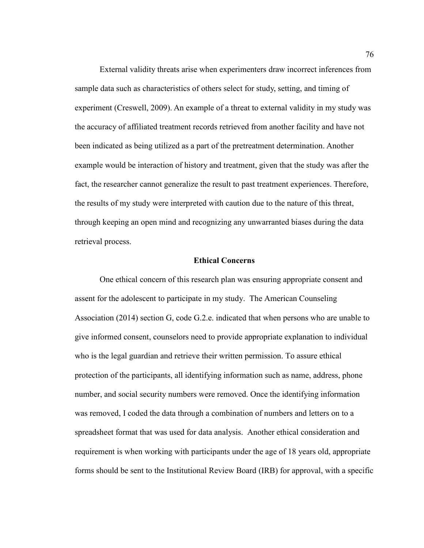External validity threats arise when experimenters draw incorrect inferences from sample data such as characteristics of others select for study, setting, and timing of experiment (Creswell, 2009). An example of a threat to external validity in my study was the accuracy of affiliated treatment records retrieved from another facility and have not been indicated as being utilized as a part of the pretreatment determination. Another example would be interaction of history and treatment, given that the study was after the fact, the researcher cannot generalize the result to past treatment experiences. Therefore, the results of my study were interpreted with caution due to the nature of this threat, through keeping an open mind and recognizing any unwarranted biases during the data retrieval process.

### **Ethical Concerns**

One ethical concern of this research plan was ensuring appropriate consent and assent for the adolescent to participate in my study. The American Counseling Association (2014) section G, code G.2.e. indicated that when persons who are unable to give informed consent, counselors need to provide appropriate explanation to individual who is the legal guardian and retrieve their written permission. To assure ethical protection of the participants, all identifying information such as name, address, phone number, and social security numbers were removed. Once the identifying information was removed, I coded the data through a combination of numbers and letters on to a spreadsheet format that was used for data analysis. Another ethical consideration and requirement is when working with participants under the age of 18 years old, appropriate forms should be sent to the Institutional Review Board (IRB) for approval, with a specific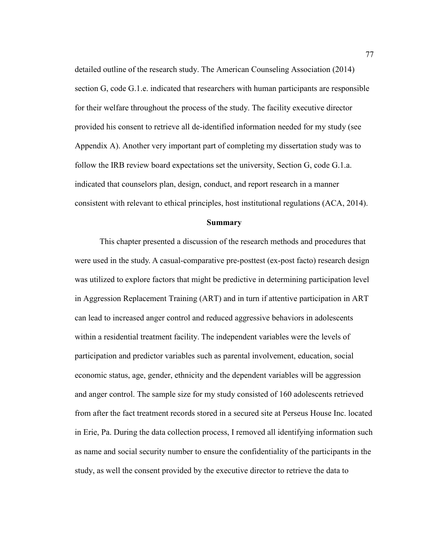detailed outline of the research study. The American Counseling Association (2014) section G, code G.1.e. indicated that researchers with human participants are responsible for their welfare throughout the process of the study. The facility executive director provided his consent to retrieve all de-identified information needed for my study (see Appendix A). Another very important part of completing my dissertation study was to follow the IRB review board expectations set the university, Section G, code G.1.a. indicated that counselors plan, design, conduct, and report research in a manner consistent with relevant to ethical principles, host institutional regulations (ACA, 2014).

#### **Summary**

This chapter presented a discussion of the research methods and procedures that were used in the study. A casual-comparative pre-posttest (ex-post facto) research design was utilized to explore factors that might be predictive in determining participation level in Aggression Replacement Training (ART) and in turn if attentive participation in ART can lead to increased anger control and reduced aggressive behaviors in adolescents within a residential treatment facility. The independent variables were the levels of participation and predictor variables such as parental involvement, education, social economic status, age, gender, ethnicity and the dependent variables will be aggression and anger control. The sample size for my study consisted of 160 adolescents retrieved from after the fact treatment records stored in a secured site at Perseus House Inc. located in Erie, Pa. During the data collection process, I removed all identifying information such as name and social security number to ensure the confidentiality of the participants in the study, as well the consent provided by the executive director to retrieve the data to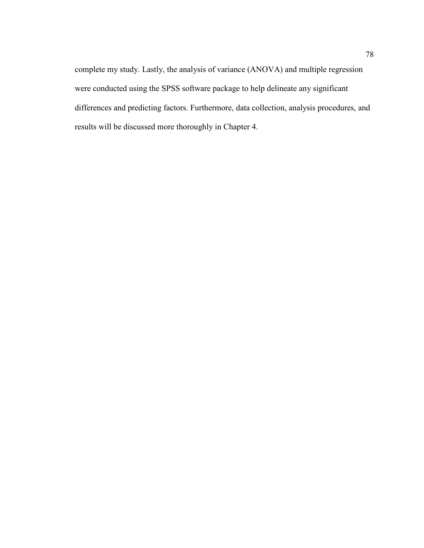complete my study. Lastly, the analysis of variance (ANOVA) and multiple regression were conducted using the SPSS software package to help delineate any significant differences and predicting factors. Furthermore, data collection, analysis procedures, and results will be discussed more thoroughly in Chapter 4.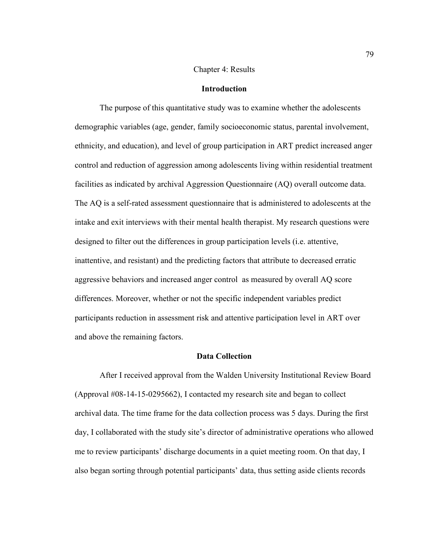## Chapter 4: Results

## **Introduction**

The purpose of this quantitative study was to examine whether the adolescents demographic variables (age, gender, family socioeconomic status, parental involvement, ethnicity, and education), and level of group participation in ART predict increased anger control and reduction of aggression among adolescents living within residential treatment facilities as indicated by archival Aggression Questionnaire (AQ) overall outcome data. The AQ is a self-rated assessment questionnaire that is administered to adolescents at the intake and exit interviews with their mental health therapist. My research questions were designed to filter out the differences in group participation levels (i.e. attentive, inattentive, and resistant) and the predicting factors that attribute to decreased erratic aggressive behaviors and increased anger control as measured by overall AQ score differences. Moreover, whether or not the specific independent variables predict participants reduction in assessment risk and attentive participation level in ART over and above the remaining factors.

## **Data Collection**

After I received approval from the Walden University Institutional Review Board (Approval #08-14-15-0295662), I contacted my research site and began to collect archival data. The time frame for the data collection process was 5 days. During the first day, I collaborated with the study site's director of administrative operations who allowed me to review participants' discharge documents in a quiet meeting room. On that day, I also began sorting through potential participants' data, thus setting aside clients records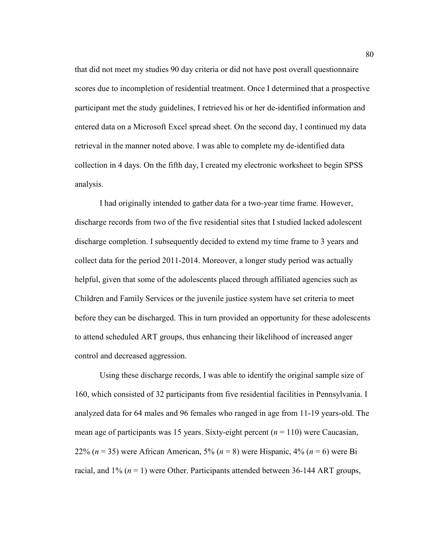that did not meet my studies 90 day criteria or did not have post overall questionnaire scores due to incompletion of residential treatment. Once I determined that a prospective participant met the study guidelines, I retrieved his or her de-identified information and entered data on a Microsoft Excel spread sheet. On the second day, I continued my data retrieval in the manner noted above. I was able to complete my de-identified data collection in 4 days. On the fifth day, I created my electronic worksheet to begin SPSS analysis.

I had originally intended to gather data for a two-year time frame. However, discharge records from two of the five residential sites that I studied lacked adolescent discharge completion. I subsequently decided to extend my time frame to 3 years and collect data for the period 2011-2014. Moreover, a longer study period was actually helpful, given that some of the adolescents placed through affiliated agencies such as Children and Family Services or the juvenile justice system have set criteria to meet before they can be discharged. This in turn provided an opportunity for these adolescents to attend scheduled ART groups, thus enhancing their likelihood of increased anger control and decreased aggression.

Using these discharge records, I was able to identify the original sample size of 160, which consisted of 32 participants from five residential facilities in Pennsylvania. I analyzed data for 64 males and 96 females who ranged in age from 11-19 years-old. The mean age of participants was 15 years. Sixty-eight percent  $(n = 110)$  were Caucasian, 22% (*n* = 35) were African American, 5% (*n* = 8) were Hispanic, 4% (*n* = 6) were Bi racial, and  $1\%$  ( $n = 1$ ) were Other. Participants attended between 36-144 ART groups,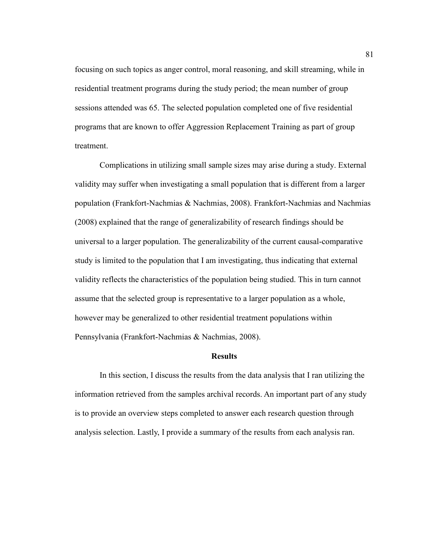focusing on such topics as anger control, moral reasoning, and skill streaming, while in residential treatment programs during the study period; the mean number of group sessions attended was 65. The selected population completed one of five residential programs that are known to offer Aggression Replacement Training as part of group treatment.

Complications in utilizing small sample sizes may arise during a study. External validity may suffer when investigating a small population that is different from a larger population (Frankfort-Nachmias & Nachmias, 2008). Frankfort-Nachmias and Nachmias (2008) explained that the range of generalizability of research findings should be universal to a larger population. The generalizability of the current causal-comparative study is limited to the population that I am investigating, thus indicating that external validity reflects the characteristics of the population being studied. This in turn cannot assume that the selected group is representative to a larger population as a whole, however may be generalized to other residential treatment populations within Pennsylvania (Frankfort-Nachmias & Nachmias, 2008).

#### **Results**

In this section, I discuss the results from the data analysis that I ran utilizing the information retrieved from the samples archival records. An important part of any study is to provide an overview steps completed to answer each research question through analysis selection. Lastly, I provide a summary of the results from each analysis ran.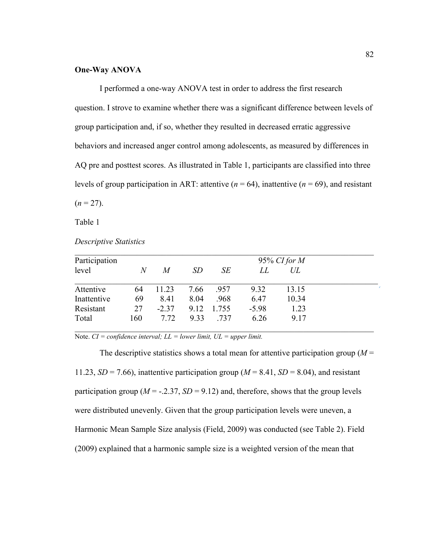## **One-Way ANOVA**

I performed a one-way ANOVA test in order to address the first research question. I strove to examine whether there was a significant difference between levels of group participation and, if so, whether they resulted in decreased erratic aggressive behaviors and increased anger control among adolescents, as measured by differences in AQ pre and posttest scores. As illustrated in Table 1, participants are classified into three levels of group participation in ART: attentive  $(n = 64)$ , inattentive  $(n = 69)$ , and resistant  $(n = 27)$ .

Table 1

| Participation |     | 95% CI for $M$ |      |       |         |       |  |
|---------------|-----|----------------|------|-------|---------|-------|--|
| level         | N   | M              | SD   | SE    | LL      | UL    |  |
| Attentive     | 64  | 11.23          | 7.66 | .957  | 9.32    | 13.15 |  |
| Inattentive   | 69  | 8.41           | 8.04 | .968  | 6.47    | 10.34 |  |
| Resistant     | 27  | $-2.37$        | 9.12 | 1.755 | $-5.98$ | 1.23  |  |
| Total         | 160 | 7.72           | 9.33 | .737  | 6.26    | 9.17  |  |

Note. *CI = confidence interval; LL = lower limit, UL = upper limit.* 

The descriptive statistics shows a total mean for attentive participation group (*M* = 11.23,  $SD = 7.66$ ), inattentive participation group ( $M = 8.41$ ,  $SD = 8.04$ ), and resistant participation group ( $M = -2.37$ ,  $SD = 9.12$ ) and, therefore, shows that the group levels were distributed unevenly. Given that the group participation levels were uneven, a Harmonic Mean Sample Size analysis (Field, 2009) was conducted (see Table 2). Field (2009) explained that a harmonic sample size is a weighted version of the mean that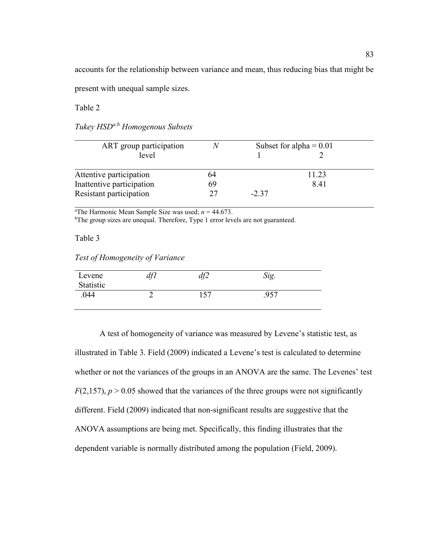accounts for the relationship between variance and mean, thus reducing bias that might be

present with unequal sample sizes.

Table 2

| ART group participation   | N  |         | Subset for alpha = $0.01$ |  |
|---------------------------|----|---------|---------------------------|--|
| level                     |    |         |                           |  |
| Attentive participation   | 64 |         | 11.23                     |  |
| Inattentive participation | 69 |         | 841                       |  |
| Resistant participation   | 27 | $-2.37$ |                           |  |

 $\_$  , and the contribution of the contribution of  $\mathcal{L}_\mathcal{A}$  , and the contribution of  $\mathcal{L}_\mathcal{A}$ 

<sup>a</sup>The Harmonic Mean Sample Size was used;  $n = 44.673$ . <sup>b</sup>The group sizes are unequal. Therefore, Type 1 error levels are not guaranteed.

Table 3

*Test of Homogeneity of Variance* 

| Levene<br>Statistic | 1 <i>C</i> 1<br>aj 1 | $\overline{1}$ $\overline{1}$<br>$\boldsymbol{\mathsf{\omega}}$<br>∽ | $\gamma_{i\sigma}$<br>$\overline{\nu}$ . |  |
|---------------------|----------------------|----------------------------------------------------------------------|------------------------------------------|--|
| .044                |                      | 157                                                                  | 957                                      |  |

A test of homogeneity of variance was measured by Levene's statistic test, as illustrated in Table 3. Field (2009) indicated a Levene's test is calculated to determine whether or not the variances of the groups in an ANOVA are the same. The Levenes' test  $F(2,157)$ ,  $p > 0.05$  showed that the variances of the three groups were not significantly different. Field (2009) indicated that non-significant results are suggestive that the ANOVA assumptions are being met. Specifically, this finding illustrates that the dependent variable is normally distributed among the population (Field, 2009).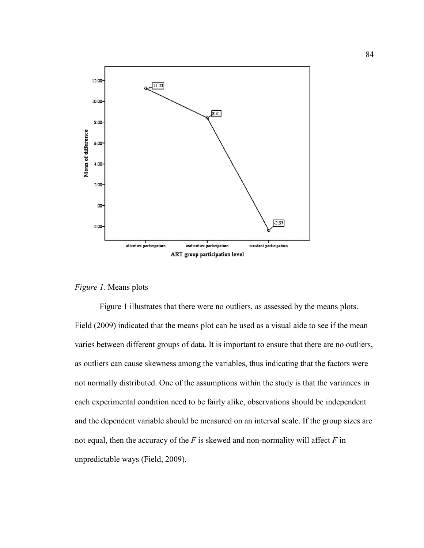

## *Figure 1.* Means plots

Figure 1 illustrates that there were no outliers, as assessed by the means plots. Field (2009) indicated that the means plot can be used as a visual aide to see if the mean varies between different groups of data. It is important to ensure that there are no outliers, as outliers can cause skewness among the variables, thus indicating that the factors were not normally distributed. One of the assumptions within the study is that the variances in each experimental condition need to be fairly alike, observations should be independent and the dependent variable should be measured on an interval scale. If the group sizes are not equal, then the accuracy of the *F* is skewed and non-normality will affect *F* in unpredictable ways (Field, 2009).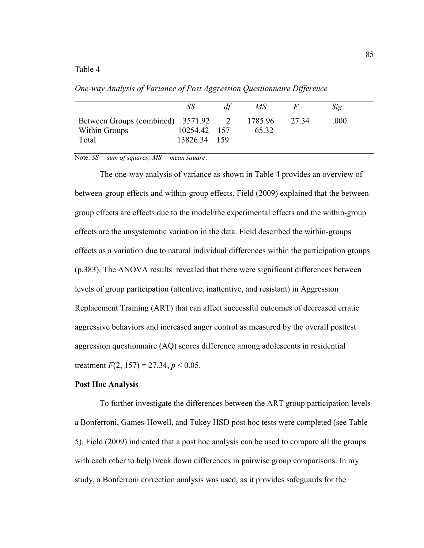## Table 4

|                                   | SS           | МS      |       | Sig. |  |
|-----------------------------------|--------------|---------|-------|------|--|
| Between Groups (combined) 3571.92 |              | 1785.96 | 27 34 | .000 |  |
| Within Groups                     | 10254.42 157 | 65 32   |       |      |  |
| Total                             | 13826.34 159 |         |       |      |  |

*One-way Analysis of Variance of Post Aggression Questionnaire Difference* 

Note. *SS = sum of squares; MS = mean square*.

The one-way analysis of variance as shown in Table 4 provides an overview of between-group effects and within-group effects. Field (2009) explained that the betweengroup effects are effects due to the model/the experimental effects and the within-group effects are the unsystematic variation in the data. Field described the within-groups effects as a variation due to natural individual differences within the participation groups (p.383). The ANOVA results revealed that there were significant differences between levels of group participation (attentive, inattentive, and resistant) in Aggression Replacement Training (ART) that can affect successful outcomes of decreased erratic aggressive behaviors and increased anger control as measured by the overall posttest aggression questionnaire (AQ) scores difference among adolescents in residential treatment  $F(2, 157) = 27.34, p < 0.05$ .

## **Post Hoc Analysis**

 To further investigate the differences between the ART group participation levels a Bonferroni, Games-Howell, and Tukey HSD post hoc tests were completed (see Table 5). Field (2009) indicated that a post hoc analysis can be used to compare all the groups with each other to help break down differences in pairwise group comparisons. In my study, a Bonferroni correction analysis was used, as it provides safeguards for the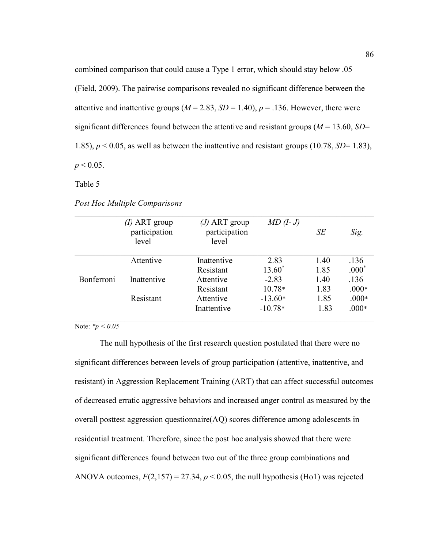combined comparison that could cause a Type 1 error, which should stay below .05 (Field, 2009). The pairwise comparisons revealed no significant difference between the attentive and inattentive groups  $(M = 2.83, SD = 1.40), p = .136$ . However, there were significant differences found between the attentive and resistant groups (*M* = 13.60, *SD*= 1.85),  $p < 0.05$ , as well as between the inattentive and resistant groups (10.78, *SD*= 1.83),  $p < 0.05$ .

Table 5

| Post Hoc Multiple Comparisons |  |  |
|-------------------------------|--|--|
|                               |  |  |

|            | $(I)$ ART group<br>participation<br>level | $(J)$ ART group<br>participation<br>level | $MD (I-J)$ | SE   | Sig.    |
|------------|-------------------------------------------|-------------------------------------------|------------|------|---------|
|            | Attentive                                 | Inattentive                               | 2.83       | 1.40 | .136    |
|            |                                           | Resistant                                 | $13.60*$   | 1.85 | $.000*$ |
| Bonferroni | Inattentive                               | Attentive                                 | $-2.83$    | 1.40 | .136    |
|            |                                           | Resistant                                 | $10.78*$   | 1.83 | $.000*$ |
|            | Resistant                                 | Attentive                                 | $-13.60*$  | 1.85 | $.000*$ |
|            |                                           | Inattentive                               | $-10.78*$  | 1.83 | $.000*$ |

Note:  $\frac{*p}{0.05}$ 

The null hypothesis of the first research question postulated that there were no significant differences between levels of group participation (attentive, inattentive, and resistant) in Aggression Replacement Training (ART) that can affect successful outcomes of decreased erratic aggressive behaviors and increased anger control as measured by the overall posttest aggression questionnaire(AQ) scores difference among adolescents in residential treatment. Therefore, since the post hoc analysis showed that there were significant differences found between two out of the three group combinations and ANOVA outcomes,  $F(2,157) = 27.34$ ,  $p < 0.05$ , the null hypothesis (Ho1) was rejected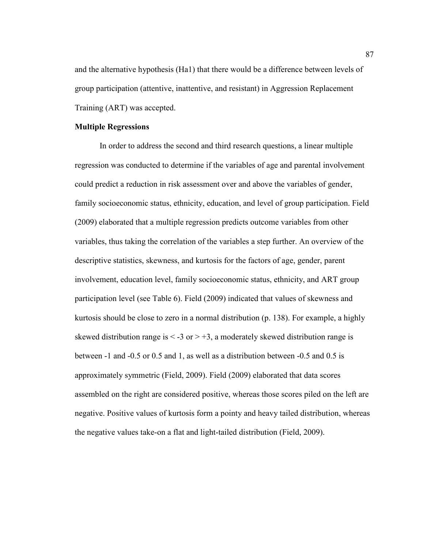and the alternative hypothesis (Ha1) that there would be a difference between levels of group participation (attentive, inattentive, and resistant) in Aggression Replacement Training (ART) was accepted.

### **Multiple Regressions**

In order to address the second and third research questions, a linear multiple regression was conducted to determine if the variables of age and parental involvement could predict a reduction in risk assessment over and above the variables of gender, family socioeconomic status, ethnicity, education, and level of group participation. Field (2009) elaborated that a multiple regression predicts outcome variables from other variables, thus taking the correlation of the variables a step further. An overview of the descriptive statistics, skewness, and kurtosis for the factors of age, gender, parent involvement, education level, family socioeconomic status, ethnicity, and ART group participation level (see Table 6). Field (2009) indicated that values of skewness and kurtosis should be close to zero in a normal distribution (p. 138). For example, a highly skewed distribution range is  $\leq$  -3 or  $>$  +3, a moderately skewed distribution range is between -1 and -0.5 or 0.5 and 1, as well as a distribution between -0.5 and 0.5 is approximately symmetric (Field, 2009). Field (2009) elaborated that data scores assembled on the right are considered positive, whereas those scores piled on the left are negative. Positive values of kurtosis form a pointy and heavy tailed distribution, whereas the negative values take-on a flat and light-tailed distribution (Field, 2009).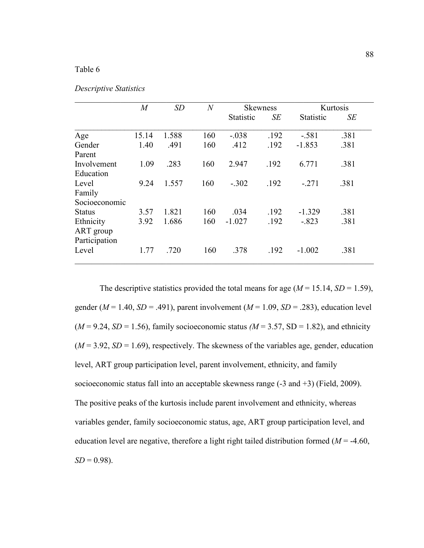## Table 6

| Descriptive Statistics |  |
|------------------------|--|
|------------------------|--|

|               | $\overline{M}$ | SD    | $\boldsymbol{N}$ |                  | <b>Skewness</b> | Kurtosis         |      |
|---------------|----------------|-------|------------------|------------------|-----------------|------------------|------|
|               |                |       |                  | <b>Statistic</b> | <b>SE</b>       | <b>Statistic</b> | SE   |
| Age           | 15.14          | 1.588 | 160              | $-.038$          | .192            | $-.581$          | .381 |
| Gender        | 1.40           | .491  | 160              | .412             | .192            | $-1.853$         | .381 |
| Parent        |                |       |                  |                  |                 |                  |      |
| Involvement   | 1.09           | .283  | 160              | 2.947            | .192            | 6.771            | .381 |
| Education     |                |       |                  |                  |                 |                  |      |
| Level         | 9.24           | 1.557 | 160              | $-.302$          | .192            | $-.271$          | .381 |
| Family        |                |       |                  |                  |                 |                  |      |
| Socioeconomic |                |       |                  |                  |                 |                  |      |
| <b>Status</b> | 3.57           | 1.821 | 160              | .034             | .192            | $-1.329$         | .381 |
| Ethnicity     | 3.92           | 1.686 | 160              | $-1.027$         | .192            | $-.823$          | .381 |
| ART group     |                |       |                  |                  |                 |                  |      |
| Participation |                |       |                  |                  |                 |                  |      |
| Level         | 1.77           | .720  | 160              | .378             | .192            | $-1.002$         | .381 |

The descriptive statistics provided the total means for age  $(M = 15.14, SD = 1.59)$ , gender ( $M = 1.40$ ,  $SD = .491$ ), parent involvement ( $M = 1.09$ ,  $SD = .283$ ), education level  $(M = 9.24, SD = 1.56)$ , family socioeconomic status  $(M = 3.57, SD = 1.82)$ , and ethnicity  $(M = 3.92, SD = 1.69)$ , respectively. The skewness of the variables age, gender, education level, ART group participation level, parent involvement, ethnicity, and family socioeconomic status fall into an acceptable skewness range (-3 and +3) (Field, 2009). The positive peaks of the kurtosis include parent involvement and ethnicity, whereas variables gender, family socioeconomic status, age, ART group participation level, and education level are negative, therefore a light right tailed distribution formed  $(M = -4.60)$ ,  $SD = 0.98$ ).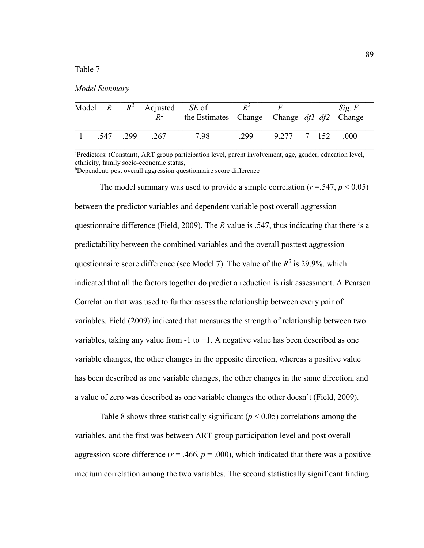Table 7

|  | Model Summary |
|--|---------------|
|--|---------------|

|  | Model $R$ $R^2$ Adjusted <i>SE</i> of<br>$R^2$ | the Estimates Change Change df1 df2 Change | $R^2$ | $F_{-}$     |  | Sig. F |
|--|------------------------------------------------|--------------------------------------------|-------|-------------|--|--------|
|  | 547 299 267                                    | 7.98                                       | 299   | 9.277 7 152 |  | .000   |

<sup>a</sup>Predictors: (Constant), ART group participation level, parent involvement, age, gender, education level, ethnicity, family socio-economic status,

<sup>b</sup>Dependent: post overall aggression questionnaire score difference

The model summary was used to provide a simple correlation  $(r = .547, p < 0.05)$ between the predictor variables and dependent variable post overall aggression questionnaire difference (Field, 2009). The *R* value is .547, thus indicating that there is a predictability between the combined variables and the overall posttest aggression questionnaire score difference (see Model 7). The value of the  $R^2$  is 29.9%, which indicated that all the factors together do predict a reduction is risk assessment. A Pearson Correlation that was used to further assess the relationship between every pair of variables. Field (2009) indicated that measures the strength of relationship between two variables, taking any value from  $-1$  to  $+1$ . A negative value has been described as one variable changes, the other changes in the opposite direction, whereas a positive value has been described as one variable changes, the other changes in the same direction, and a value of zero was described as one variable changes the other doesn't (Field, 2009).

Table 8 shows three statistically significant ( $p < 0.05$ ) correlations among the variables, and the first was between ART group participation level and post overall aggression score difference ( $r = .466$ ,  $p = .000$ ), which indicated that there was a positive medium correlation among the two variables. The second statistically significant finding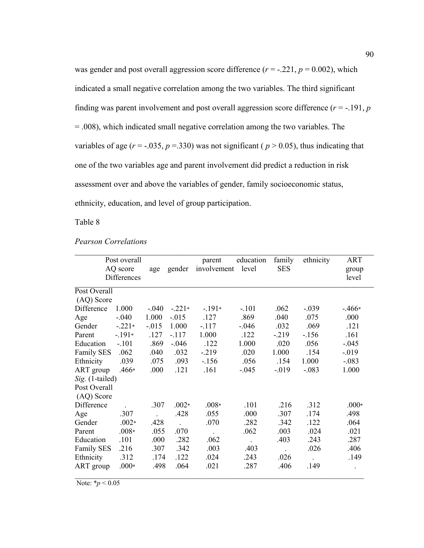was gender and post overall aggression score difference  $(r = -0.221, p = 0.002)$ , which indicated a small negative correlation among the two variables. The third significant finding was parent involvement and post overall aggression score difference  $(r = -191, p$ = .008), which indicated small negative correlation among the two variables. The variables of age  $(r = -.035, p = .330)$  was not significant ( $p > 0.05$ ), thus indicating that one of the two variables age and parent involvement did predict a reduction in risk assessment over and above the variables of gender, family socioeconomic status, ethnicity, education, and level of group participation.

Table 8

*Pearson Correlations* 

|                   | Post overall |          |          | parent      | education | family     | ethnicity     | <b>ART</b> |
|-------------------|--------------|----------|----------|-------------|-----------|------------|---------------|------------|
|                   | AQ score     | age      | gender   | involvement | level     | <b>SES</b> |               | group      |
|                   | Differences  |          |          |             |           |            |               | level      |
| Post Overall      |              |          |          |             |           |            |               |            |
| (AQ) Score        |              |          |          |             |           |            |               |            |
| Difference        | 1.000        | $-.040$  | $-.221*$ | $-191*$     | $-.101$   | .062       | $-.039$       | $-.466*$   |
| Age               | $-.040$      | 1.000    | $-0.015$ | .127        | .869      | .040       | .075          | .000       |
| Gender            | $-.221*$     | $-0.015$ | 1.000    | $-117$      | $-0.046$  | .032       | .069          | .121       |
| Parent            | $-.191*$     | .127     | $-.117$  | 1.000       | .122      | $-219$     | $-156$        | .161       |
| Education         | $-.101$      | .869     | $-.046$  | .122        | 1.000     | .020       | .056          | $-.045$    |
| <b>Family SES</b> | .062         | .040     | .032     | $-219$      | .020      | 1.000      | .154          | $-0.019$   |
| Ethnicity         | .039         | .075     | .093     | $-156$      | .056      | .154       | 1.000         | $-.083$    |
| ART group         | $.466*$      | .000     | .121     | .161        | $-.045$   | $-0.019$   | $-.083$       | 1.000      |
| Sig. (1-tailed)   |              |          |          |             |           |            |               |            |
| Post Overall      |              |          |          |             |           |            |               |            |
| (AQ) Score        |              |          |          |             |           |            |               |            |
| Difference        |              | .307     | $.002*$  | $.008*$     | .101      | .216       | .312          | $.000*$    |
| Age               | .307         |          | .428     | .055        | .000      | .307       | .174          | .498       |
| Gender            | $.002*$      | .428     |          | .070        | .282      | .342       | .122          | .064       |
| Parent            | $.008*$      | .055     | .070     |             | .062      | .003       | .024          | .021       |
| Education         | .101         | .000     | .282     | .062        |           | .403       | .243          | .287       |
| <b>Family SES</b> | .216         | .307     | .342     | .003        | .403      |            | .026          | .406       |
| Ethnicity         | .312         | .174     | .122     | .024        | .243      | .026       | $\mathcal{L}$ | .149       |
| ART group         | $.000*$      | .498     | .064     | .021        | .287      | .406       | .149          | $\bullet$  |

Note:  $*_{p}$  < 0.05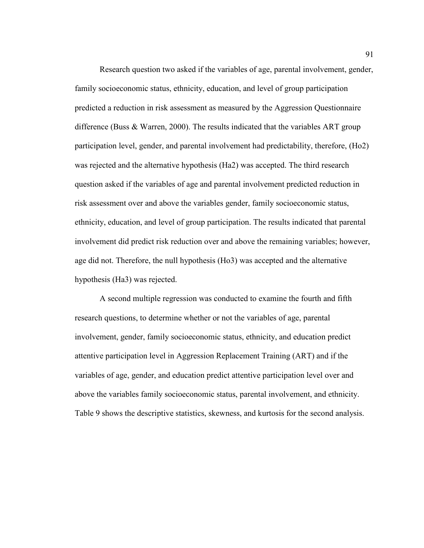Research question two asked if the variables of age, parental involvement, gender, family socioeconomic status, ethnicity, education, and level of group participation predicted a reduction in risk assessment as measured by the Aggression Questionnaire difference (Buss & Warren, 2000). The results indicated that the variables ART group participation level, gender, and parental involvement had predictability, therefore, (Ho2) was rejected and the alternative hypothesis (Ha2) was accepted. The third research question asked if the variables of age and parental involvement predicted reduction in risk assessment over and above the variables gender, family socioeconomic status, ethnicity, education, and level of group participation. The results indicated that parental involvement did predict risk reduction over and above the remaining variables; however, age did not. Therefore, the null hypothesis (Ho3) was accepted and the alternative hypothesis (Ha3) was rejected.

A second multiple regression was conducted to examine the fourth and fifth research questions, to determine whether or not the variables of age, parental involvement, gender, family socioeconomic status, ethnicity, and education predict attentive participation level in Aggression Replacement Training (ART) and if the variables of age, gender, and education predict attentive participation level over and above the variables family socioeconomic status, parental involvement, and ethnicity. Table 9 shows the descriptive statistics, skewness, and kurtosis for the second analysis.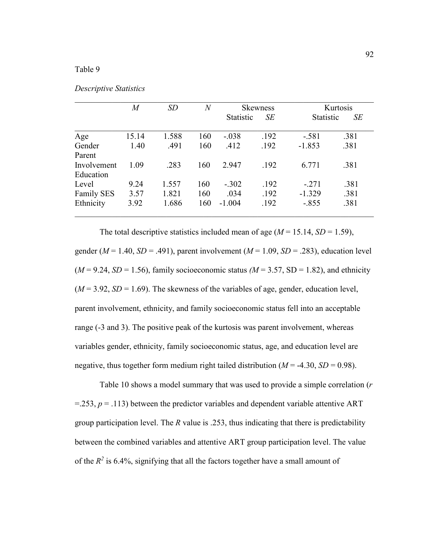## Table 9

|                   | $\overline{M}$ | SD    | $\overline{N}$ | <b>Skewness</b>  |      | Kurtosis         |      |
|-------------------|----------------|-------|----------------|------------------|------|------------------|------|
|                   |                |       |                | <b>Statistic</b> | SE   | <b>Statistic</b> | SE   |
| Age               | 15.14          | 1.588 | 160            | $-.038$          | .192 | $-.581$          | .381 |
| Gender            | 1.40           | .491  | 160            | .412             | .192 | $-1.853$         | .381 |
| Parent            |                |       |                |                  |      |                  |      |
| Involvement       | 1.09           | .283  | 160            | 2.947            | .192 | 6.771            | .381 |
| Education         |                |       |                |                  |      |                  |      |
| Level             | 9.24           | 1.557 | 160            | $-.302$          | .192 | $-.271$          | .381 |
| <b>Family SES</b> | 3.57           | 1.821 | 160            | .034             | .192 | $-1.329$         | .381 |
| Ethnicity         | 3.92           | 1.686 | 160            | $-1.004$         | .192 | $-.855$          | .381 |

 $\_$  , and the contribution of the contribution of  $\mathcal{L}_\mathcal{A}$  , and the contribution of  $\mathcal{L}_\mathcal{A}$ 

*Descriptive Statistics* 

The total descriptive statistics included mean of age  $(M = 15.14, SD = 1.59)$ , gender ( $M = 1.40$ ,  $SD = .491$ ), parent involvement ( $M = 1.09$ ,  $SD = .283$ ), education level  $(M = 9.24, SD = 1.56)$ , family socioeconomic status  $(M = 3.57, SD = 1.82)$ , and ethnicity  $(M = 3.92, SD = 1.69)$ . The skewness of the variables of age, gender, education level, parent involvement, ethnicity, and family socioeconomic status fell into an acceptable range (-3 and 3). The positive peak of the kurtosis was parent involvement, whereas variables gender, ethnicity, family socioeconomic status, age, and education level are negative, thus together form medium right tailed distribution  $(M = -4.30, SD = 0.98)$ .

Table 10 shows a model summary that was used to provide a simple correlation (*r*   $=$  253,  $p = 0.113$ ) between the predictor variables and dependent variable attentive ART group participation level. The *R* value is .253, thus indicating that there is predictability between the combined variables and attentive ART group participation level. The value of the  $R^2$  is 6.4%, signifying that all the factors together have a small amount of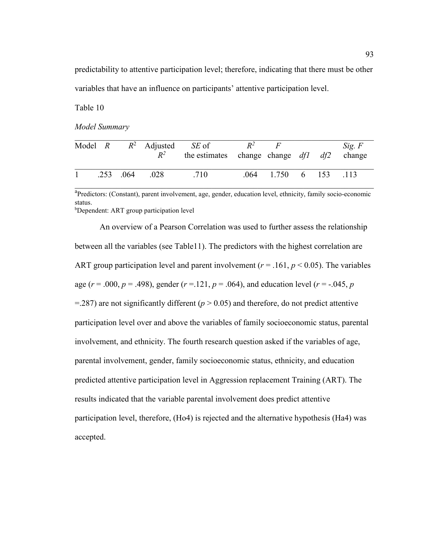predictability to attentive participation level; therefore, indicating that there must be other variables that have an influence on participants' attentive participation level.

Table 10

*Model Summary* 

|  |                   | Model $R$ $R^2$ Adjusted <i>SE</i> of<br>$R^2$ | the estimates change change $df1$ df2 | $R^2$ | $\bm{F}$           |  | Sig. F<br>change |
|--|-------------------|------------------------------------------------|---------------------------------------|-------|--------------------|--|------------------|
|  | $.253 \quad .064$ | .028                                           | .710                                  |       | $.064$ 1.750 6 153 |  | -113             |

<sup>a</sup>Predictors: (Constant), parent involvement, age, gender, education level, ethnicity, family socio-economic status. <sup>b</sup>Dependent: ART group participation level

An overview of a Pearson Correlation was used to further assess the relationship between all the variables (see Table11). The predictors with the highest correlation are ART group participation level and parent involvement ( $r = .161$ ,  $p < 0.05$ ). The variables age ( $r = .000$ ,  $p = .498$ ), gender ( $r = .121$ ,  $p = .064$ ), and education level ( $r = .045$ ,  $p = .045$ )  $=$  287) are not significantly different ( $p$  > 0.05) and therefore, do not predict attentive participation level over and above the variables of family socioeconomic status, parental involvement, and ethnicity. The fourth research question asked if the variables of age, parental involvement, gender, family socioeconomic status, ethnicity, and education predicted attentive participation level in Aggression replacement Training (ART). The results indicated that the variable parental involvement does predict attentive participation level, therefore, (Ho4) is rejected and the alternative hypothesis (Ha4) was accepted.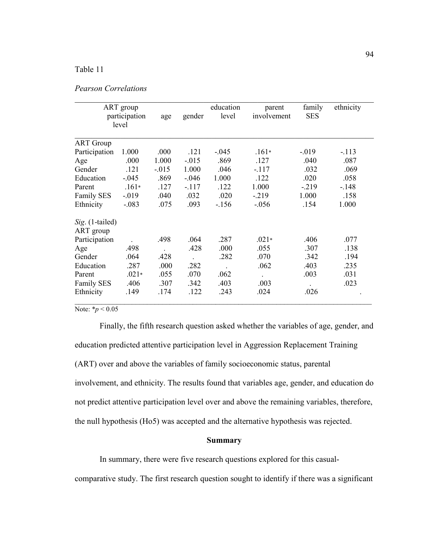# Table 11

|  | Pearson Correlations |
|--|----------------------|
|--|----------------------|

|                   | ART group<br>participation<br>level |         | gender               | education<br>level | parent<br>involvement | family<br><b>SES</b> | ethnicity |
|-------------------|-------------------------------------|---------|----------------------|--------------------|-----------------------|----------------------|-----------|
|                   |                                     |         |                      |                    |                       |                      |           |
| <b>ART</b> Group  |                                     |         |                      |                    |                       |                      |           |
| Participation     | 1.000                               | .000    | .121                 | $-.045$            | $.161*$               | $-019$               | $-113$    |
| Age               | .000                                | 1.000   | $-0.015$             | .869               | .127                  | .040                 | .087      |
| Gender            | .121                                | $-.015$ | 1.000                | .046               | $-.117$               | .032                 | .069      |
| Education         | $-.045$                             | .869    | $-.046$              | 1.000              | .122                  | .020                 | .058      |
| Parent            | $.161*$                             | .127    | $-117$               | .122               | 1.000                 | $-.219$              | $-.148$   |
| Family SES        | $-0.019$                            | .040    | .032                 | .020               | $-.219$               | 1.000                | .158      |
| Ethnicity         | $-.083$                             | .075    | .093                 | $-156$             | $-.056$               | .154                 | 1.000     |
| Sig. (1-tailed)   |                                     |         |                      |                    |                       |                      |           |
| ART group         |                                     |         |                      |                    |                       |                      |           |
| Participation     |                                     | .498    | .064                 | .287               | $.021*$               | .406                 | .077      |
| Age               | .498                                |         | .428                 | .000               | .055                  | .307                 | .138      |
| Gender            | .064                                | .428    | $\ddot{\phantom{a}}$ | .282               | .070                  | .342                 | .194      |
| Education         | .287                                | .000    | .282                 |                    | .062                  | .403                 | .235      |
| Parent            | $.021*$                             | .055    | .070                 | .062               | $\cdot$               | .003                 | .031      |
| <b>Family SES</b> | .406                                | .307    | .342                 | .403               | .003                  |                      | .023      |
| Ethnicity         | .149                                | .174    | .122                 | .243               | .024                  | .026                 |           |

Note:  $*_{p}$  < 0.05

Finally, the fifth research question asked whether the variables of age, gender, and education predicted attentive participation level in Aggression Replacement Training (ART) over and above the variables of family socioeconomic status, parental involvement, and ethnicity. The results found that variables age, gender, and education do not predict attentive participation level over and above the remaining variables, therefore, the null hypothesis (Ho5) was accepted and the alternative hypothesis was rejected.

### **Summary**

In summary, there were five research questions explored for this casual-

comparative study. The first research question sought to identify if there was a significant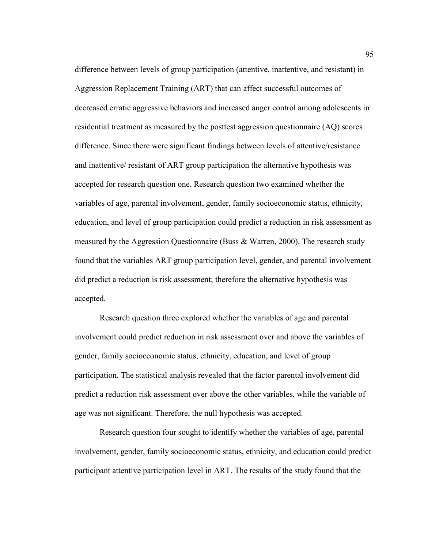difference between levels of group participation (attentive, inattentive, and resistant) in Aggression Replacement Training (ART) that can affect successful outcomes of decreased erratic aggressive behaviors and increased anger control among adolescents in residential treatment as measured by the posttest aggression questionnaire (AQ) scores difference. Since there were significant findings between levels of attentive/resistance and inattentive/ resistant of ART group participation the alternative hypothesis was accepted for research question one. Research question two examined whether the variables of age, parental involvement, gender, family socioeconomic status, ethnicity, education, and level of group participation could predict a reduction in risk assessment as measured by the Aggression Questionnaire (Buss & Warren, 2000). The research study found that the variables ART group participation level, gender, and parental involvement did predict a reduction is risk assessment; therefore the alternative hypothesis was accepted.

 Research question three explored whether the variables of age and parental involvement could predict reduction in risk assessment over and above the variables of gender, family socioeconomic status, ethnicity, education, and level of group participation. The statistical analysis revealed that the factor parental involvement did predict a reduction risk assessment over above the other variables, while the variable of age was not significant. Therefore, the null hypothesis was accepted.

Research question four sought to identify whether the variables of age, parental involvement, gender, family socioeconomic status, ethnicity, and education could predict participant attentive participation level in ART. The results of the study found that the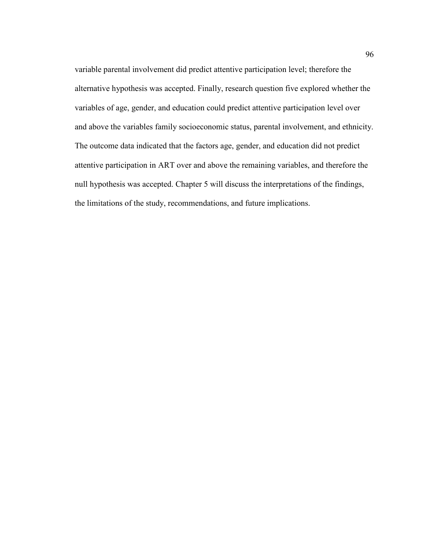variable parental involvement did predict attentive participation level; therefore the alternative hypothesis was accepted. Finally, research question five explored whether the variables of age, gender, and education could predict attentive participation level over and above the variables family socioeconomic status, parental involvement, and ethnicity. The outcome data indicated that the factors age, gender, and education did not predict attentive participation in ART over and above the remaining variables, and therefore the null hypothesis was accepted. Chapter 5 will discuss the interpretations of the findings, the limitations of the study, recommendations, and future implications.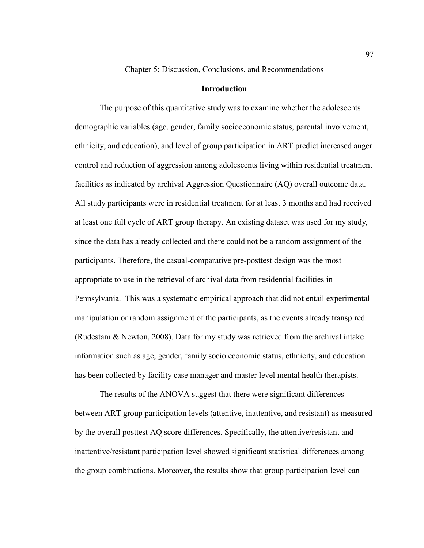Chapter 5: Discussion, Conclusions, and Recommendations

## **Introduction**

The purpose of this quantitative study was to examine whether the adolescents demographic variables (age, gender, family socioeconomic status, parental involvement, ethnicity, and education), and level of group participation in ART predict increased anger control and reduction of aggression among adolescents living within residential treatment facilities as indicated by archival Aggression Questionnaire (AQ) overall outcome data. All study participants were in residential treatment for at least 3 months and had received at least one full cycle of ART group therapy. An existing dataset was used for my study, since the data has already collected and there could not be a random assignment of the participants. Therefore, the casual-comparative pre-posttest design was the most appropriate to use in the retrieval of archival data from residential facilities in Pennsylvania. This was a systematic empirical approach that did not entail experimental manipulation or random assignment of the participants, as the events already transpired (Rudestam & Newton, 2008). Data for my study was retrieved from the archival intake information such as age, gender, family socio economic status, ethnicity, and education has been collected by facility case manager and master level mental health therapists.

The results of the ANOVA suggest that there were significant differences between ART group participation levels (attentive, inattentive, and resistant) as measured by the overall posttest AQ score differences. Specifically, the attentive/resistant and inattentive/resistant participation level showed significant statistical differences among the group combinations. Moreover, the results show that group participation level can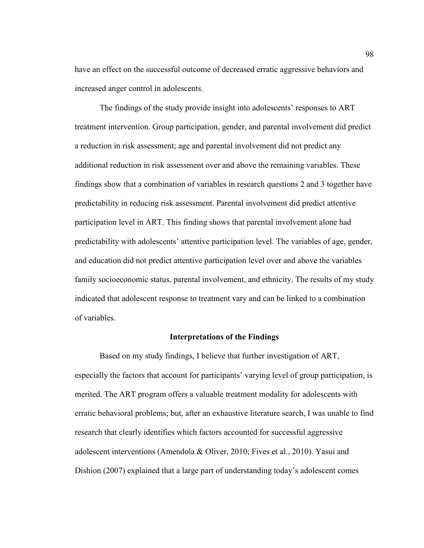have an effect on the successful outcome of decreased erratic aggressive behaviors and increased anger control in adolescents.

The findings of the study provide insight into adolescents' responses to ART treatment intervention. Group participation, gender, and parental involvement did predict a reduction in risk assessment; age and parental involvement did not predict any additional reduction in risk assessment over and above the remaining variables. These findings show that a combination of variables in research questions 2 and 3 together have predictability in reducing risk assessment. Parental involvement did predict attentive participation level in ART. This finding shows that parental involvement alone had predictability with adolescents' attentive participation level. The variables of age, gender, and education did not predict attentive participation level over and above the variables family socioeconomic status, parental involvement, and ethnicity. The results of my study indicated that adolescent response to treatment vary and can be linked to a combination of variables.

## **Interpretations of the Findings**

Based on my study findings, I believe that further investigation of ART, especially the factors that account for participants' varying level of group participation, is merited. The ART program offers a valuable treatment modality for adolescents with erratic behavioral problems; but, after an exhaustive literature search, I was unable to find research that clearly identifies which factors accounted for successful aggressive adolescent interventions (Amendola & Oliver, 2010; Fives et al., 2010). Yasui and Dishion (2007) explained that a large part of understanding today's adolescent comes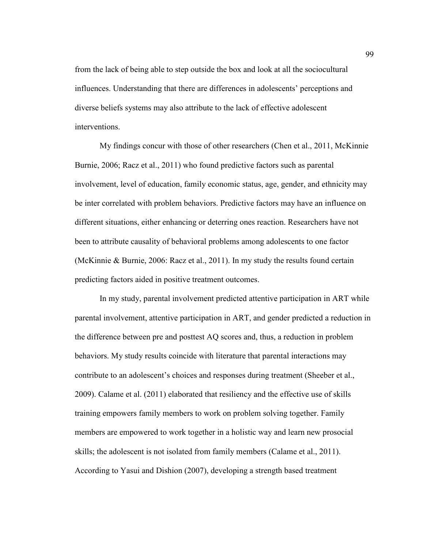from the lack of being able to step outside the box and look at all the sociocultural influences. Understanding that there are differences in adolescents' perceptions and diverse beliefs systems may also attribute to the lack of effective adolescent interventions.

 My findings concur with those of other researchers (Chen et al., 2011, McKinnie Burnie, 2006; Racz et al., 2011) who found predictive factors such as parental involvement, level of education, family economic status, age, gender, and ethnicity may be inter correlated with problem behaviors. Predictive factors may have an influence on different situations, either enhancing or deterring ones reaction. Researchers have not been to attribute causality of behavioral problems among adolescents to one factor (McKinnie & Burnie, 2006: Racz et al., 2011). In my study the results found certain predicting factors aided in positive treatment outcomes.

In my study, parental involvement predicted attentive participation in ART while parental involvement, attentive participation in ART, and gender predicted a reduction in the difference between pre and posttest AQ scores and, thus, a reduction in problem behaviors. My study results coincide with literature that parental interactions may contribute to an adolescent's choices and responses during treatment (Sheeber et al., 2009). Calame et al. (2011) elaborated that resiliency and the effective use of skills training empowers family members to work on problem solving together. Family members are empowered to work together in a holistic way and learn new prosocial skills; the adolescent is not isolated from family members (Calame et al., 2011). According to Yasui and Dishion (2007), developing a strength based treatment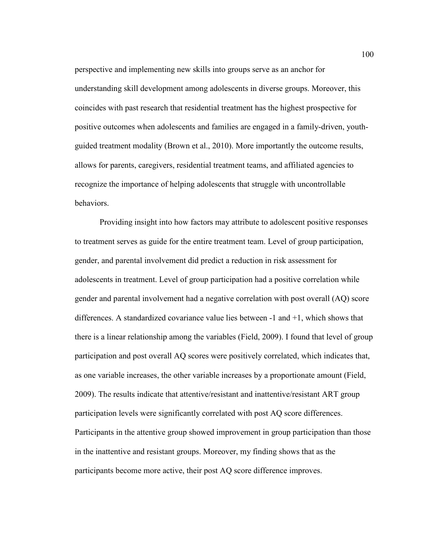perspective and implementing new skills into groups serve as an anchor for understanding skill development among adolescents in diverse groups. Moreover, this coincides with past research that residential treatment has the highest prospective for positive outcomes when adolescents and families are engaged in a family-driven, youthguided treatment modality (Brown et al., 2010). More importantly the outcome results, allows for parents, caregivers, residential treatment teams, and affiliated agencies to recognize the importance of helping adolescents that struggle with uncontrollable behaviors.

Providing insight into how factors may attribute to adolescent positive responses to treatment serves as guide for the entire treatment team. Level of group participation, gender, and parental involvement did predict a reduction in risk assessment for adolescents in treatment. Level of group participation had a positive correlation while gender and parental involvement had a negative correlation with post overall (AQ) score differences. A standardized covariance value lies between -1 and +1, which shows that there is a linear relationship among the variables (Field, 2009). I found that level of group participation and post overall AQ scores were positively correlated, which indicates that, as one variable increases, the other variable increases by a proportionate amount (Field, 2009). The results indicate that attentive/resistant and inattentive/resistant ART group participation levels were significantly correlated with post AQ score differences. Participants in the attentive group showed improvement in group participation than those in the inattentive and resistant groups. Moreover, my finding shows that as the participants become more active, their post AQ score difference improves.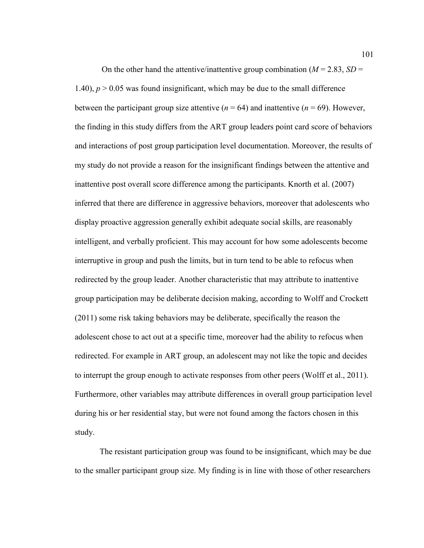On the other hand the attentive/inattentive group combination ( $M = 2.83$ ,  $SD =$ 1.40),  $p > 0.05$  was found insignificant, which may be due to the small difference between the participant group size attentive  $(n = 64)$  and inattentive  $(n = 69)$ . However, the finding in this study differs from the ART group leaders point card score of behaviors and interactions of post group participation level documentation. Moreover, the results of my study do not provide a reason for the insignificant findings between the attentive and inattentive post overall score difference among the participants. Knorth et al. (2007) inferred that there are difference in aggressive behaviors, moreover that adolescents who display proactive aggression generally exhibit adequate social skills, are reasonably intelligent, and verbally proficient. This may account for how some adolescents become interruptive in group and push the limits, but in turn tend to be able to refocus when redirected by the group leader. Another characteristic that may attribute to inattentive group participation may be deliberate decision making, according to Wolff and Crockett (2011) some risk taking behaviors may be deliberate, specifically the reason the adolescent chose to act out at a specific time, moreover had the ability to refocus when redirected. For example in ART group, an adolescent may not like the topic and decides to interrupt the group enough to activate responses from other peers (Wolff et al., 2011). Furthermore, other variables may attribute differences in overall group participation level during his or her residential stay, but were not found among the factors chosen in this study.

The resistant participation group was found to be insignificant, which may be due to the smaller participant group size. My finding is in line with those of other researchers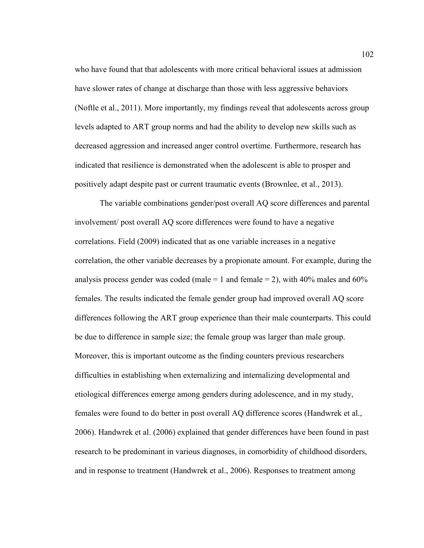who have found that that adolescents with more critical behavioral issues at admission have slower rates of change at discharge than those with less aggressive behaviors (Noftle et al., 2011). More importantly, my findings reveal that adolescents across group levels adapted to ART group norms and had the ability to develop new skills such as decreased aggression and increased anger control overtime. Furthermore, research has indicated that resilience is demonstrated when the adolescent is able to prosper and positively adapt despite past or current traumatic events (Brownlee, et al., 2013).

The variable combinations gender/post overall AQ score differences and parental involvement/ post overall AQ score differences were found to have a negative correlations. Field (2009) indicated that as one variable increases in a negative correlation, the other variable decreases by a propionate amount. For example, during the analysis process gender was coded (male  $= 1$  and female  $= 2$ ), with 40% males and 60% females. The results indicated the female gender group had improved overall AQ score differences following the ART group experience than their male counterparts. This could be due to difference in sample size; the female group was larger than male group. Moreover, this is important outcome as the finding counters previous researchers difficulties in establishing when externalizing and internalizing developmental and etiological differences emerge among genders during adolescence, and in my study, females were found to do better in post overall AQ difference scores (Handwrek et al., 2006). Handwrek et al. (2006) explained that gender differences have been found in past research to be predominant in various diagnoses, in comorbidity of childhood disorders, and in response to treatment (Handwrek et al., 2006). Responses to treatment among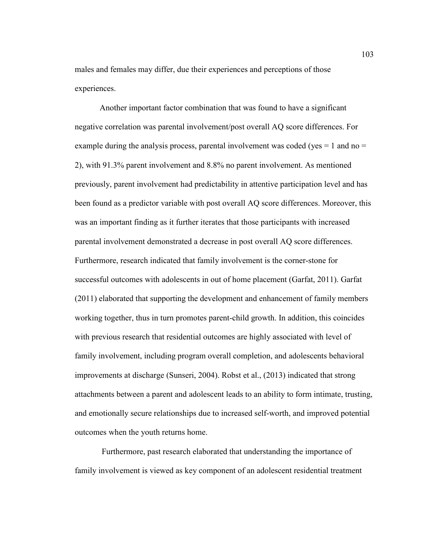males and females may differ, due their experiences and perceptions of those experiences.

Another important factor combination that was found to have a significant negative correlation was parental involvement/post overall AQ score differences. For example during the analysis process, parental involvement was coded (yes  $= 1$  and no  $=$ 2), with 91.3% parent involvement and 8.8% no parent involvement. As mentioned previously, parent involvement had predictability in attentive participation level and has been found as a predictor variable with post overall AQ score differences. Moreover, this was an important finding as it further iterates that those participants with increased parental involvement demonstrated a decrease in post overall AQ score differences. Furthermore, research indicated that family involvement is the corner-stone for successful outcomes with adolescents in out of home placement (Garfat, 2011). Garfat (2011) elaborated that supporting the development and enhancement of family members working together, thus in turn promotes parent-child growth. In addition, this coincides with previous research that residential outcomes are highly associated with level of family involvement, including program overall completion, and adolescents behavioral improvements at discharge (Sunseri, 2004). Robst et al., (2013) indicated that strong attachments between a parent and adolescent leads to an ability to form intimate, trusting, and emotionally secure relationships due to increased self-worth, and improved potential outcomes when the youth returns home.

 Furthermore, past research elaborated that understanding the importance of family involvement is viewed as key component of an adolescent residential treatment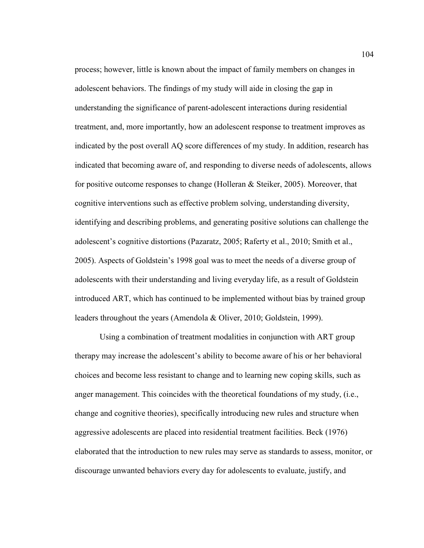process; however, little is known about the impact of family members on changes in adolescent behaviors. The findings of my study will aide in closing the gap in understanding the significance of parent-adolescent interactions during residential treatment, and, more importantly, how an adolescent response to treatment improves as indicated by the post overall AQ score differences of my study. In addition, research has indicated that becoming aware of, and responding to diverse needs of adolescents, allows for positive outcome responses to change (Holleran & Steiker, 2005). Moreover, that cognitive interventions such as effective problem solving, understanding diversity, identifying and describing problems, and generating positive solutions can challenge the adolescent's cognitive distortions (Pazaratz, 2005; Raferty et al., 2010; Smith et al., 2005). Aspects of Goldstein's 1998 goal was to meet the needs of a diverse group of adolescents with their understanding and living everyday life, as a result of Goldstein introduced ART, which has continued to be implemented without bias by trained group leaders throughout the years (Amendola & Oliver, 2010; Goldstein, 1999).

Using a combination of treatment modalities in conjunction with ART group therapy may increase the adolescent's ability to become aware of his or her behavioral choices and become less resistant to change and to learning new coping skills, such as anger management. This coincides with the theoretical foundations of my study, (i.e., change and cognitive theories), specifically introducing new rules and structure when aggressive adolescents are placed into residential treatment facilities. Beck (1976) elaborated that the introduction to new rules may serve as standards to assess, monitor, or discourage unwanted behaviors every day for adolescents to evaluate, justify, and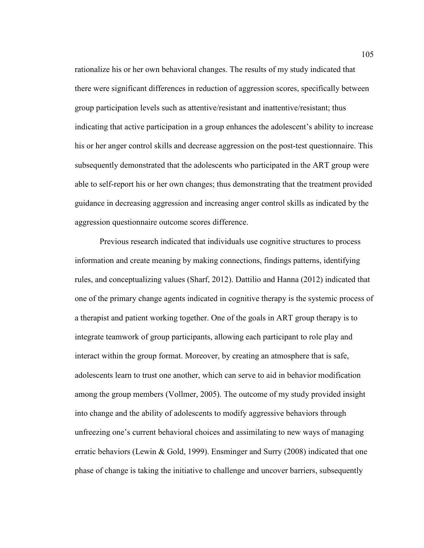rationalize his or her own behavioral changes. The results of my study indicated that there were significant differences in reduction of aggression scores, specifically between group participation levels such as attentive/resistant and inattentive/resistant; thus indicating that active participation in a group enhances the adolescent's ability to increase his or her anger control skills and decrease aggression on the post-test questionnaire. This subsequently demonstrated that the adolescents who participated in the ART group were able to self-report his or her own changes; thus demonstrating that the treatment provided guidance in decreasing aggression and increasing anger control skills as indicated by the aggression questionnaire outcome scores difference.

Previous research indicated that individuals use cognitive structures to process information and create meaning by making connections, findings patterns, identifying rules, and conceptualizing values (Sharf, 2012). Dattilio and Hanna (2012) indicated that one of the primary change agents indicated in cognitive therapy is the systemic process of a therapist and patient working together. One of the goals in ART group therapy is to integrate teamwork of group participants, allowing each participant to role play and interact within the group format. Moreover, by creating an atmosphere that is safe, adolescents learn to trust one another, which can serve to aid in behavior modification among the group members (Vollmer, 2005). The outcome of my study provided insight into change and the ability of adolescents to modify aggressive behaviors through unfreezing one's current behavioral choices and assimilating to new ways of managing erratic behaviors (Lewin & Gold, 1999). Ensminger and Surry (2008) indicated that one phase of change is taking the initiative to challenge and uncover barriers, subsequently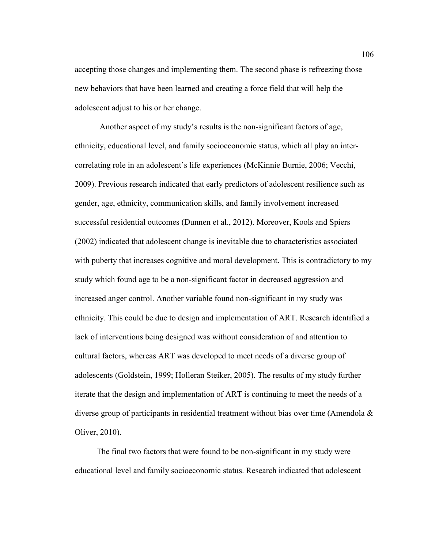accepting those changes and implementing them. The second phase is refreezing those new behaviors that have been learned and creating a force field that will help the adolescent adjust to his or her change.

Another aspect of my study's results is the non-significant factors of age, ethnicity, educational level, and family socioeconomic status, which all play an intercorrelating role in an adolescent's life experiences (McKinnie Burnie, 2006; Vecchi, 2009). Previous research indicated that early predictors of adolescent resilience such as gender, age, ethnicity, communication skills, and family involvement increased successful residential outcomes (Dunnen et al., 2012). Moreover, Kools and Spiers (2002) indicated that adolescent change is inevitable due to characteristics associated with puberty that increases cognitive and moral development. This is contradictory to my study which found age to be a non-significant factor in decreased aggression and increased anger control. Another variable found non-significant in my study was ethnicity. This could be due to design and implementation of ART. Research identified a lack of interventions being designed was without consideration of and attention to cultural factors, whereas ART was developed to meet needs of a diverse group of adolescents (Goldstein, 1999; Holleran Steiker, 2005). The results of my study further iterate that the design and implementation of ART is continuing to meet the needs of a diverse group of participants in residential treatment without bias over time (Amendola & Oliver, 2010).

 The final two factors that were found to be non-significant in my study were educational level and family socioeconomic status. Research indicated that adolescent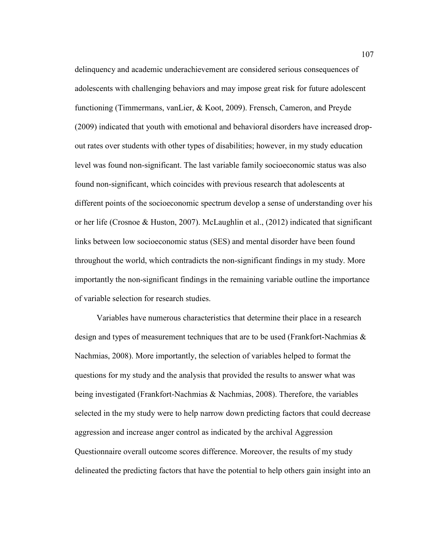delinquency and academic underachievement are considered serious consequences of adolescents with challenging behaviors and may impose great risk for future adolescent functioning (Timmermans, vanLier, & Koot, 2009). Frensch, Cameron, and Preyde (2009) indicated that youth with emotional and behavioral disorders have increased dropout rates over students with other types of disabilities; however, in my study education level was found non-significant. The last variable family socioeconomic status was also found non-significant, which coincides with previous research that adolescents at different points of the socioeconomic spectrum develop a sense of understanding over his or her life (Crosnoe & Huston, 2007). McLaughlin et al., (2012) indicated that significant links between low socioeconomic status (SES) and mental disorder have been found throughout the world, which contradicts the non-significant findings in my study. More importantly the non-significant findings in the remaining variable outline the importance of variable selection for research studies.

 Variables have numerous characteristics that determine their place in a research design and types of measurement techniques that are to be used (Frankfort-Nachmias & Nachmias, 2008). More importantly, the selection of variables helped to format the questions for my study and the analysis that provided the results to answer what was being investigated (Frankfort-Nachmias & Nachmias, 2008). Therefore, the variables selected in the my study were to help narrow down predicting factors that could decrease aggression and increase anger control as indicated by the archival Aggression Questionnaire overall outcome scores difference. Moreover, the results of my study delineated the predicting factors that have the potential to help others gain insight into an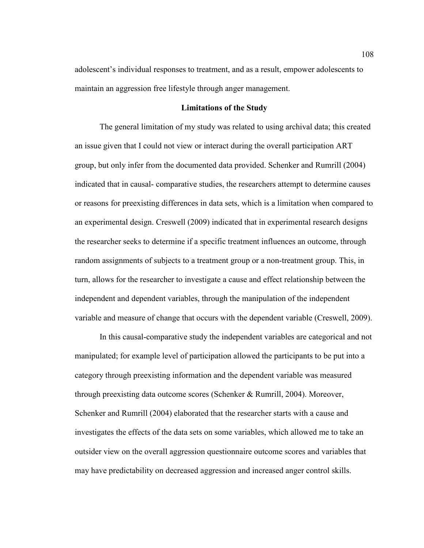adolescent's individual responses to treatment, and as a result, empower adolescents to maintain an aggression free lifestyle through anger management.

#### **Limitations of the Study**

The general limitation of my study was related to using archival data; this created an issue given that I could not view or interact during the overall participation ART group, but only infer from the documented data provided. Schenker and Rumrill (2004) indicated that in causal- comparative studies, the researchers attempt to determine causes or reasons for preexisting differences in data sets, which is a limitation when compared to an experimental design. Creswell (2009) indicated that in experimental research designs the researcher seeks to determine if a specific treatment influences an outcome, through random assignments of subjects to a treatment group or a non-treatment group. This, in turn, allows for the researcher to investigate a cause and effect relationship between the independent and dependent variables, through the manipulation of the independent variable and measure of change that occurs with the dependent variable (Creswell, 2009).

In this causal-comparative study the independent variables are categorical and not manipulated; for example level of participation allowed the participants to be put into a category through preexisting information and the dependent variable was measured through preexisting data outcome scores (Schenker & Rumrill, 2004). Moreover, Schenker and Rumrill (2004) elaborated that the researcher starts with a cause and investigates the effects of the data sets on some variables, which allowed me to take an outsider view on the overall aggression questionnaire outcome scores and variables that may have predictability on decreased aggression and increased anger control skills.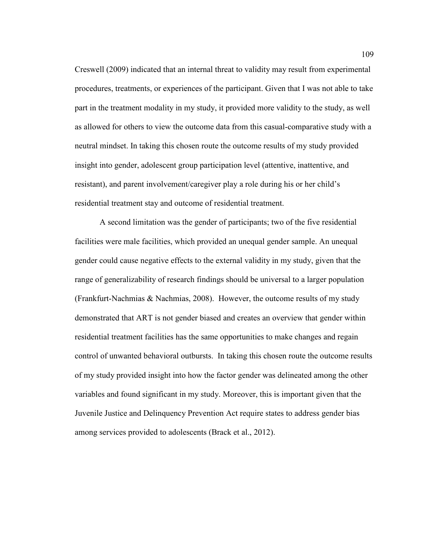Creswell (2009) indicated that an internal threat to validity may result from experimental procedures, treatments, or experiences of the participant. Given that I was not able to take part in the treatment modality in my study, it provided more validity to the study, as well as allowed for others to view the outcome data from this casual-comparative study with a neutral mindset. In taking this chosen route the outcome results of my study provided insight into gender, adolescent group participation level (attentive, inattentive, and resistant), and parent involvement/caregiver play a role during his or her child's residential treatment stay and outcome of residential treatment.

A second limitation was the gender of participants; two of the five residential facilities were male facilities, which provided an unequal gender sample. An unequal gender could cause negative effects to the external validity in my study, given that the range of generalizability of research findings should be universal to a larger population (Frankfurt-Nachmias & Nachmias, 2008). However, the outcome results of my study demonstrated that ART is not gender biased and creates an overview that gender within residential treatment facilities has the same opportunities to make changes and regain control of unwanted behavioral outbursts. In taking this chosen route the outcome results of my study provided insight into how the factor gender was delineated among the other variables and found significant in my study. Moreover, this is important given that the Juvenile Justice and Delinquency Prevention Act require states to address gender bias among services provided to adolescents (Brack et al., 2012).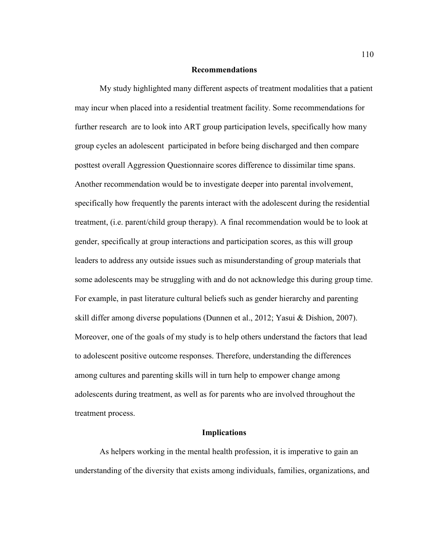#### **Recommendations**

My study highlighted many different aspects of treatment modalities that a patient may incur when placed into a residential treatment facility. Some recommendations for further research are to look into ART group participation levels, specifically how many group cycles an adolescent participated in before being discharged and then compare posttest overall Aggression Questionnaire scores difference to dissimilar time spans. Another recommendation would be to investigate deeper into parental involvement, specifically how frequently the parents interact with the adolescent during the residential treatment, (i.e. parent/child group therapy). A final recommendation would be to look at gender, specifically at group interactions and participation scores, as this will group leaders to address any outside issues such as misunderstanding of group materials that some adolescents may be struggling with and do not acknowledge this during group time. For example, in past literature cultural beliefs such as gender hierarchy and parenting skill differ among diverse populations (Dunnen et al., 2012; Yasui & Dishion, 2007). Moreover, one of the goals of my study is to help others understand the factors that lead to adolescent positive outcome responses. Therefore, understanding the differences among cultures and parenting skills will in turn help to empower change among adolescents during treatment, as well as for parents who are involved throughout the treatment process.

## **Implications**

As helpers working in the mental health profession, it is imperative to gain an understanding of the diversity that exists among individuals, families, organizations, and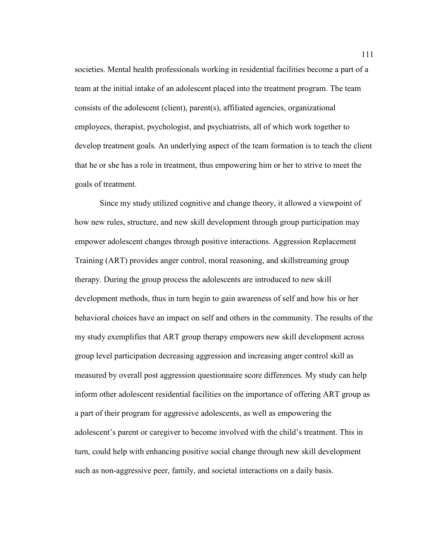societies. Mental health professionals working in residential facilities become a part of a team at the initial intake of an adolescent placed into the treatment program. The team consists of the adolescent (client), parent(s), affiliated agencies, organizational employees, therapist, psychologist, and psychiatrists, all of which work together to develop treatment goals. An underlying aspect of the team formation is to teach the client that he or she has a role in treatment, thus empowering him or her to strive to meet the goals of treatment.

 Since my study utilized cognitive and change theory, it allowed a viewpoint of how new rules, structure, and new skill development through group participation may empower adolescent changes through positive interactions. Aggression Replacement Training (ART) provides anger control, moral reasoning, and skillstreaming group therapy. During the group process the adolescents are introduced to new skill development methods, thus in turn begin to gain awareness of self and how his or her behavioral choices have an impact on self and others in the community. The results of the my study exemplifies that ART group therapy empowers new skill development across group level participation decreasing aggression and increasing anger control skill as measured by overall post aggression questionnaire score differences. My study can help inform other adolescent residential facilities on the importance of offering ART group as a part of their program for aggressive adolescents, as well as empowering the adolescent's parent or caregiver to become involved with the child's treatment. This in turn, could help with enhancing positive social change through new skill development such as non-aggressive peer, family, and societal interactions on a daily basis.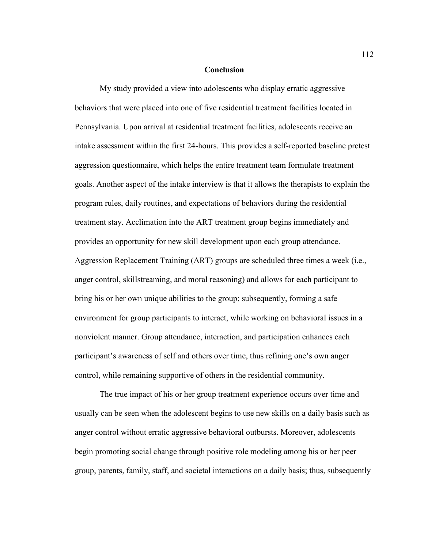#### **Conclusion**

My study provided a view into adolescents who display erratic aggressive behaviors that were placed into one of five residential treatment facilities located in Pennsylvania. Upon arrival at residential treatment facilities, adolescents receive an intake assessment within the first 24-hours. This provides a self-reported baseline pretest aggression questionnaire, which helps the entire treatment team formulate treatment goals. Another aspect of the intake interview is that it allows the therapists to explain the program rules, daily routines, and expectations of behaviors during the residential treatment stay. Acclimation into the ART treatment group begins immediately and provides an opportunity for new skill development upon each group attendance. Aggression Replacement Training (ART) groups are scheduled three times a week (i.e., anger control, skillstreaming, and moral reasoning) and allows for each participant to bring his or her own unique abilities to the group; subsequently, forming a safe environment for group participants to interact, while working on behavioral issues in a nonviolent manner. Group attendance, interaction, and participation enhances each participant's awareness of self and others over time, thus refining one's own anger control, while remaining supportive of others in the residential community.

The true impact of his or her group treatment experience occurs over time and usually can be seen when the adolescent begins to use new skills on a daily basis such as anger control without erratic aggressive behavioral outbursts. Moreover, adolescents begin promoting social change through positive role modeling among his or her peer group, parents, family, staff, and societal interactions on a daily basis; thus, subsequently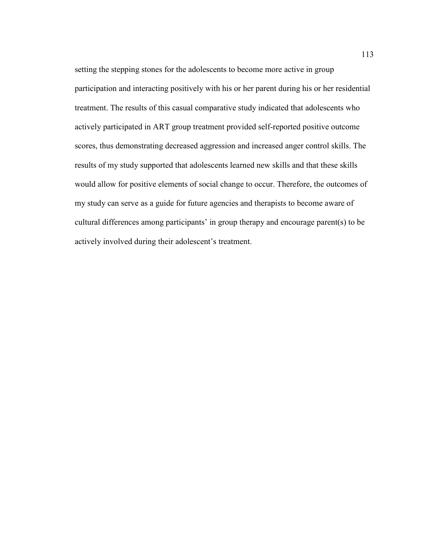setting the stepping stones for the adolescents to become more active in group participation and interacting positively with his or her parent during his or her residential treatment. The results of this casual comparative study indicated that adolescents who actively participated in ART group treatment provided self-reported positive outcome scores, thus demonstrating decreased aggression and increased anger control skills. The results of my study supported that adolescents learned new skills and that these skills would allow for positive elements of social change to occur. Therefore, the outcomes of my study can serve as a guide for future agencies and therapists to become aware of cultural differences among participants' in group therapy and encourage parent(s) to be actively involved during their adolescent's treatment.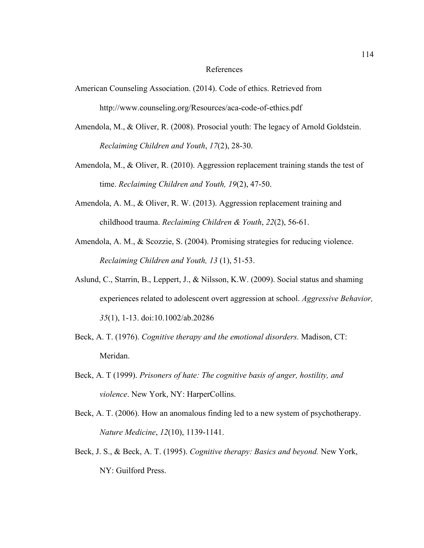#### References

- American Counseling Association. (2014). Code of ethics. Retrieved from http://www.counseling.org/Resources/aca-code-of-ethics.pdf
- Amendola, M., & Oliver, R. (2008). Prosocial youth: The legacy of Arnold Goldstein. *Reclaiming Children and Youth*, *17*(2), 28-30.
- Amendola, M., & Oliver, R. (2010). Aggression replacement training stands the test of time. *Reclaiming Children and Youth, 19*(2), 47-50.
- Amendola, A. M., & Oliver, R. W. (2013). Aggression replacement training and childhood trauma. *Reclaiming Children & Youth*, *22*(2), 56-61.
- Amendola, A. M., & Scozzie, S. (2004). Promising strategies for reducing violence. *Reclaiming Children and Youth, 13* (1), 51-53.
- Aslund, C., Starrin, B., Leppert, J., & Nilsson, K.W. (2009). Social status and shaming experiences related to adolescent overt aggression at school. *Aggressive Behavior, 35*(1), 1-13. doi:10.1002/ab.20286
- Beck, A. T. (1976). *Cognitive therapy and the emotional disorders.* Madison, CT: Meridan.
- Beck, A. T (1999). *Prisoners of hate: The cognitive basis of anger, hostility, and violence*. New York, NY: HarperCollins.
- Beck, A. T. (2006). How an anomalous finding led to a new system of psychotherapy. *Nature Medicine*, *12*(10), 1139-1141.
- Beck, J. S., & Beck, A. T. (1995). *Cognitive therapy: Basics and beyond.* New York, NY: Guilford Press.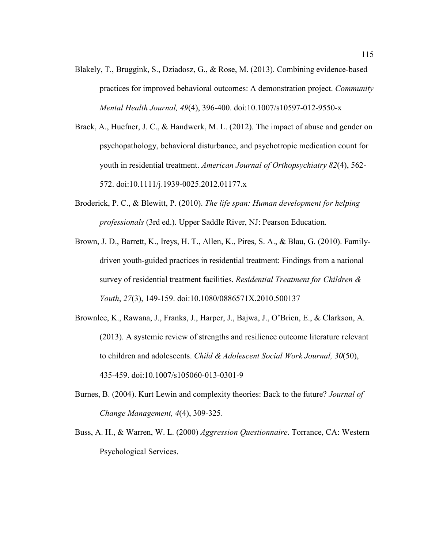- Blakely, T., Bruggink, S., Dziadosz, G., & Rose, M. (2013). Combining evidence-based practices for improved behavioral outcomes: A demonstration project. *Community Mental Health Journal, 49*(4), 396-400. doi:10.1007/s10597-012-9550-x
- Brack, A., Huefner, J. C., & Handwerk, M. L. (2012). The impact of abuse and gender on psychopathology, behavioral disturbance, and psychotropic medication count for youth in residential treatment. *American Journal of Orthopsychiatry 82*(4), 562- 572. doi:10.1111/j.1939-0025.2012.01177.x
- Broderick, P. C., & Blewitt, P. (2010). *The life span: Human development for helping professionals* (3rd ed.). Upper Saddle River, NJ: Pearson Education.
- Brown, J. D., Barrett, K., Ireys, H. T., Allen, K., Pires, S. A., & Blau, G. (2010). Familydriven youth-guided practices in residential treatment: Findings from a national survey of residential treatment facilities. *Residential Treatment for Children & Youth*, *27*(3), 149-159. doi:10.1080/0886571X.2010.500137
- Brownlee, K., Rawana, J., Franks, J., Harper, J., Bajwa, J., O'Brien, E., & Clarkson, A. (2013). A systemic review of strengths and resilience outcome literature relevant to children and adolescents. *Child & Adolescent Social Work Journal, 30*(50), 435-459. doi:10.1007/s105060-013-0301-9
- Burnes, B. (2004). Kurt Lewin and complexity theories: Back to the future? *Journal of Change Management, 4*(4), 309-325.
- Buss, A. H., & Warren, W. L. (2000) *Aggression Questionnaire*. Torrance, CA: Western Psychological Services.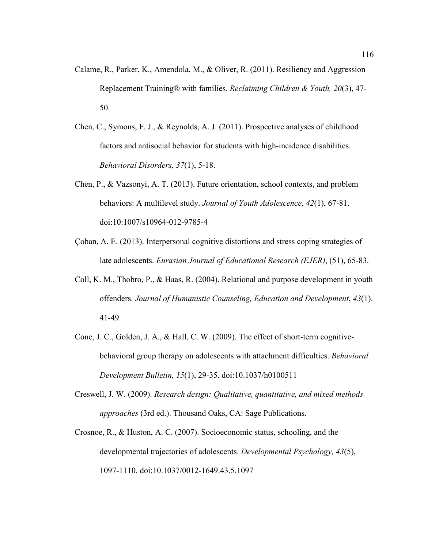- Calame, R., Parker, K., Amendola, M., & Oliver, R. (2011). Resiliency and Aggression Replacement Training® with families. *Reclaiming Children & Youth, 20*(3), 47- 50.
- Chen, C., Symons, F. J., & Reynolds, A. J. (2011). Prospective analyses of childhood factors and antisocial behavior for students with high-incidence disabilities. *Behavioral Disorders, 37*(1), 5-18.
- Chen, P., & Vazsonyi, A. T. (2013). Future orientation, school contexts, and problem behaviors: A multilevel study. *Journal of Youth Adolescence*, *42*(1), 67-81. doi:10:1007/s10964-012-9785-4
- Çoban, A. E. (2013). Interpersonal cognitive distortions and stress coping strategies of late adolescents. *Eurasian Journal of Educational Research (EJER)*, (51), 65-83.
- Coll, K. M., Thobro, P., & Haas, R. (2004). Relational and purpose development in youth offenders. *Journal of Humanistic Counseling, Education and Development*, *43*(1). 41-49.
- Cone, J. C., Golden, J. A., & Hall, C. W. (2009). The effect of short-term cognitivebehavioral group therapy on adolescents with attachment difficulties. *Behavioral Development Bulletin, 15*(1), 29-35. doi:10.1037/h0100511
- Creswell, J. W. (2009). *Research design: Qualitative, quantitative, and mixed methods approaches* (3rd ed.). Thousand Oaks, CA: Sage Publications.
- Crosnoe, R., & Huston, A. C. (2007). Socioeconomic status, schooling, and the developmental trajectories of adolescents. *Developmental Psychology, 43*(5), 1097-1110. doi:10.1037/0012-1649.43.5.1097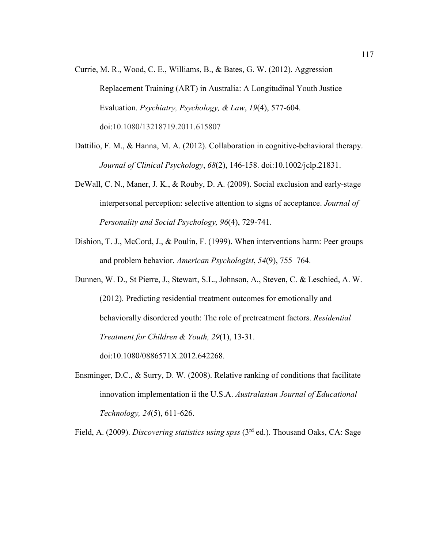- Currie, M. R., Wood, C. E., Williams, B., & Bates, G. W. (2012). Aggression Replacement Training (ART) in Australia: A Longitudinal Youth Justice Evaluation. *Psychiatry, Psychology, & Law*, *19*(4), 577-604. doi:10.1080/13218719.2011.615807
- Dattilio, F. M., & Hanna, M. A. (2012). Collaboration in cognitive-behavioral therapy. *Journal of Clinical Psychology*, *68*(2), 146-158. doi:10.1002/jclp.21831.
- DeWall, C. N., Maner, J. K., & Rouby, D. A. (2009). Social exclusion and early-stage interpersonal perception: selective attention to signs of acceptance. *Journal of Personality and Social Psychology, 96*(4), 729-741.
- Dishion, T. J., McCord, J., & Poulin, F. (1999). When interventions harm: Peer groups and problem behavior. *American Psychologist*, *54*(9), 755–764.
- Dunnen, W. D., St Pierre, J., Stewart, S.L., Johnson, A., Steven, C. & Leschied, A. W. (2012). Predicting residential treatment outcomes for emotionally and behaviorally disordered youth: The role of pretreatment factors. *Residential Treatment for Children & Youth, 29*(1), 13-31. doi:10.1080/0886571X.2012.642268.
- Ensminger, D.C., & Surry, D. W. (2008). Relative ranking of conditions that facilitate innovation implementation ii the U.S.A. *Australasian Journal of Educational Technology, 24*(5), 611-626.

Field, A. (2009). *Discovering statistics using spss* (3rd ed.). Thousand Oaks, CA: Sage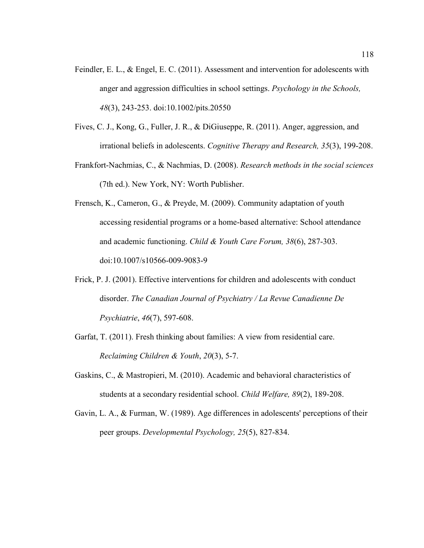- Feindler, E. L., & Engel, E. C. (2011). Assessment and intervention for adolescents with anger and aggression difficulties in school settings. *Psychology in the Schools, 48*(3), 243-253. doi:10.1002/pits.20550
- Fives, C. J., Kong, G., Fuller, J. R., & DiGiuseppe, R. (2011). Anger, aggression, and irrational beliefs in adolescents. *Cognitive Therapy and Research, 35*(3), 199-208.
- Frankfort-Nachmias, C., & Nachmias, D. (2008). *Research methods in the social sciences* (7th ed.). New York, NY: Worth Publisher.
- Frensch, K., Cameron, G., & Preyde, M. (2009). Community adaptation of youth accessing residential programs or a home-based alternative: School attendance and academic functioning. *Child & Youth Care Forum, 38*(6), 287-303. doi:10.1007/s10566-009-9083-9
- Frick, P. J. (2001). Effective interventions for children and adolescents with conduct disorder. *The Canadian Journal of Psychiatry / La Revue Canadienne De Psychiatrie*, *46*(7), 597-608.
- Garfat, T. (2011). Fresh thinking about families: A view from residential care. *Reclaiming Children & Youth*, *20*(3), 5-7.
- Gaskins, C., & Mastropieri, M. (2010). Academic and behavioral characteristics of students at a secondary residential school. *Child Welfare, 89*(2), 189-208.
- Gavin, L. A., & Furman, W. (1989). Age differences in adolescents' perceptions of their peer groups. *Developmental Psychology, 25*(5), 827-834.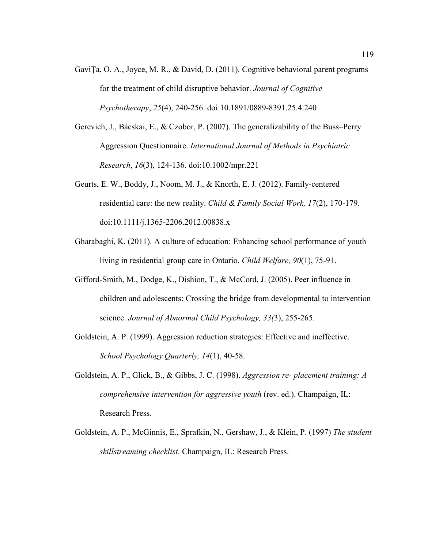- GaviŢa, O. A., Joyce, M. R., & David, D. (2011). Cognitive behavioral parent programs for the treatment of child disruptive behavior. *Journal of Cognitive Psychotherapy*, *25*(4), 240-256. doi:10.1891/0889-8391.25.4.240
- Gerevich, J., Bácskai, E., & Czobor, P. (2007). The generalizability of the Buss–Perry Aggression Questionnaire. *International Journal of Methods in Psychiatric Research*, *16*(3), 124-136. doi:10.1002/mpr.221
- Geurts, E. W., Boddy, J., Noom, M. J., & Knorth, E. J. (2012). Family-centered residential care: the new reality. *Child & Family Social Work, 17*(2), 170-179. doi:10.1111/j.1365-2206.2012.00838.x
- Gharabaghi, K. (2011). A culture of education: Enhancing school performance of youth living in residential group care in Ontario. *Child Welfare, 90*(1), 75-91.
- Gifford-Smith, M., Dodge, K., Dishion, T., & McCord, J. (2005). Peer influence in children and adolescents: Crossing the bridge from developmental to intervention science. *Journal of Abnormal Child Psychology, 33(*3), 255-265.
- Goldstein, A. P. (1999). Aggression reduction strategies: Effective and ineffective. *School Psychology Quarterly, 14*(1), 40-58.
- Goldstein, A. P., Glick, B., & Gibbs, J. C. (1998). *Aggression re- placement training: A comprehensive intervention for aggressive youth* (rev. ed.). Champaign, IL: Research Press.
- Goldstein, A. P., McGinnis, E., Sprafkin, N., Gershaw, J., & Klein, P. (1997) *The student skillstreaming checklist*. Champaign, IL: Research Press.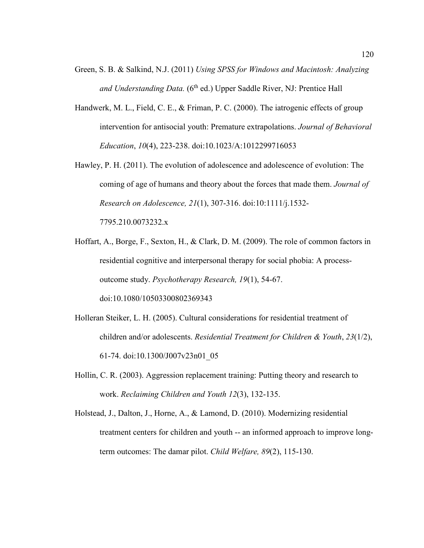- Green, S. B. & Salkind, N.J. (2011) *Using SPSS for Windows and Macintosh: Analyzing*  and Understanding Data. (6<sup>th</sup> ed.) Upper Saddle River, NJ: Prentice Hall
- Handwerk, M. L., Field, C. E., & Friman, P. C. (2000). The iatrogenic effects of group intervention for antisocial youth: Premature extrapolations. *Journal of Behavioral Education*, *10*(4), 223-238. doi:10.1023/A:1012299716053
- Hawley, P. H. (2011). The evolution of adolescence and adolescence of evolution: The coming of age of humans and theory about the forces that made them. *Journal of Research on Adolescence, 21*(1), 307-316. doi:10:1111/j.1532- 7795.210.0073232.x
- Hoffart, A., Borge, F., Sexton, H., & Clark, D. M. (2009). The role of common factors in residential cognitive and interpersonal therapy for social phobia: A processoutcome study. *Psychotherapy Research, 19*(1), 54-67. doi:10.1080/10503300802369343
- Holleran Steiker, L. H. (2005). Cultural considerations for residential treatment of children and/or adolescents. *Residential Treatment for Children & Youth*, *23*(1/2), 61-74. doi:10.1300/J007v23n01\_05
- Hollin, C. R. (2003). Aggression replacement training: Putting theory and research to work. *Reclaiming Children and Youth 12*(3), 132-135.
- Holstead, J., Dalton, J., Horne, A., & Lamond, D. (2010). Modernizing residential treatment centers for children and youth -- an informed approach to improve longterm outcomes: The damar pilot. *Child Welfare, 89*(2), 115-130.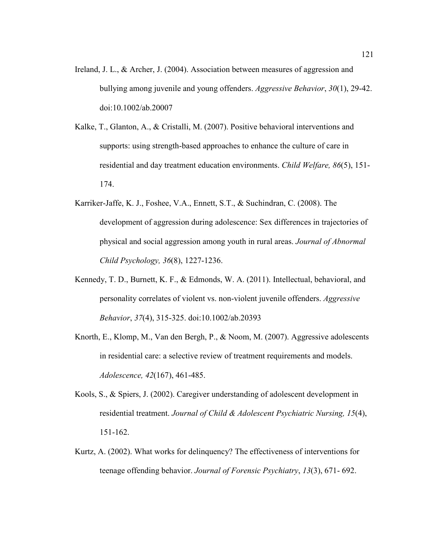- Ireland, J. L., & Archer, J. (2004). Association between measures of aggression and bullying among juvenile and young offenders. *Aggressive Behavior*, *30*(1), 29-42. doi:10.1002/ab.20007
- Kalke, T., Glanton, A., & Cristalli, M. (2007). Positive behavioral interventions and supports: using strength-based approaches to enhance the culture of care in residential and day treatment education environments. *Child Welfare, 86*(5), 151- 174.
- Karriker-Jaffe, K. J., Foshee, V.A., Ennett, S.T., & Suchindran, C. (2008). The development of aggression during adolescence: Sex differences in trajectories of physical and social aggression among youth in rural areas. *Journal of Abnormal Child Psychology, 36*(8), 1227-1236.
- Kennedy, T. D., Burnett, K. F., & Edmonds, W. A. (2011). Intellectual, behavioral, and personality correlates of violent vs. non-violent juvenile offenders. *Aggressive Behavior*, *37*(4), 315-325. doi:10.1002/ab.20393
- Knorth, E., Klomp, M., Van den Bergh, P., & Noom, M. (2007). Aggressive adolescents in residential care: a selective review of treatment requirements and models. *Adolescence, 42*(167), 461-485.
- Kools, S., & Spiers, J. (2002). Caregiver understanding of adolescent development in residential treatment. *Journal of Child & Adolescent Psychiatric Nursing, 15*(4), 151-162.
- Kurtz, A. (2002). What works for delinquency? The effectiveness of interventions for teenage offending behavior. *Journal of Forensic Psychiatry*, *13*(3), 671- 692.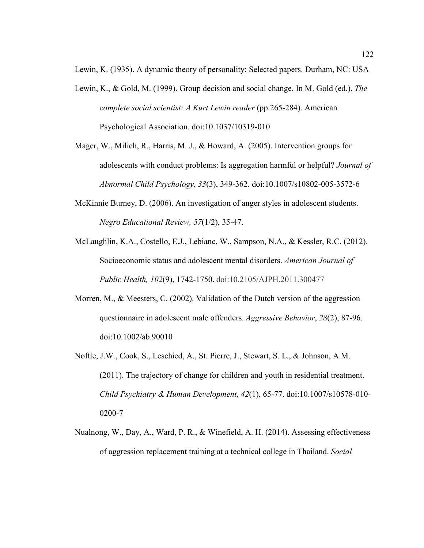Lewin, K. (1935). A dynamic theory of personality: Selected papers. Durham, NC: USA

- Lewin, K., & Gold, M. (1999). Group decision and social change. In M. Gold (ed.), *The complete social scientist: A Kurt Lewin reader* (pp.265-284). American Psychological Association. doi:10.1037/10319-010
- Mager, W., Milich, R., Harris, M. J., & Howard, A. (2005). Intervention groups for adolescents with conduct problems: Is aggregation harmful or helpful? *Journal of Abnormal Child Psychology, 33*(3), 349-362. doi:10.1007/s10802-005-3572-6
- McKinnie Burney, D. (2006). An investigation of anger styles in adolescent students. *Negro Educational Review, 57*(1/2), 35-47.
- McLaughlin, K.A., Costello, E.J., Lebianc, W., Sampson, N.A., & Kessler, R.C. (2012). Socioeconomic status and adolescent mental disorders. *American Journal of Public Health, 102*(9), 1742-1750. doi:10.2105/AJPH.2011.300477
- Morren, M., & Meesters, C. (2002). Validation of the Dutch version of the aggression questionnaire in adolescent male offenders. *Aggressive Behavior*, *28*(2), 87-96. doi:10.1002/ab.90010
- Noftle, J.W., Cook, S., Leschied, A., St. Pierre, J., Stewart, S. L., & Johnson, A.M. (2011). The trajectory of change for children and youth in residential treatment. *Child Psychiatry & Human Development, 42*(1), 65-77. doi:10.1007/s10578-010- 0200-7
- Nualnong, W., Day, A., Ward, P. R., & Winefield, A. H. (2014). Assessing effectiveness of aggression replacement training at a technical college in Thailand. *Social*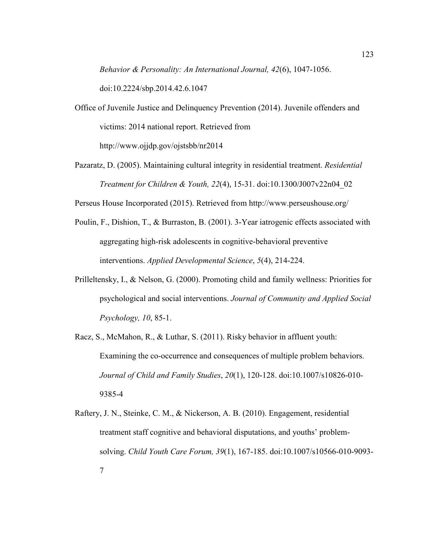*Behavior & Personality: An International Journal, 42*(6), 1047-1056.

doi:10.2224/sbp.2014.42.6.1047

- Office of Juvenile Justice and Delinquency Prevention (2014). Juvenile offenders and victims: 2014 national report. Retrieved from http://www.ojjdp.gov/ojstsbb/nr2014
- Pazaratz, D. (2005). Maintaining cultural integrity in residential treatment. *Residential Treatment for Children & Youth, 22*(4), 15-31. doi:10.1300/J007v22n04\_02

Perseus House Incorporated (2015). Retrieved from http://www.perseushouse.org/

- Poulin, F., Dishion, T., & Burraston, B. (2001). 3-Year iatrogenic effects associated with aggregating high-risk adolescents in cognitive-behavioral preventive interventions. *Applied Developmental Science*, *5*(4), 214-224.
- Prilleltensky, I., & Nelson, G. (2000). Promoting child and family wellness: Priorities for psychological and social interventions. *Journal of Community and Applied Social Psychology, 10*, 85-1.
- Racz, S., McMahon, R., & Luthar, S. (2011). Risky behavior in affluent youth: Examining the co-occurrence and consequences of multiple problem behaviors. *Journal of Child and Family Studies*, *20*(1), 120-128. doi:10.1007/s10826-010- 9385-4
- Raftery, J. N., Steinke, C. M., & Nickerson, A. B. (2010). Engagement, residential treatment staff cognitive and behavioral disputations, and youths' problemsolving. *Child Youth Care Forum, 39*(1), 167-185. doi:10.1007/s10566-010-9093- 7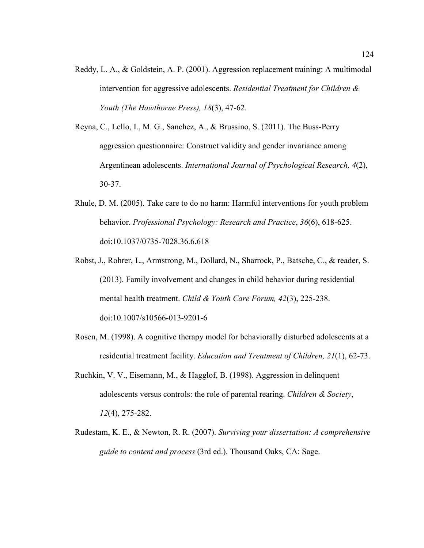- Reddy, L. A., & Goldstein, A. P. (2001). Aggression replacement training: A multimodal intervention for aggressive adolescents. *Residential Treatment for Children & Youth (The Hawthorne Press), 18*(3), 47-62.
- Reyna, C., Lello, I., M. G., Sanchez, A., & Brussino, S. (2011). The Buss-Perry aggression questionnaire: Construct validity and gender invariance among Argentinean adolescents. *International Journal of Psychological Research, 4*(2), 30-37.
- Rhule, D. M. (2005). Take care to do no harm: Harmful interventions for youth problem behavior. *Professional Psychology: Research and Practice*, *36*(6), 618-625. doi:10.1037/0735-7028.36.6.618
- Robst, J., Rohrer, L., Armstrong, M., Dollard, N., Sharrock, P., Batsche, C., & reader, S. (2013). Family involvement and changes in child behavior during residential mental health treatment. *Child & Youth Care Forum, 42*(3), 225-238. doi:10.1007/s10566-013-9201-6
- Rosen, M. (1998). A cognitive therapy model for behaviorally disturbed adolescents at a residential treatment facility. *Education and Treatment of Children, 21*(1), 62-73.
- Ruchkin, V. V., Eisemann, M., & Hagglof, B. (1998). Aggression in delinquent adolescents versus controls: the role of parental rearing. *Children & Society*, *12*(4), 275-282.
- Rudestam, K. E., & Newton, R. R. (2007). *Surviving your dissertation: A comprehensive guide to content and process* (3rd ed.). Thousand Oaks, CA: Sage.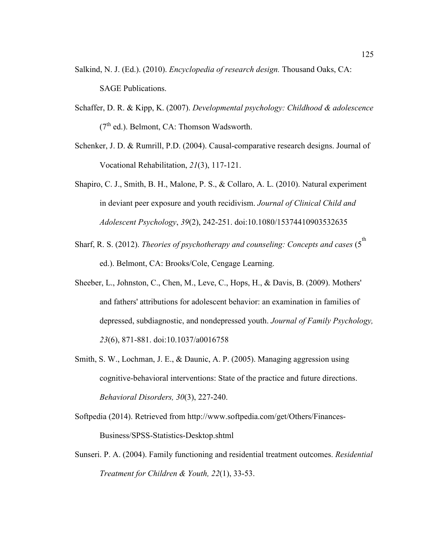- Salkind, N. J. (Ed.). (2010). *Encyclopedia of research design.* Thousand Oaks, CA: SAGE Publications.
- Schaffer, D. R. & Kipp, K. (2007). *Developmental psychology: Childhood & adolescence*  $(7<sup>th</sup>$  ed.). Belmont, CA: Thomson Wadsworth.
- Schenker, J. D. & Rumrill, P.D. (2004). Causal-comparative research designs. Journal of Vocational Rehabilitation, *21*(3), 117-121.
- Shapiro, C. J., Smith, B. H., Malone, P. S., & Collaro, A. L. (2010). Natural experiment in deviant peer exposure and youth recidivism. *Journal of Clinical Child and Adolescent Psychology*, *39*(2), 242-251. doi:10.1080/15374410903532635
- Sharf, R. S. (2012). *Theories of psychotherapy and counseling: Concepts and cases* (5<sup>th</sup> ed.). Belmont, CA: Brooks/Cole, Cengage Learning.
- Sheeber, L., Johnston, C., Chen, M., Leve, C., Hops, H., & Davis, B. (2009). Mothers' and fathers' attributions for adolescent behavior: an examination in families of depressed, subdiagnostic, and nondepressed youth. *Journal of Family Psychology, 23*(6), 871-881. doi:10.1037/a0016758
- Smith, S. W., Lochman, J. E., & Daunic, A. P. (2005). Managing aggression using cognitive-behavioral interventions: State of the practice and future directions. *Behavioral Disorders, 30*(3), 227-240.
- Softpedia (2014). Retrieved from http://www.softpedia.com/get/Others/Finances-Business/SPSS-Statistics-Desktop.shtml
- Sunseri. P. A. (2004). Family functioning and residential treatment outcomes. *Residential Treatment for Children & Youth, 22*(1), 33-53.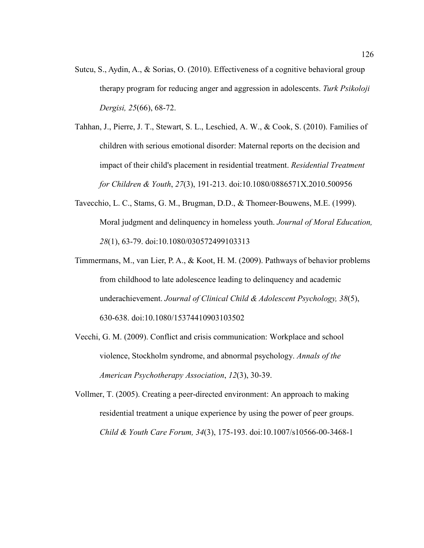- Sutcu, S., Aydin, A., & Sorias, O. (2010). Effectiveness of a cognitive behavioral group therapy program for reducing anger and aggression in adolescents. *Turk Psikoloji Dergisi, 25*(66), 68-72.
- Tahhan, J., Pierre, J. T., Stewart, S. L., Leschied, A. W., & Cook, S. (2010). Families of children with serious emotional disorder: Maternal reports on the decision and impact of their child's placement in residential treatment. *Residential Treatment for Children & Youth*, *27*(3), 191-213. doi:10.1080/0886571X.2010.500956
- Tavecchio, L. C., Stams, G. M., Brugman, D.D., & Thomeer-Bouwens, M.E. (1999). Moral judgment and delinquency in homeless youth. *Journal of Moral Education, 28*(1), 63-79. doi:10.1080/030572499103313
- Timmermans, M., van Lier, P. A., & Koot, H. M. (2009). Pathways of behavior problems from childhood to late adolescence leading to delinquency and academic underachievement. *Journal of Clinical Child & Adolescent Psychology, 38*(5), 630-638. doi:10.1080/15374410903103502
- Vecchi, G. M. (2009). Conflict and crisis communication: Workplace and school violence, Stockholm syndrome, and abnormal psychology. *Annals of the American Psychotherapy Association*, *12*(3), 30-39.
- Vollmer, T. (2005). Creating a peer-directed environment: An approach to making residential treatment a unique experience by using the power of peer groups. *Child & Youth Care Forum, 34*(3), 175-193. doi:10.1007/s10566-00-3468-1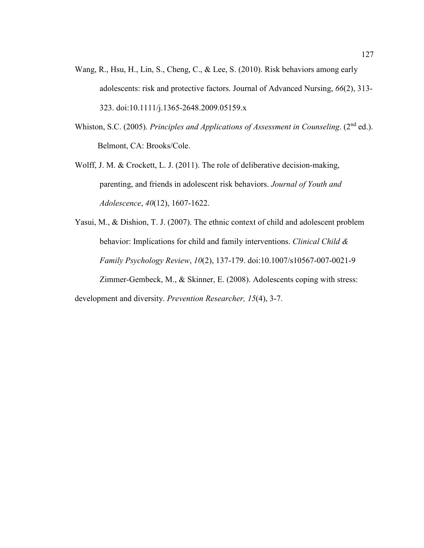- Wang, R., Hsu, H., Lin, S., Cheng, C., & Lee, S. (2010). Risk behaviors among early adolescents: risk and protective factors. Journal of Advanced Nursing, *66*(2), 313- 323. doi:10.1111/j.1365-2648.2009.05159.x
- Whiston, S.C. (2005). *Principles and Applications of Assessment in Counseling*. (2nd ed.). Belmont, CA: Brooks/Cole.
- Wolff, J. M. & Crockett, L. J. (2011). The role of deliberative decision-making, parenting, and friends in adolescent risk behaviors. *Journal of Youth and Adolescence*, *40*(12), 1607-1622.

Yasui, M., & Dishion, T. J. (2007). The ethnic context of child and adolescent problem behavior: Implications for child and family interventions. *Clinical Child & Family Psychology Review*, *10*(2), 137-179. doi:10.1007/s10567-007-0021-9 Zimmer-Gembeck, M., & Skinner, E. (2008). Adolescents coping with stress: development and diversity. *Prevention Researcher, 15*(4), 3-7.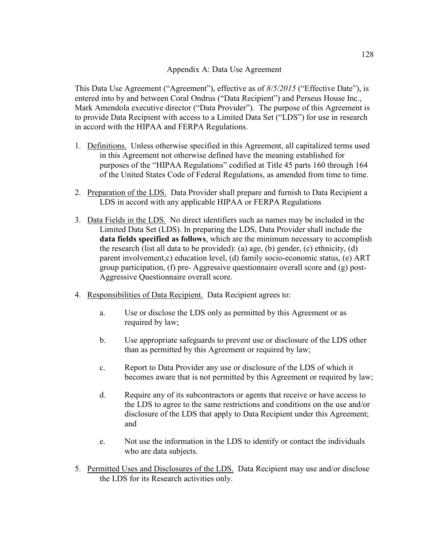## Appendix A: Data Use Agreement

This Data Use Agreement ("Agreement"), effective as of *8/5/2015* ("Effective Date"), is entered into by and between Coral Ondrus ("Data Recipient") and Perseus House Inc., Mark Amendola executive director ("Data Provider"). The purpose of this Agreement is to provide Data Recipient with access to a Limited Data Set ("LDS") for use in research in accord with the HIPAA and FERPA Regulations.

- 1. Definitions. Unless otherwise specified in this Agreement, all capitalized terms used in this Agreement not otherwise defined have the meaning established for purposes of the "HIPAA Regulations" codified at Title 45 parts 160 through 164 of the United States Code of Federal Regulations, as amended from time to time.
- 2. Preparation of the LDS. Data Provider shall prepare and furnish to Data Recipient a LDS in accord with any applicable HIPAA or FERPA Regulations
- 3. Data Fields in the LDS. No direct identifiers such as names may be included in the Limited Data Set (LDS). In preparing the LDS, Data Provider shall include the **data fields specified as follows**, which are the minimum necessary to accomplish the research (list all data to be provided): (a) age, (b) gender, (c) ethnicity, (d) parent involvement,c) education level, (d) family socio-economic status, (e) ART group participation, (f) pre- Aggressive questionnaire overall score and (g) post-Aggressive Questionnaire overall score.
- 4. Responsibilities of Data Recipient. Data Recipient agrees to:
	- a. Use or disclose the LDS only as permitted by this Agreement or as required by law;
	- b. Use appropriate safeguards to prevent use or disclosure of the LDS other than as permitted by this Agreement or required by law;
	- c. Report to Data Provider any use or disclosure of the LDS of which it becomes aware that is not permitted by this Agreement or required by law;
	- d. Require any of its subcontractors or agents that receive or have access to the LDS to agree to the same restrictions and conditions on the use and/or disclosure of the LDS that apply to Data Recipient under this Agreement; and
	- e. Not use the information in the LDS to identify or contact the individuals who are data subjects.
- 5. Permitted Uses and Disclosures of the LDS. Data Recipient may use and/or disclose the LDS for its Research activities only.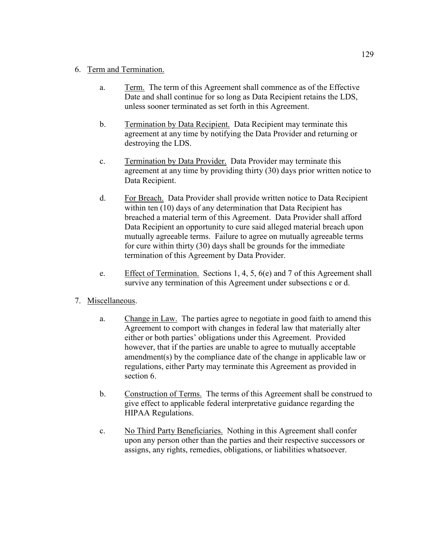## 6. Term and Termination.

- a. Term. The term of this Agreement shall commence as of the Effective Date and shall continue for so long as Data Recipient retains the LDS, unless sooner terminated as set forth in this Agreement.
- b. Termination by Data Recipient. Data Recipient may terminate this agreement at any time by notifying the Data Provider and returning or destroying the LDS.
- c. Termination by Data Provider. Data Provider may terminate this agreement at any time by providing thirty (30) days prior written notice to Data Recipient.
- d. For Breach. Data Provider shall provide written notice to Data Recipient within ten (10) days of any determination that Data Recipient has breached a material term of this Agreement. Data Provider shall afford Data Recipient an opportunity to cure said alleged material breach upon mutually agreeable terms. Failure to agree on mutually agreeable terms for cure within thirty (30) days shall be grounds for the immediate termination of this Agreement by Data Provider.
- e. Effect of Termination. Sections 1, 4, 5, 6(e) and 7 of this Agreement shall survive any termination of this Agreement under subsections c or d.

# 7. Miscellaneous.

- a. Change in Law. The parties agree to negotiate in good faith to amend this Agreement to comport with changes in federal law that materially alter either or both parties' obligations under this Agreement. Provided however, that if the parties are unable to agree to mutually acceptable amendment(s) by the compliance date of the change in applicable law or regulations, either Party may terminate this Agreement as provided in section 6.
- b. Construction of Terms. The terms of this Agreement shall be construed to give effect to applicable federal interpretative guidance regarding the HIPAA Regulations.
- c. No Third Party Beneficiaries. Nothing in this Agreement shall confer upon any person other than the parties and their respective successors or assigns, any rights, remedies, obligations, or liabilities whatsoever.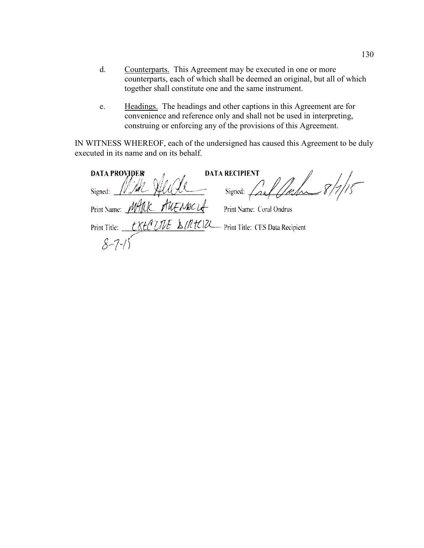- d. Counterparts. This Agreement may be executed in one or more counterparts, each of which shall be deemed an original, but all of which together shall constitute one and the same instrument.
- e. Headings. The headings and other captions in this Agreement are for convenience and reference only and shall not be used in interpreting, construing or enforcing any of the provisions of this Agreement.

IN WITNESS WHEREOF, each of the undersigned has caused this Agreement to be duly executed in its name and on its behalf.

**DATA RECIPIENT DATA PROVIDER** Cal / Cal 8/7/15 Signed:  $\overline{\phantom{a}}$ Signed:  $\angle$ Print Name: *MARIC* Print Name: Coral Ondrus LKtCUNE & IRTCIZL Print Title: CES Data Recipient Print Title:  $8 - 7$